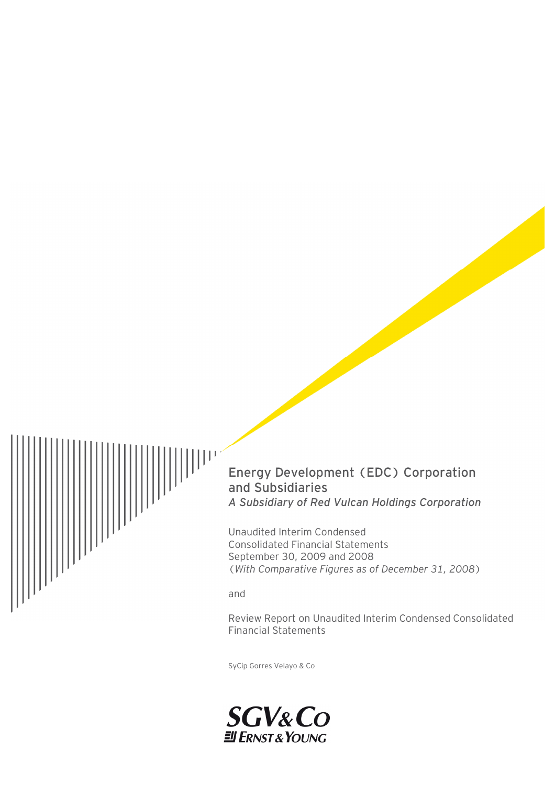

# Energy Development (EDC) Corporation and Subsidiaries *A Subsidiary of Red Vulcan Holdings Corporation*

Unaudited Interim Condensed Consolidated Financial Statements September 30, 2009 and 2008 (*With Comparative Figures as of December 31, 2008*)

and

Review Report on Unaudited Interim Condensed Consolidated Financial Statements

SyCip Gorres Velayo & Co

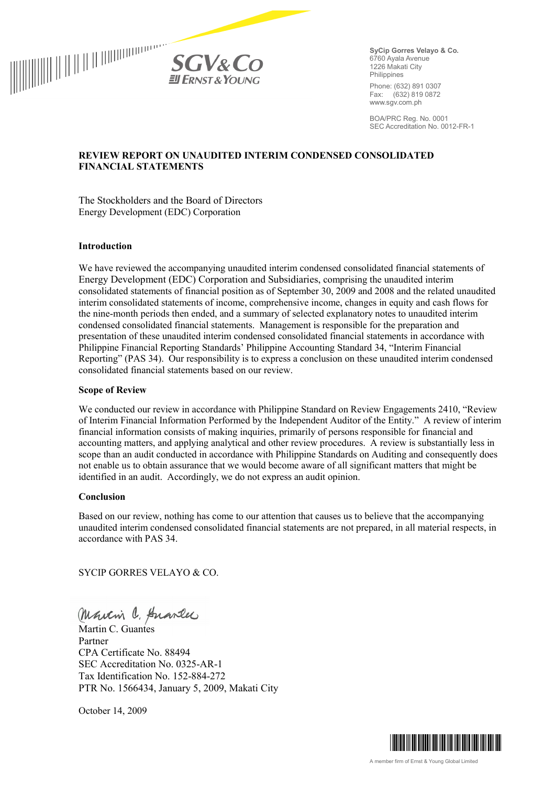

**SyCip Gorres Velayo & Co.** 6760 Ayala Avenue 1226 Makati City **Philippines** 

Phone: (632) 891 0307 Fax: (632) 819 0872 www.sgv.com.ph

BOA/PRC Reg. No. 0001 SEC Accreditation No. 0012-FR-1

#### **REVIEW REPORT ON UNAUDITED INTERIM CONDENSED CONSOLIDATED FINANCIAL STATEMENTS**

The Stockholders and the Board of Directors Energy Development (EDC) Corporation

#### **Introduction**

We have reviewed the accompanying unaudited interim condensed consolidated financial statements of Energy Development (EDC) Corporation and Subsidiaries, comprising the unaudited interim consolidated statements of financial position as of September 30, 2009 and 2008 and the related unaudited interim consolidated statements of income, comprehensive income, changes in equity and cash flows for the nine-month periods then ended, and a summary of selected explanatory notes to unaudited interim condensed consolidated financial statements. Management is responsible for the preparation and presentation of these unaudited interim condensed consolidated financial statements in accordance with Philippine Financial Reporting Standards' Philippine Accounting Standard 34, "Interim Financial Reporting" (PAS 34). Our responsibility is to express a conclusion on these unaudited interim condensed consolidated financial statements based on our review.

#### **Scope of Review**

We conducted our review in accordance with Philippine Standard on Review Engagements 2410, "Review" of Interim Financial Information Performed by the Independent Auditor of the Entity." A review of interim financial information consists of making inquiries, primarily of persons responsible for financial and accounting matters, and applying analytical and other review procedures. A review is substantially less in scope than an audit conducted in accordance with Philippine Standards on Auditing and consequently does not enable us to obtain assurance that we would become aware of all significant matters that might be identified in an audit. Accordingly, we do not express an audit opinion.

#### **Conclusion**

Based on our review, nothing has come to our attention that causes us to believe that the accompanying unaudited interim condensed consolidated financial statements are not prepared, in all material respects, in accordance with PAS 34.

SYCIP GORRES VELAYO & CO.

Martin C. Anarles

Partner CPA Certificate No. 88494 SEC Accreditation No. 0325-AR-1 Tax Identification No. 152-884-272 PTR No. 1566434, January 5, 2009, Makati City

October 14, 2009

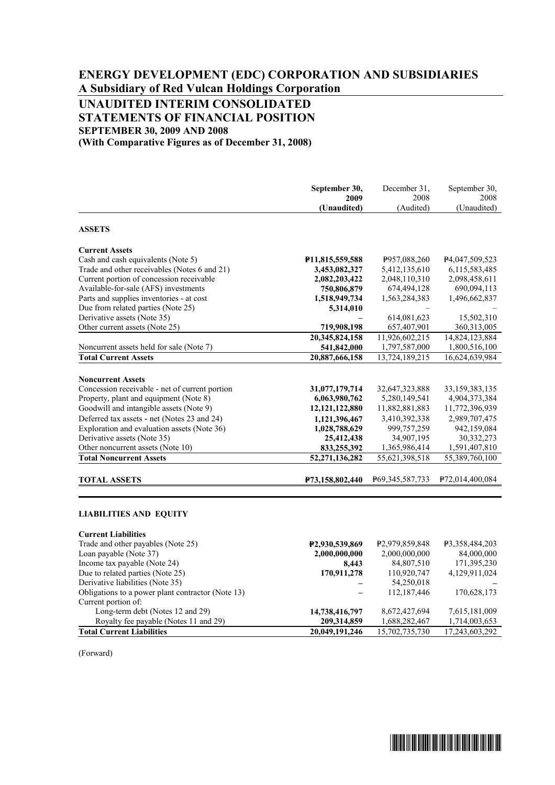# **ENERGY DEVELOPMENT (EDC) CORPORATION AND SUBSIDIARIES A Subsidiary of Red Vulcan Holdings Corporation**

# **UNAUDITED INTERIM CONSOLIDATED STATEMENTS OF FINANCIAL POSITION SEPTEMBER 30, 2009 AND 2008**

**(With Comparative Figures as of December 31, 2008)** 

|                                                   | September 30,<br>2009        | December 31.<br>2008        | September 30,<br>2008        |
|---------------------------------------------------|------------------------------|-----------------------------|------------------------------|
|                                                   | (Unaudited)                  | (Audited)                   | (Unaudited)                  |
| <b>ASSETS</b>                                     |                              |                             |                              |
| <b>Current Assets</b>                             |                              |                             |                              |
| Cash and cash equivalents (Note 5)                | P11,815,559,588              | P957,088,260                | P <sub>4</sub> ,047,509,523  |
| Trade and other receivables (Notes 6 and 21)      | 3,453,082,327                | 5,412,135,610               | 6,115,583,485                |
| Current portion of concession receivable          | 2,082,203,422                | 2,048,110,310               | 2,098,458,611                |
| Available-for-sale (AFS) investments              | 750,806,879                  | 674,494,128                 | 690,094,113                  |
| Parts and supplies inventories - at cost          | 1,518,949,734                | 1,563,284,383               | 1,496,662,837                |
| Due from related parties (Note 25)                | 5,314,010                    |                             |                              |
| Derivative assets (Note 35)                       |                              | 614,081,623                 | 15,502,310                   |
| Other current assets (Note 25)                    | 719,908,198                  | 657,407,901                 | 360, 313, 005                |
|                                                   | 20,345,824,158               | 11,926,602,215              | 14,824,123,884               |
| Noncurrent assets held for sale (Note 7)          | 541,842,000                  | 1,797,587,000               | 1,800,516,100                |
| <b>Total Current Assets</b>                       | 20,887,666,158               | 13,724,189,215              | 16,624,639,984               |
|                                                   |                              |                             |                              |
| <b>Noncurrent Assets</b>                          |                              |                             |                              |
| Concession receivable - net of current portion    | 31,077,179,714               | 32,647,323,888              | 33,159,383,135               |
| Property, plant and equipment (Note 8)            | 6,063,980,762                | 5,280,149,541               | 4,904,373,384                |
| Goodwill and intangible assets (Note 9)           | 12,121,122,880               | 11,882,881,883              | 11,772,396,939               |
| Deferred tax assets - net (Notes 23 and 24)       | 1,121,396,467                | 3,410,392,338               | 2,989,707,475                |
| Exploration and evaluation assets (Note 36)       | 1,028,788,629                | 999,757,259                 | 942,159,084                  |
| Derivative assets (Note 35)                       | 25,412,438                   | 34,907,195                  | 30,332,273                   |
| Other noncurrent assets (Note 10)                 | 833,255,392                  | 1,365,986,414               | 1,591,407,810                |
| <b>Total Noncurrent Assets</b>                    | 52,271,136,282               | 55,621,398,518              | 55,389,760,100               |
| <b>TOTAL ASSETS</b>                               |                              | P69,345,587,733             | P <sub>72</sub> ,014,400,084 |
|                                                   | P <sub>73</sub> ,158,802,440 |                             |                              |
|                                                   |                              |                             |                              |
| <b>LIABILITIES AND EQUITY</b>                     |                              |                             |                              |
| <b>Current Liabilities</b>                        |                              |                             |                              |
| Trade and other payables (Note 25)                | P <sub>2</sub> ,930,539,869  | P <sub>2</sub> ,979,859,848 | P3,358,484,203               |
| Loan payable (Note 37)                            | 2,000,000,000                | 2,000,000,000               | 84,000,000                   |
| Income tax payable (Note 24)                      | 8,443                        | 84,807,510                  | 171,395,230                  |
| Due to related parties (Note 25)                  | 170,911,278                  | 110,920,747                 | 4,129,911,024                |
| Derivative liabilities (Note 35)                  |                              | 54,250,018                  |                              |
| Obligations to a power plant contractor (Note 13) |                              | 112,187,446                 | 170,628,173                  |
| Current portion of:                               |                              |                             |                              |
| Long-term debt (Notes 12 and 29)                  | 14,738,416,797               | 8,672,427,694               | 7,615,181,009                |
| Royalty fee payable (Notes 11 and 29)             | 209,314,859                  | 1,688,282,467               | 1,714,003,653                |
| <b>Total Current Liabilities</b>                  | 20,049,191,246               | 15,702,735,730              | 17,243,603,292               |

**Total Current Liabilities 20,049,191,246** 15,702,735,730

(Forward)

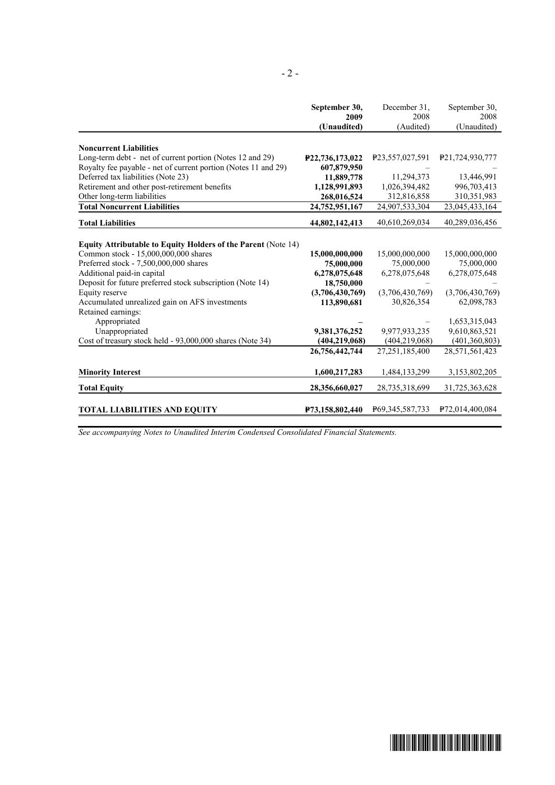|                                                                | September 30,   | December 31.    | September 30,                |
|----------------------------------------------------------------|-----------------|-----------------|------------------------------|
|                                                                | 2009            | 2008            | 2008                         |
|                                                                | (Unaudited)     | (Audited)       | (Unaudited)                  |
| <b>Noncurrent Liabilities</b>                                  |                 |                 |                              |
| Long-term debt - net of current portion (Notes 12 and 29)      | P22,736,173,022 | P23,557,027,591 | P21,724,930,777              |
| Royalty fee payable - net of current portion (Notes 11 and 29) | 607,879,950     |                 |                              |
| Deferred tax liabilities (Note 23)                             | 11,889,778      | 11,294,373      | 13,446,991                   |
| Retirement and other post-retirement benefits                  | 1,128,991,893   | 1,026,394,482   | 996,703,413                  |
| Other long-term liabilities                                    | 268,016,524     | 312,816,858     | 310,351,983                  |
| <b>Total Noncurrent Liabilities</b>                            | 24,752,951,167  | 24,907,533,304  | 23,045,433,164               |
| <b>Total Liabilities</b>                                       | 44,802,142,413  | 40,610,269,034  | 40,289,036,456               |
|                                                                |                 |                 |                              |
| Equity Attributable to Equity Holders of the Parent (Note 14)  |                 |                 |                              |
| Common stock - 15,000,000,000 shares                           | 15,000,000,000  | 15,000,000,000  | 15,000,000,000               |
| Preferred stock - 7,500,000,000 shares                         | 75,000,000      | 75,000,000      | 75,000,000                   |
| Additional paid-in capital                                     | 6,278,075,648   | 6,278,075,648   | 6,278,075,648                |
| Deposit for future preferred stock subscription (Note 14)      | 18,750,000      |                 |                              |
| Equity reserve                                                 | (3,706,430,769) | (3,706,430,769) | (3,706,430,769)              |
| Accumulated unrealized gain on AFS investments                 | 113,890,681     | 30,826,354      | 62,098,783                   |
| Retained earnings:                                             |                 |                 |                              |
| Appropriated                                                   |                 |                 | 1,653,315,043                |
| Unappropriated                                                 | 9,381,376,252   | 9,977,933,235   | 9,610,863,521                |
| Cost of treasury stock held - 93,000,000 shares (Note 34)      | (404, 219, 068) | (404, 219, 068) | (401,360,803)                |
|                                                                | 26,756,442,744  | 27,251,185,400  | 28,571,561,423               |
| <b>Minority Interest</b>                                       | 1,600,217,283   | 1,484,133,299   | 3,153,802,205                |
| <b>Total Equity</b>                                            | 28,356,660,027  | 28,735,318,699  | 31,725,363,628               |
| <b>TOTAL LIABILITIES AND EQUITY</b>                            | P73,158,802,440 | P69,345,587,733 | P <sub>72</sub> ,014,400,084 |

*See accompanying Notes to Unaudited Interim Condensed Consolidated Financial Statements.* 

- 2 -

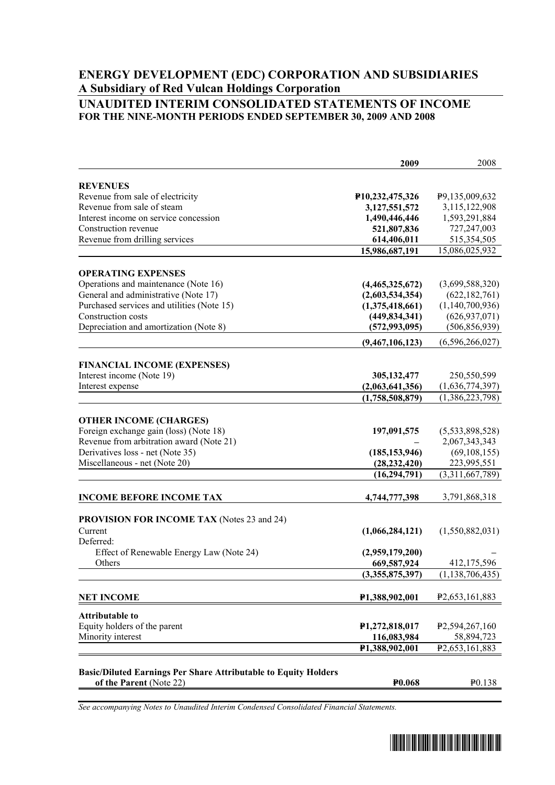# **ENERGY DEVELOPMENT (EDC) CORPORATION AND SUBSIDIARIES A Subsidiary of Red Vulcan Holdings Corporation**

### **UNAUDITED INTERIM CONSOLIDATED STATEMENTS OF INCOME FOR THE NINE-MONTH PERIODS ENDED SEPTEMBER 30, 2009 AND 2008**

|                                                                        | 2009                        | 2008                           |
|------------------------------------------------------------------------|-----------------------------|--------------------------------|
| <b>REVENUES</b>                                                        |                             |                                |
| Revenue from sale of electricity                                       | P10,232,475,326             | P9,135,009,632                 |
| Revenue from sale of steam                                             | 3,127,551,572               | 3,115,122,908                  |
| Interest income on service concession                                  | 1,490,446,446               | 1,593,291,884                  |
| Construction revenue                                                   | 521,807,836                 | 727,247,003                    |
| Revenue from drilling services                                         | 614,406,011                 | 515,354,505                    |
|                                                                        | 15,986,687,191              | 15,086,025,932                 |
|                                                                        |                             |                                |
| <b>OPERATING EXPENSES</b>                                              |                             |                                |
| Operations and maintenance (Note 16)                                   | (4,465,325,672)             | (3,699,588,320)                |
| General and administrative (Note 17)                                   | (2,603,534,354)             | (622, 182, 761)                |
| Purchased services and utilities (Note 15)                             | (1,375,418,661)             | (1,140,700,936)                |
| Construction costs                                                     | (449, 834, 341)             | (626, 937, 071)                |
| Depreciation and amortization (Note 8)                                 | (572, 993, 095)             | (506, 856, 939)                |
|                                                                        | (9,467,106,123)             | (6,596,266,027)                |
| <b>FINANCIAL INCOME (EXPENSES)</b>                                     |                             |                                |
| Interest income (Note 19)                                              | 305,132,477                 | 250,550,599                    |
| Interest expense                                                       | (2,063,641,356)             | (1,636,774,397)                |
|                                                                        | (1,758,508,879)             | (1,386,223,798)                |
|                                                                        |                             |                                |
| <b>OTHER INCOME (CHARGES)</b>                                          |                             |                                |
| Foreign exchange gain (loss) (Note 18)                                 | 197,091,575                 | (5,533,898,528)                |
| Revenue from arbitration award (Note 21)                               |                             | 2,067,343,343                  |
| Derivatives loss - net (Note 35)                                       | (185, 153, 946)             | (69, 108, 155)                 |
| Miscellaneous - net (Note 20)                                          | (28, 232, 420)              | 223,995,551                    |
|                                                                        | (16, 294, 791)              | (3,311,667,789)                |
|                                                                        |                             |                                |
| <b>INCOME BEFORE INCOME TAX</b>                                        | 4,744,777,398               | 3,791,868,318                  |
| <b>PROVISION FOR INCOME TAX (Notes 23 and 24)</b>                      |                             |                                |
| Current                                                                | (1,066,284,121)             | (1,550,882,031)                |
| Deferred:                                                              |                             |                                |
| Effect of Renewable Energy Law (Note 24)                               | (2,959,179,200)             |                                |
| Others                                                                 | 669,587,924                 | 412,175,596                    |
|                                                                        | (3,355,875,397)             | (1, 138, 706, 435)             |
|                                                                        |                             |                                |
| <b>NET INCOME</b>                                                      | P <sub>1</sub> ,388,902,001 | P <sub>2</sub> , 653, 161, 883 |
| <b>Attributable to</b>                                                 |                             |                                |
| Equity holders of the parent                                           | P1,272,818,017              | P <sub>2</sub> , 594, 267, 160 |
| Minority interest                                                      | 116,083,984                 | 58,894,723                     |
|                                                                        | P1,388,902,001              | P <sub>2</sub> , 653, 161, 883 |
|                                                                        |                             |                                |
| <b>Basic/Diluted Earnings Per Share Attributable to Equity Holders</b> |                             |                                |
| of the Parent (Note 22)                                                | <b>P0.068</b>               | P <sub>0.138</sub>             |

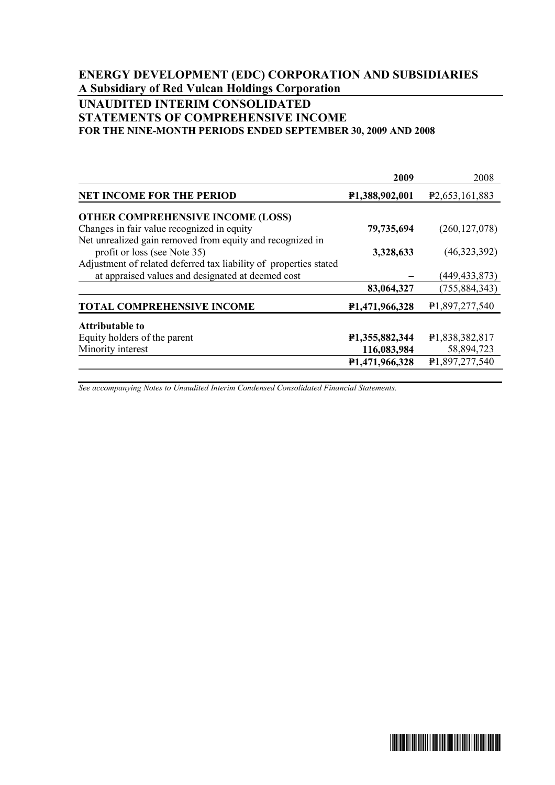# **ENERGY DEVELOPMENT (EDC) CORPORATION AND SUBSIDIARIES A Subsidiary of Red Vulcan Holdings Corporation**

### **UNAUDITED INTERIM CONSOLIDATED STATEMENTS OF COMPREHENSIVE INCOME FOR THE NINE-MONTH PERIODS ENDED SEPTEMBER 30, 2009 AND 2008**

|                                                                   | 2009                        | 2008                           |
|-------------------------------------------------------------------|-----------------------------|--------------------------------|
| <b>NET INCOME FOR THE PERIOD</b>                                  | P <sub>1</sub> ,388,902,001 | P <sub>2</sub> , 653, 161, 883 |
| <b>OTHER COMPREHENSIVE INCOME (LOSS)</b>                          |                             |                                |
| Changes in fair value recognized in equity                        | 79,735,694                  | (260, 127, 078)                |
| Net unrealized gain removed from equity and recognized in         |                             |                                |
| profit or loss (see Note 35)                                      | 3,328,633                   | (46,323,392)                   |
| Adjustment of related deferred tax liability of properties stated |                             |                                |
| at appraised values and designated at deemed cost                 |                             | (449, 433, 873)                |
|                                                                   | 83,064,327                  | (755, 884, 343)                |
| <b>TOTAL COMPREHENSIVE INCOME</b>                                 | P <sub>1</sub> ,471,966,328 | P <sub>1</sub> ,897,277,540    |
| Attributable to                                                   |                             |                                |
| Equity holders of the parent                                      | P1,355,882,344              | P <sub>1</sub> ,838,382,817    |
| Minority interest                                                 | 116,083,984                 | 58,894,723                     |
|                                                                   | P1,471,966,328              | P1,897,277,540                 |

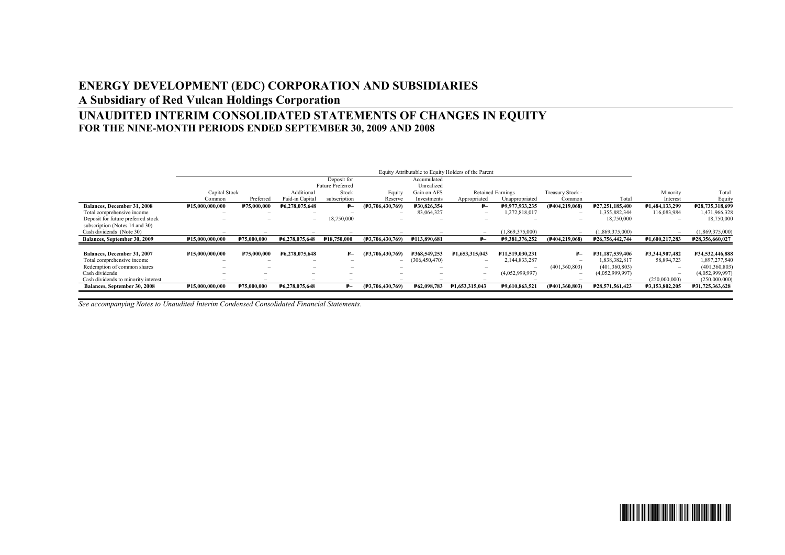# **ENERGY DEVELOPMENT (EDC) CORPORATION AND SUBSIDIARIES**

# **A Subsidiary of Red Vulcan Holdings Corporation**

# **UNAUDITED INTERIM CONSOLIDATED STATEMENTS OF CHANGES IN EQUITY FOR THE NINE-MONTH PERIODS ENDED SEPTEMBER 30, 2009 AND 2008**

|                                     |                 |                          |                          |                         |                          |                          | Equity Attributable to Equity Holders of the Parent |                          |                          |                 |                                 |                 |
|-------------------------------------|-----------------|--------------------------|--------------------------|-------------------------|--------------------------|--------------------------|-----------------------------------------------------|--------------------------|--------------------------|-----------------|---------------------------------|-----------------|
|                                     |                 |                          |                          | Deposit for             |                          | Accumulated              |                                                     |                          |                          |                 |                                 |                 |
|                                     |                 |                          |                          | <b>Future Preferred</b> |                          | Unrealized               |                                                     |                          |                          |                 |                                 |                 |
|                                     | Capital Stock   |                          | Additional               | Stock                   | Equity                   | Gain on AFS              |                                                     | <b>Retained Earnings</b> | Treasury Stock -         |                 | Minority                        | Total           |
|                                     | Common          | Preferred                | Paid-in Capital          | subscription            | Reserve                  | Investments              | Appropriated                                        | Unappropriated           | Common                   | Total           | Interest                        | Equity          |
| Balances, December 31, 2008         | P15,000,000,000 | P75,000,000              | F6,278,075,648           | ₽–                      | (F3, 706, 430, 769)      | P30.826.354              | $P-$                                                | P9,977,933,235           | (P404,219,068)           | P27,251,185,400 | P1,484,133,299                  | P28,735,318,699 |
| Total comprehensive income          | $\sim$          | $\overline{\phantom{a}}$ | $\overline{\phantom{a}}$ |                         |                          | 83,064,327               | $\hspace{0.1mm}-\hspace{0.1mm}$                     | 1,272,818,017            | $\overline{\phantom{a}}$ | 355,882,344     | 116,083,984                     | 1,471,966,328   |
| Deposit for future preferred stock  |                 |                          | $\overline{\phantom{a}}$ | 18,750,000              |                          | -                        | $\sim$                                              |                          | $\sim$                   | 18,750,000      | $\overline{\phantom{a}}$        | 18,750,000      |
| subscription (Notes 14 and 30)      |                 |                          |                          |                         |                          |                          |                                                     |                          |                          |                 |                                 |                 |
| Cash dividends (Note 30)            |                 | -                        |                          | $\sim$                  |                          |                          | $\hspace{0.1mm}-\hspace{0.1mm}$                     | (1,869,375,000)          | $\sim$                   | (1,869,375,000) | $\hspace{0.1mm}-\hspace{0.1mm}$ | (1,869,375,000) |
| Balances, September 30, 2009        | P15,000,000,000 | ₽75,000,000              | P6,278,075,648           | <b>P18,750,000</b>      | (F3,706,430,769)         | <b>P113,890,681</b>      | ₽—                                                  | F9,381,376,252           | (F404, 219, 068)         | P26,756,442,744 | P1,600,217,283                  | F28,356,660,027 |
|                                     |                 |                          |                          |                         |                          |                          |                                                     |                          |                          |                 |                                 |                 |
| Balances, December 31, 2007         | P15.000.000.000 | P75.000.000              | P6.278.075.648           | ₽–                      | (F3, 706, 430, 769)      | P368.549.253             | P1,653,315,043                                      | P11.519.030.231          | ₽—                       | P31.187.539.406 | P3.344.907.482                  | ¥34,532,446,888 |
| Total comprehensive income          | $\sim$          | $\overline{\phantom{a}}$ | $\overline{\phantom{a}}$ | $\sim$                  |                          | (306, 450, 470)          | $\hspace{0.1mm}-\hspace{0.1mm}$                     | 2,144,833,287            | $\overline{\phantom{a}}$ | 1.838.382.817   | 58,894,723                      | 1,897,277,540   |
| Redemption of common shares         |                 |                          | $\overline{\phantom{a}}$ |                         |                          | $\overline{\phantom{a}}$ | $\sim$                                              |                          | (401, 360, 803)          | (401, 360, 803) | $\overline{\phantom{a}}$        | (401, 360, 803) |
| Cash dividends                      | ÷               | -                        | -                        |                         | $\overline{\phantom{a}}$ | $\overline{\phantom{a}}$ | $\hspace{0.1mm}-\hspace{0.1mm}$                     | (4,052,999,997)          | $\overline{\phantom{a}}$ | (4,052,999,997) | $\overline{\phantom{a}}$        | (4,052,999,997) |
| Cash dividends to minority interest | <b>Service</b>  | $\sim$                   | -                        | $\sim$                  |                          | $\overline{\phantom{a}}$ | $\overline{\phantom{a}}$                            | $\overline{\phantom{a}}$ |                          |                 | (250,000,000)                   | (250,000,000)   |
| Balances, September 30, 2008        | P15,000,000,000 | P75,000,000              | P6,278,075,648           |                         | (F3, 706, 430, 769)      | P62,098,783              | P1,653,315,043                                      | P9,610,863,521           | (F401, 360, 803)         | P28,571,561,423 | F3,153,802,205                  | P31,725,363,628 |

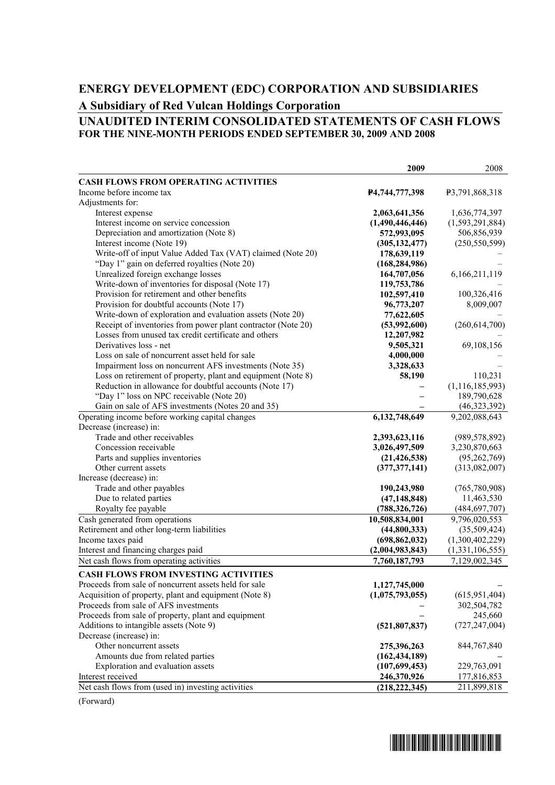# **ENERGY DEVELOPMENT (EDC) CORPORATION AND SUBSIDIARIES A Subsidiary of Red Vulcan Holdings Corporation**

### **UNAUDITED INTERIM CONSOLIDATED STATEMENTS OF CASH FLOWS FOR THE NINE-MONTH PERIODS ENDED SEPTEMBER 30, 2009 AND 2008**

| <b>CASH FLOWS FROM OPERATING ACTIVITIES</b><br>Income before income tax<br>P3,791,868,318<br>P4,744,777,398<br>Adjustments for:<br>1,636,774,397<br>Interest expense<br>2,063,641,356<br>(1,490,446,446)<br>(1, 593, 291, 884)<br>Interest income on service concession<br>Depreciation and amortization (Note 8)<br>572,993,095<br>506,856,939<br>Interest income (Note 19)<br>(250, 550, 599)<br>(305, 132, 477)<br>Write-off of input Value Added Tax (VAT) claimed (Note 20)<br>178,639,119<br>"Day 1" gain on deferred royalties (Note 20)<br>(168, 284, 986)<br>Unrealized foreign exchange losses<br>164,707,056<br>6,166,211,119<br>Write-down of inventories for disposal (Note 17)<br>119,753,786<br>Provision for retirement and other benefits<br>100,326,416<br>102,597,410<br>Provision for doubtful accounts (Note 17)<br>8,009,007<br>96,773,207<br>Write-down of exploration and evaluation assets (Note 20)<br>77,622,605<br>Receipt of inventories from power plant contractor (Note 20)<br>(53,992,600)<br>(260, 614, 700)<br>Losses from unused tax credit certificate and others<br>12,207,982<br>Derivatives loss - net<br>9,505,321<br>69,108,156<br>Loss on sale of noncurrent asset held for sale<br>4,000,000<br>Impairment loss on noncurrent AFS investments (Note 35)<br>3,328,633<br>Loss on retirement of property, plant and equipment (Note 8)<br>110,231<br>58,190<br>Reduction in allowance for doubtful accounts (Note 17)<br>(1, 116, 185, 993)<br>189,790,628<br>"Day 1" loss on NPC receivable (Note 20)<br>Gain on sale of AFS investments (Notes 20 and 35)<br>(46, 323, 392)<br>Operating income before working capital changes<br>9,202,088,643<br>6,132,748,649<br>Decrease (increase) in:<br>Trade and other receivables<br>(989, 578, 892)<br>2,393,623,116<br>3,026,497,509<br>3,230,870,663<br>Concession receivable<br>(95, 262, 769)<br>Parts and supplies inventories<br>(21, 426, 538)<br>Other current assets<br>(377, 377, 141)<br>(313,082,007)<br>Increase (decrease) in:<br>Trade and other payables<br>(765, 780, 908)<br>190,243,980<br>Due to related parties<br>11,463,530<br>(47, 148, 848)<br>Royalty fee payable<br>(484, 697, 707)<br>(788, 326, 726)<br>Cash generated from operations<br>9,796,020,553<br>10,508,834,001<br>Retirement and other long-term liabilities<br>(44,800,333)<br>(35,509,424)<br>Income taxes paid<br>(1,300,402,229)<br>(698, 862, 032)<br>Interest and financing charges paid<br>(2,004,983,843)<br>(1,331,106,555)<br>Net cash flows from operating activities<br>7,760,187,793<br>7,129,002,345<br><b>CASH FLOWS FROM INVESTING ACTIVITIES</b><br>Proceeds from sale of noncurrent assets held for sale<br>1,127,745,000<br>(615, 951, 404)<br>Acquisition of property, plant and equipment (Note 8)<br>(1,075,793,055)<br>Proceeds from sale of AFS investments<br>302,504,782<br>Proceeds from sale of property, plant and equipment<br>245,660<br>Additions to intangible assets (Note 9)<br>(727, 247, 004)<br>(521, 807, 837)<br>Decrease (increase) in:<br>Other noncurrent assets<br>275,396,263<br>844,767,840<br>Amounts due from related parties<br>(162, 434, 189)<br>(107, 699, 453)<br>229,763,091<br>Exploration and evaluation assets<br>Interest received<br>246,370,926<br>177,816,853<br>(218, 222, 345)<br>Net cash flows from (used in) investing activities<br>211,899,818 | 2009 | 2008 |
|--------------------------------------------------------------------------------------------------------------------------------------------------------------------------------------------------------------------------------------------------------------------------------------------------------------------------------------------------------------------------------------------------------------------------------------------------------------------------------------------------------------------------------------------------------------------------------------------------------------------------------------------------------------------------------------------------------------------------------------------------------------------------------------------------------------------------------------------------------------------------------------------------------------------------------------------------------------------------------------------------------------------------------------------------------------------------------------------------------------------------------------------------------------------------------------------------------------------------------------------------------------------------------------------------------------------------------------------------------------------------------------------------------------------------------------------------------------------------------------------------------------------------------------------------------------------------------------------------------------------------------------------------------------------------------------------------------------------------------------------------------------------------------------------------------------------------------------------------------------------------------------------------------------------------------------------------------------------------------------------------------------------------------------------------------------------------------------------------------------------------------------------------------------------------------------------------------------------------------------------------------------------------------------------------------------------------------------------------------------------------------------------------------------------------------------------------------------------------------------------------------------------------------------------------------------------------------------------------------------------------------------------------------------------------------------------------------------------------------------------------------------------------------------------------------------------------------------------------------------------------------------------------------------------------------------------------------------------------------------------------------------------------------------------------------------------------------------------------------------------------------------------------------------------------------------------------------------------------------------------------------------------------------------------------------------------------------------------------------------------------------------------------|------|------|
|                                                                                                                                                                                                                                                                                                                                                                                                                                                                                                                                                                                                                                                                                                                                                                                                                                                                                                                                                                                                                                                                                                                                                                                                                                                                                                                                                                                                                                                                                                                                                                                                                                                                                                                                                                                                                                                                                                                                                                                                                                                                                                                                                                                                                                                                                                                                                                                                                                                                                                                                                                                                                                                                                                                                                                                                                                                                                                                                                                                                                                                                                                                                                                                                                                                                                                                                                                                                  |      |      |
|                                                                                                                                                                                                                                                                                                                                                                                                                                                                                                                                                                                                                                                                                                                                                                                                                                                                                                                                                                                                                                                                                                                                                                                                                                                                                                                                                                                                                                                                                                                                                                                                                                                                                                                                                                                                                                                                                                                                                                                                                                                                                                                                                                                                                                                                                                                                                                                                                                                                                                                                                                                                                                                                                                                                                                                                                                                                                                                                                                                                                                                                                                                                                                                                                                                                                                                                                                                                  |      |      |
|                                                                                                                                                                                                                                                                                                                                                                                                                                                                                                                                                                                                                                                                                                                                                                                                                                                                                                                                                                                                                                                                                                                                                                                                                                                                                                                                                                                                                                                                                                                                                                                                                                                                                                                                                                                                                                                                                                                                                                                                                                                                                                                                                                                                                                                                                                                                                                                                                                                                                                                                                                                                                                                                                                                                                                                                                                                                                                                                                                                                                                                                                                                                                                                                                                                                                                                                                                                                  |      |      |
|                                                                                                                                                                                                                                                                                                                                                                                                                                                                                                                                                                                                                                                                                                                                                                                                                                                                                                                                                                                                                                                                                                                                                                                                                                                                                                                                                                                                                                                                                                                                                                                                                                                                                                                                                                                                                                                                                                                                                                                                                                                                                                                                                                                                                                                                                                                                                                                                                                                                                                                                                                                                                                                                                                                                                                                                                                                                                                                                                                                                                                                                                                                                                                                                                                                                                                                                                                                                  |      |      |
|                                                                                                                                                                                                                                                                                                                                                                                                                                                                                                                                                                                                                                                                                                                                                                                                                                                                                                                                                                                                                                                                                                                                                                                                                                                                                                                                                                                                                                                                                                                                                                                                                                                                                                                                                                                                                                                                                                                                                                                                                                                                                                                                                                                                                                                                                                                                                                                                                                                                                                                                                                                                                                                                                                                                                                                                                                                                                                                                                                                                                                                                                                                                                                                                                                                                                                                                                                                                  |      |      |
|                                                                                                                                                                                                                                                                                                                                                                                                                                                                                                                                                                                                                                                                                                                                                                                                                                                                                                                                                                                                                                                                                                                                                                                                                                                                                                                                                                                                                                                                                                                                                                                                                                                                                                                                                                                                                                                                                                                                                                                                                                                                                                                                                                                                                                                                                                                                                                                                                                                                                                                                                                                                                                                                                                                                                                                                                                                                                                                                                                                                                                                                                                                                                                                                                                                                                                                                                                                                  |      |      |
|                                                                                                                                                                                                                                                                                                                                                                                                                                                                                                                                                                                                                                                                                                                                                                                                                                                                                                                                                                                                                                                                                                                                                                                                                                                                                                                                                                                                                                                                                                                                                                                                                                                                                                                                                                                                                                                                                                                                                                                                                                                                                                                                                                                                                                                                                                                                                                                                                                                                                                                                                                                                                                                                                                                                                                                                                                                                                                                                                                                                                                                                                                                                                                                                                                                                                                                                                                                                  |      |      |
|                                                                                                                                                                                                                                                                                                                                                                                                                                                                                                                                                                                                                                                                                                                                                                                                                                                                                                                                                                                                                                                                                                                                                                                                                                                                                                                                                                                                                                                                                                                                                                                                                                                                                                                                                                                                                                                                                                                                                                                                                                                                                                                                                                                                                                                                                                                                                                                                                                                                                                                                                                                                                                                                                                                                                                                                                                                                                                                                                                                                                                                                                                                                                                                                                                                                                                                                                                                                  |      |      |
|                                                                                                                                                                                                                                                                                                                                                                                                                                                                                                                                                                                                                                                                                                                                                                                                                                                                                                                                                                                                                                                                                                                                                                                                                                                                                                                                                                                                                                                                                                                                                                                                                                                                                                                                                                                                                                                                                                                                                                                                                                                                                                                                                                                                                                                                                                                                                                                                                                                                                                                                                                                                                                                                                                                                                                                                                                                                                                                                                                                                                                                                                                                                                                                                                                                                                                                                                                                                  |      |      |
|                                                                                                                                                                                                                                                                                                                                                                                                                                                                                                                                                                                                                                                                                                                                                                                                                                                                                                                                                                                                                                                                                                                                                                                                                                                                                                                                                                                                                                                                                                                                                                                                                                                                                                                                                                                                                                                                                                                                                                                                                                                                                                                                                                                                                                                                                                                                                                                                                                                                                                                                                                                                                                                                                                                                                                                                                                                                                                                                                                                                                                                                                                                                                                                                                                                                                                                                                                                                  |      |      |
|                                                                                                                                                                                                                                                                                                                                                                                                                                                                                                                                                                                                                                                                                                                                                                                                                                                                                                                                                                                                                                                                                                                                                                                                                                                                                                                                                                                                                                                                                                                                                                                                                                                                                                                                                                                                                                                                                                                                                                                                                                                                                                                                                                                                                                                                                                                                                                                                                                                                                                                                                                                                                                                                                                                                                                                                                                                                                                                                                                                                                                                                                                                                                                                                                                                                                                                                                                                                  |      |      |
|                                                                                                                                                                                                                                                                                                                                                                                                                                                                                                                                                                                                                                                                                                                                                                                                                                                                                                                                                                                                                                                                                                                                                                                                                                                                                                                                                                                                                                                                                                                                                                                                                                                                                                                                                                                                                                                                                                                                                                                                                                                                                                                                                                                                                                                                                                                                                                                                                                                                                                                                                                                                                                                                                                                                                                                                                                                                                                                                                                                                                                                                                                                                                                                                                                                                                                                                                                                                  |      |      |
|                                                                                                                                                                                                                                                                                                                                                                                                                                                                                                                                                                                                                                                                                                                                                                                                                                                                                                                                                                                                                                                                                                                                                                                                                                                                                                                                                                                                                                                                                                                                                                                                                                                                                                                                                                                                                                                                                                                                                                                                                                                                                                                                                                                                                                                                                                                                                                                                                                                                                                                                                                                                                                                                                                                                                                                                                                                                                                                                                                                                                                                                                                                                                                                                                                                                                                                                                                                                  |      |      |
|                                                                                                                                                                                                                                                                                                                                                                                                                                                                                                                                                                                                                                                                                                                                                                                                                                                                                                                                                                                                                                                                                                                                                                                                                                                                                                                                                                                                                                                                                                                                                                                                                                                                                                                                                                                                                                                                                                                                                                                                                                                                                                                                                                                                                                                                                                                                                                                                                                                                                                                                                                                                                                                                                                                                                                                                                                                                                                                                                                                                                                                                                                                                                                                                                                                                                                                                                                                                  |      |      |
|                                                                                                                                                                                                                                                                                                                                                                                                                                                                                                                                                                                                                                                                                                                                                                                                                                                                                                                                                                                                                                                                                                                                                                                                                                                                                                                                                                                                                                                                                                                                                                                                                                                                                                                                                                                                                                                                                                                                                                                                                                                                                                                                                                                                                                                                                                                                                                                                                                                                                                                                                                                                                                                                                                                                                                                                                                                                                                                                                                                                                                                                                                                                                                                                                                                                                                                                                                                                  |      |      |
|                                                                                                                                                                                                                                                                                                                                                                                                                                                                                                                                                                                                                                                                                                                                                                                                                                                                                                                                                                                                                                                                                                                                                                                                                                                                                                                                                                                                                                                                                                                                                                                                                                                                                                                                                                                                                                                                                                                                                                                                                                                                                                                                                                                                                                                                                                                                                                                                                                                                                                                                                                                                                                                                                                                                                                                                                                                                                                                                                                                                                                                                                                                                                                                                                                                                                                                                                                                                  |      |      |
|                                                                                                                                                                                                                                                                                                                                                                                                                                                                                                                                                                                                                                                                                                                                                                                                                                                                                                                                                                                                                                                                                                                                                                                                                                                                                                                                                                                                                                                                                                                                                                                                                                                                                                                                                                                                                                                                                                                                                                                                                                                                                                                                                                                                                                                                                                                                                                                                                                                                                                                                                                                                                                                                                                                                                                                                                                                                                                                                                                                                                                                                                                                                                                                                                                                                                                                                                                                                  |      |      |
|                                                                                                                                                                                                                                                                                                                                                                                                                                                                                                                                                                                                                                                                                                                                                                                                                                                                                                                                                                                                                                                                                                                                                                                                                                                                                                                                                                                                                                                                                                                                                                                                                                                                                                                                                                                                                                                                                                                                                                                                                                                                                                                                                                                                                                                                                                                                                                                                                                                                                                                                                                                                                                                                                                                                                                                                                                                                                                                                                                                                                                                                                                                                                                                                                                                                                                                                                                                                  |      |      |
|                                                                                                                                                                                                                                                                                                                                                                                                                                                                                                                                                                                                                                                                                                                                                                                                                                                                                                                                                                                                                                                                                                                                                                                                                                                                                                                                                                                                                                                                                                                                                                                                                                                                                                                                                                                                                                                                                                                                                                                                                                                                                                                                                                                                                                                                                                                                                                                                                                                                                                                                                                                                                                                                                                                                                                                                                                                                                                                                                                                                                                                                                                                                                                                                                                                                                                                                                                                                  |      |      |
|                                                                                                                                                                                                                                                                                                                                                                                                                                                                                                                                                                                                                                                                                                                                                                                                                                                                                                                                                                                                                                                                                                                                                                                                                                                                                                                                                                                                                                                                                                                                                                                                                                                                                                                                                                                                                                                                                                                                                                                                                                                                                                                                                                                                                                                                                                                                                                                                                                                                                                                                                                                                                                                                                                                                                                                                                                                                                                                                                                                                                                                                                                                                                                                                                                                                                                                                                                                                  |      |      |
|                                                                                                                                                                                                                                                                                                                                                                                                                                                                                                                                                                                                                                                                                                                                                                                                                                                                                                                                                                                                                                                                                                                                                                                                                                                                                                                                                                                                                                                                                                                                                                                                                                                                                                                                                                                                                                                                                                                                                                                                                                                                                                                                                                                                                                                                                                                                                                                                                                                                                                                                                                                                                                                                                                                                                                                                                                                                                                                                                                                                                                                                                                                                                                                                                                                                                                                                                                                                  |      |      |
|                                                                                                                                                                                                                                                                                                                                                                                                                                                                                                                                                                                                                                                                                                                                                                                                                                                                                                                                                                                                                                                                                                                                                                                                                                                                                                                                                                                                                                                                                                                                                                                                                                                                                                                                                                                                                                                                                                                                                                                                                                                                                                                                                                                                                                                                                                                                                                                                                                                                                                                                                                                                                                                                                                                                                                                                                                                                                                                                                                                                                                                                                                                                                                                                                                                                                                                                                                                                  |      |      |
|                                                                                                                                                                                                                                                                                                                                                                                                                                                                                                                                                                                                                                                                                                                                                                                                                                                                                                                                                                                                                                                                                                                                                                                                                                                                                                                                                                                                                                                                                                                                                                                                                                                                                                                                                                                                                                                                                                                                                                                                                                                                                                                                                                                                                                                                                                                                                                                                                                                                                                                                                                                                                                                                                                                                                                                                                                                                                                                                                                                                                                                                                                                                                                                                                                                                                                                                                                                                  |      |      |
|                                                                                                                                                                                                                                                                                                                                                                                                                                                                                                                                                                                                                                                                                                                                                                                                                                                                                                                                                                                                                                                                                                                                                                                                                                                                                                                                                                                                                                                                                                                                                                                                                                                                                                                                                                                                                                                                                                                                                                                                                                                                                                                                                                                                                                                                                                                                                                                                                                                                                                                                                                                                                                                                                                                                                                                                                                                                                                                                                                                                                                                                                                                                                                                                                                                                                                                                                                                                  |      |      |
|                                                                                                                                                                                                                                                                                                                                                                                                                                                                                                                                                                                                                                                                                                                                                                                                                                                                                                                                                                                                                                                                                                                                                                                                                                                                                                                                                                                                                                                                                                                                                                                                                                                                                                                                                                                                                                                                                                                                                                                                                                                                                                                                                                                                                                                                                                                                                                                                                                                                                                                                                                                                                                                                                                                                                                                                                                                                                                                                                                                                                                                                                                                                                                                                                                                                                                                                                                                                  |      |      |
|                                                                                                                                                                                                                                                                                                                                                                                                                                                                                                                                                                                                                                                                                                                                                                                                                                                                                                                                                                                                                                                                                                                                                                                                                                                                                                                                                                                                                                                                                                                                                                                                                                                                                                                                                                                                                                                                                                                                                                                                                                                                                                                                                                                                                                                                                                                                                                                                                                                                                                                                                                                                                                                                                                                                                                                                                                                                                                                                                                                                                                                                                                                                                                                                                                                                                                                                                                                                  |      |      |
|                                                                                                                                                                                                                                                                                                                                                                                                                                                                                                                                                                                                                                                                                                                                                                                                                                                                                                                                                                                                                                                                                                                                                                                                                                                                                                                                                                                                                                                                                                                                                                                                                                                                                                                                                                                                                                                                                                                                                                                                                                                                                                                                                                                                                                                                                                                                                                                                                                                                                                                                                                                                                                                                                                                                                                                                                                                                                                                                                                                                                                                                                                                                                                                                                                                                                                                                                                                                  |      |      |
|                                                                                                                                                                                                                                                                                                                                                                                                                                                                                                                                                                                                                                                                                                                                                                                                                                                                                                                                                                                                                                                                                                                                                                                                                                                                                                                                                                                                                                                                                                                                                                                                                                                                                                                                                                                                                                                                                                                                                                                                                                                                                                                                                                                                                                                                                                                                                                                                                                                                                                                                                                                                                                                                                                                                                                                                                                                                                                                                                                                                                                                                                                                                                                                                                                                                                                                                                                                                  |      |      |
|                                                                                                                                                                                                                                                                                                                                                                                                                                                                                                                                                                                                                                                                                                                                                                                                                                                                                                                                                                                                                                                                                                                                                                                                                                                                                                                                                                                                                                                                                                                                                                                                                                                                                                                                                                                                                                                                                                                                                                                                                                                                                                                                                                                                                                                                                                                                                                                                                                                                                                                                                                                                                                                                                                                                                                                                                                                                                                                                                                                                                                                                                                                                                                                                                                                                                                                                                                                                  |      |      |
|                                                                                                                                                                                                                                                                                                                                                                                                                                                                                                                                                                                                                                                                                                                                                                                                                                                                                                                                                                                                                                                                                                                                                                                                                                                                                                                                                                                                                                                                                                                                                                                                                                                                                                                                                                                                                                                                                                                                                                                                                                                                                                                                                                                                                                                                                                                                                                                                                                                                                                                                                                                                                                                                                                                                                                                                                                                                                                                                                                                                                                                                                                                                                                                                                                                                                                                                                                                                  |      |      |
|                                                                                                                                                                                                                                                                                                                                                                                                                                                                                                                                                                                                                                                                                                                                                                                                                                                                                                                                                                                                                                                                                                                                                                                                                                                                                                                                                                                                                                                                                                                                                                                                                                                                                                                                                                                                                                                                                                                                                                                                                                                                                                                                                                                                                                                                                                                                                                                                                                                                                                                                                                                                                                                                                                                                                                                                                                                                                                                                                                                                                                                                                                                                                                                                                                                                                                                                                                                                  |      |      |
|                                                                                                                                                                                                                                                                                                                                                                                                                                                                                                                                                                                                                                                                                                                                                                                                                                                                                                                                                                                                                                                                                                                                                                                                                                                                                                                                                                                                                                                                                                                                                                                                                                                                                                                                                                                                                                                                                                                                                                                                                                                                                                                                                                                                                                                                                                                                                                                                                                                                                                                                                                                                                                                                                                                                                                                                                                                                                                                                                                                                                                                                                                                                                                                                                                                                                                                                                                                                  |      |      |
|                                                                                                                                                                                                                                                                                                                                                                                                                                                                                                                                                                                                                                                                                                                                                                                                                                                                                                                                                                                                                                                                                                                                                                                                                                                                                                                                                                                                                                                                                                                                                                                                                                                                                                                                                                                                                                                                                                                                                                                                                                                                                                                                                                                                                                                                                                                                                                                                                                                                                                                                                                                                                                                                                                                                                                                                                                                                                                                                                                                                                                                                                                                                                                                                                                                                                                                                                                                                  |      |      |
|                                                                                                                                                                                                                                                                                                                                                                                                                                                                                                                                                                                                                                                                                                                                                                                                                                                                                                                                                                                                                                                                                                                                                                                                                                                                                                                                                                                                                                                                                                                                                                                                                                                                                                                                                                                                                                                                                                                                                                                                                                                                                                                                                                                                                                                                                                                                                                                                                                                                                                                                                                                                                                                                                                                                                                                                                                                                                                                                                                                                                                                                                                                                                                                                                                                                                                                                                                                                  |      |      |
|                                                                                                                                                                                                                                                                                                                                                                                                                                                                                                                                                                                                                                                                                                                                                                                                                                                                                                                                                                                                                                                                                                                                                                                                                                                                                                                                                                                                                                                                                                                                                                                                                                                                                                                                                                                                                                                                                                                                                                                                                                                                                                                                                                                                                                                                                                                                                                                                                                                                                                                                                                                                                                                                                                                                                                                                                                                                                                                                                                                                                                                                                                                                                                                                                                                                                                                                                                                                  |      |      |
|                                                                                                                                                                                                                                                                                                                                                                                                                                                                                                                                                                                                                                                                                                                                                                                                                                                                                                                                                                                                                                                                                                                                                                                                                                                                                                                                                                                                                                                                                                                                                                                                                                                                                                                                                                                                                                                                                                                                                                                                                                                                                                                                                                                                                                                                                                                                                                                                                                                                                                                                                                                                                                                                                                                                                                                                                                                                                                                                                                                                                                                                                                                                                                                                                                                                                                                                                                                                  |      |      |
|                                                                                                                                                                                                                                                                                                                                                                                                                                                                                                                                                                                                                                                                                                                                                                                                                                                                                                                                                                                                                                                                                                                                                                                                                                                                                                                                                                                                                                                                                                                                                                                                                                                                                                                                                                                                                                                                                                                                                                                                                                                                                                                                                                                                                                                                                                                                                                                                                                                                                                                                                                                                                                                                                                                                                                                                                                                                                                                                                                                                                                                                                                                                                                                                                                                                                                                                                                                                  |      |      |
|                                                                                                                                                                                                                                                                                                                                                                                                                                                                                                                                                                                                                                                                                                                                                                                                                                                                                                                                                                                                                                                                                                                                                                                                                                                                                                                                                                                                                                                                                                                                                                                                                                                                                                                                                                                                                                                                                                                                                                                                                                                                                                                                                                                                                                                                                                                                                                                                                                                                                                                                                                                                                                                                                                                                                                                                                                                                                                                                                                                                                                                                                                                                                                                                                                                                                                                                                                                                  |      |      |
|                                                                                                                                                                                                                                                                                                                                                                                                                                                                                                                                                                                                                                                                                                                                                                                                                                                                                                                                                                                                                                                                                                                                                                                                                                                                                                                                                                                                                                                                                                                                                                                                                                                                                                                                                                                                                                                                                                                                                                                                                                                                                                                                                                                                                                                                                                                                                                                                                                                                                                                                                                                                                                                                                                                                                                                                                                                                                                                                                                                                                                                                                                                                                                                                                                                                                                                                                                                                  |      |      |
|                                                                                                                                                                                                                                                                                                                                                                                                                                                                                                                                                                                                                                                                                                                                                                                                                                                                                                                                                                                                                                                                                                                                                                                                                                                                                                                                                                                                                                                                                                                                                                                                                                                                                                                                                                                                                                                                                                                                                                                                                                                                                                                                                                                                                                                                                                                                                                                                                                                                                                                                                                                                                                                                                                                                                                                                                                                                                                                                                                                                                                                                                                                                                                                                                                                                                                                                                                                                  |      |      |
|                                                                                                                                                                                                                                                                                                                                                                                                                                                                                                                                                                                                                                                                                                                                                                                                                                                                                                                                                                                                                                                                                                                                                                                                                                                                                                                                                                                                                                                                                                                                                                                                                                                                                                                                                                                                                                                                                                                                                                                                                                                                                                                                                                                                                                                                                                                                                                                                                                                                                                                                                                                                                                                                                                                                                                                                                                                                                                                                                                                                                                                                                                                                                                                                                                                                                                                                                                                                  |      |      |
|                                                                                                                                                                                                                                                                                                                                                                                                                                                                                                                                                                                                                                                                                                                                                                                                                                                                                                                                                                                                                                                                                                                                                                                                                                                                                                                                                                                                                                                                                                                                                                                                                                                                                                                                                                                                                                                                                                                                                                                                                                                                                                                                                                                                                                                                                                                                                                                                                                                                                                                                                                                                                                                                                                                                                                                                                                                                                                                                                                                                                                                                                                                                                                                                                                                                                                                                                                                                  |      |      |
|                                                                                                                                                                                                                                                                                                                                                                                                                                                                                                                                                                                                                                                                                                                                                                                                                                                                                                                                                                                                                                                                                                                                                                                                                                                                                                                                                                                                                                                                                                                                                                                                                                                                                                                                                                                                                                                                                                                                                                                                                                                                                                                                                                                                                                                                                                                                                                                                                                                                                                                                                                                                                                                                                                                                                                                                                                                                                                                                                                                                                                                                                                                                                                                                                                                                                                                                                                                                  |      |      |
|                                                                                                                                                                                                                                                                                                                                                                                                                                                                                                                                                                                                                                                                                                                                                                                                                                                                                                                                                                                                                                                                                                                                                                                                                                                                                                                                                                                                                                                                                                                                                                                                                                                                                                                                                                                                                                                                                                                                                                                                                                                                                                                                                                                                                                                                                                                                                                                                                                                                                                                                                                                                                                                                                                                                                                                                                                                                                                                                                                                                                                                                                                                                                                                                                                                                                                                                                                                                  |      |      |
|                                                                                                                                                                                                                                                                                                                                                                                                                                                                                                                                                                                                                                                                                                                                                                                                                                                                                                                                                                                                                                                                                                                                                                                                                                                                                                                                                                                                                                                                                                                                                                                                                                                                                                                                                                                                                                                                                                                                                                                                                                                                                                                                                                                                                                                                                                                                                                                                                                                                                                                                                                                                                                                                                                                                                                                                                                                                                                                                                                                                                                                                                                                                                                                                                                                                                                                                                                                                  |      |      |
|                                                                                                                                                                                                                                                                                                                                                                                                                                                                                                                                                                                                                                                                                                                                                                                                                                                                                                                                                                                                                                                                                                                                                                                                                                                                                                                                                                                                                                                                                                                                                                                                                                                                                                                                                                                                                                                                                                                                                                                                                                                                                                                                                                                                                                                                                                                                                                                                                                                                                                                                                                                                                                                                                                                                                                                                                                                                                                                                                                                                                                                                                                                                                                                                                                                                                                                                                                                                  |      |      |
|                                                                                                                                                                                                                                                                                                                                                                                                                                                                                                                                                                                                                                                                                                                                                                                                                                                                                                                                                                                                                                                                                                                                                                                                                                                                                                                                                                                                                                                                                                                                                                                                                                                                                                                                                                                                                                                                                                                                                                                                                                                                                                                                                                                                                                                                                                                                                                                                                                                                                                                                                                                                                                                                                                                                                                                                                                                                                                                                                                                                                                                                                                                                                                                                                                                                                                                                                                                                  |      |      |
|                                                                                                                                                                                                                                                                                                                                                                                                                                                                                                                                                                                                                                                                                                                                                                                                                                                                                                                                                                                                                                                                                                                                                                                                                                                                                                                                                                                                                                                                                                                                                                                                                                                                                                                                                                                                                                                                                                                                                                                                                                                                                                                                                                                                                                                                                                                                                                                                                                                                                                                                                                                                                                                                                                                                                                                                                                                                                                                                                                                                                                                                                                                                                                                                                                                                                                                                                                                                  |      |      |
|                                                                                                                                                                                                                                                                                                                                                                                                                                                                                                                                                                                                                                                                                                                                                                                                                                                                                                                                                                                                                                                                                                                                                                                                                                                                                                                                                                                                                                                                                                                                                                                                                                                                                                                                                                                                                                                                                                                                                                                                                                                                                                                                                                                                                                                                                                                                                                                                                                                                                                                                                                                                                                                                                                                                                                                                                                                                                                                                                                                                                                                                                                                                                                                                                                                                                                                                                                                                  |      |      |
|                                                                                                                                                                                                                                                                                                                                                                                                                                                                                                                                                                                                                                                                                                                                                                                                                                                                                                                                                                                                                                                                                                                                                                                                                                                                                                                                                                                                                                                                                                                                                                                                                                                                                                                                                                                                                                                                                                                                                                                                                                                                                                                                                                                                                                                                                                                                                                                                                                                                                                                                                                                                                                                                                                                                                                                                                                                                                                                                                                                                                                                                                                                                                                                                                                                                                                                                                                                                  |      |      |
|                                                                                                                                                                                                                                                                                                                                                                                                                                                                                                                                                                                                                                                                                                                                                                                                                                                                                                                                                                                                                                                                                                                                                                                                                                                                                                                                                                                                                                                                                                                                                                                                                                                                                                                                                                                                                                                                                                                                                                                                                                                                                                                                                                                                                                                                                                                                                                                                                                                                                                                                                                                                                                                                                                                                                                                                                                                                                                                                                                                                                                                                                                                                                                                                                                                                                                                                                                                                  |      |      |

(Forward)

\*SGVMC310210\*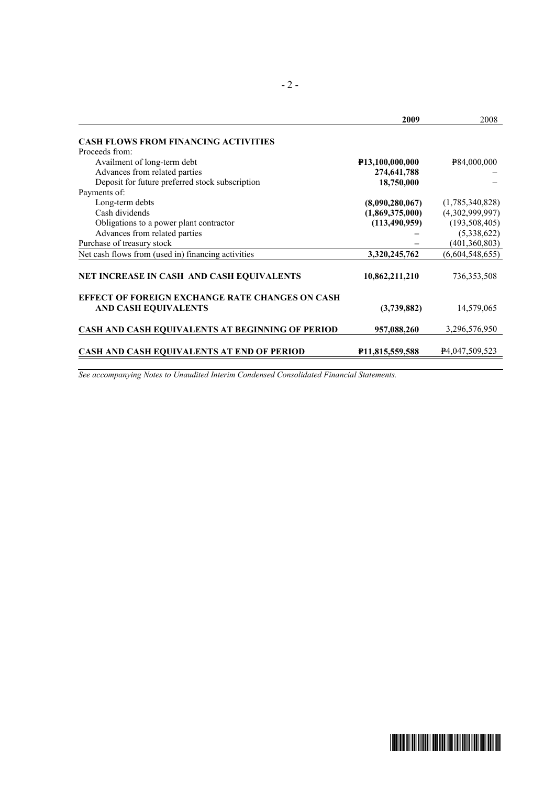|                                                                                       | 2009                         | 2008                        |
|---------------------------------------------------------------------------------------|------------------------------|-----------------------------|
| <b>CASH FLOWS FROM FINANCING ACTIVITIES</b>                                           |                              |                             |
| Proceeds from:                                                                        |                              |                             |
| Availment of long-term debt                                                           | P <sub>13</sub> ,100,000,000 | P84,000,000                 |
| Advances from related parties                                                         | 274,641,788                  |                             |
| Deposit for future preferred stock subscription                                       | 18,750,000                   |                             |
| Payments of:                                                                          |                              |                             |
| Long-term debts                                                                       | (8,090,280,067)              | (1,785,340,828)             |
| Cash dividends                                                                        | (1,869,375,000)              | (4,302,999,997)             |
| Obligations to a power plant contractor                                               | (113, 490, 959)              | (193, 508, 405)             |
| Advances from related parties                                                         |                              | (5,338,622)                 |
| Purchase of treasury stock                                                            |                              | (401, 360, 803)             |
| Net cash flows from (used in) financing activities                                    | 3,320,245,762                | (6,604,548,655)             |
| NET INCREASE IN CASH AND CASH EQUIVALENTS                                             | 10,862,211,210               | 736, 353, 508               |
| <b>EFFECT OF FOREIGN EXCHANGE RATE CHANGES ON CASH</b><br><b>AND CASH EQUIVALENTS</b> | (3,739,882)                  | 14,579,065                  |
| CASH AND CASH EQUIVALENTS AT BEGINNING OF PERIOD                                      | 957,088,260                  | 3,296,576,950               |
| <b>CASH AND CASH EQUIVALENTS AT END OF PERIOD</b>                                     | P <sub>11</sub> ,815,559,588 | P <sub>4</sub> ,047,509,523 |

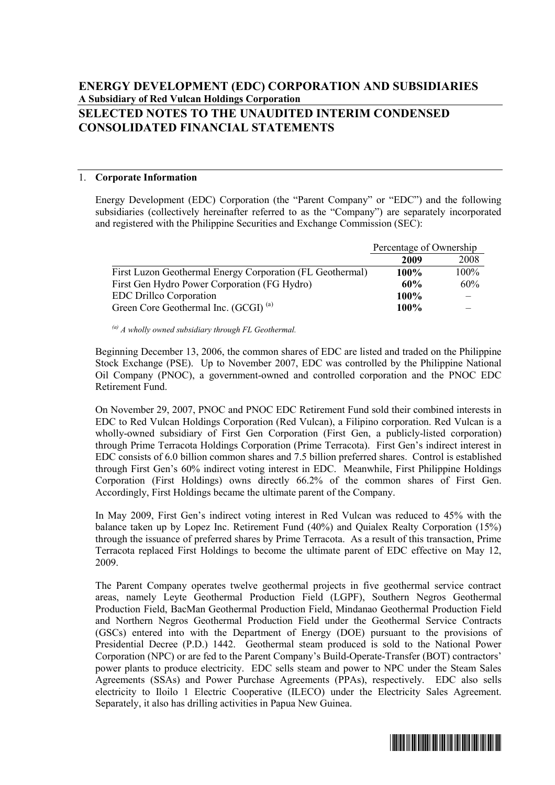# **ENERGY DEVELOPMENT (EDC) CORPORATION AND SUBSIDIARIES A Subsidiary of Red Vulcan Holdings Corporation SELECTED NOTES TO THE UNAUDITED INTERIM CONDENSED CONSOLIDATED FINANCIAL STATEMENTS**

#### 1. **Corporate Information**

Energy Development (EDC) Corporation (the "Parent Company" or "EDC") and the following subsidiaries (collectively hereinafter referred to as the "Company") are separately incorporated and registered with the Philippine Securities and Exchange Commission (SEC):

|                                                           | Percentage of Ownership |      |
|-----------------------------------------------------------|-------------------------|------|
|                                                           | 2009                    | 2008 |
| First Luzon Geothermal Energy Corporation (FL Geothermal) | <b>100%</b>             | 100% |
| First Gen Hydro Power Corporation (FG Hydro)              | 60%                     | 60%  |
| <b>EDC</b> Drillco Corporation                            | 100%                    |      |
| Green Core Geothermal Inc. (GCGI) <sup>(a)</sup>          | 100%                    |      |

*(a) A wholly owned subsidiary through FL Geothermal.* 

Beginning December 13, 2006, the common shares of EDC are listed and traded on the Philippine Stock Exchange (PSE). Up to November 2007, EDC was controlled by the Philippine National Oil Company (PNOC), a government-owned and controlled corporation and the PNOC EDC Retirement Fund.

On November 29, 2007, PNOC and PNOC EDC Retirement Fund sold their combined interests in EDC to Red Vulcan Holdings Corporation (Red Vulcan), a Filipino corporation. Red Vulcan is a wholly-owned subsidiary of First Gen Corporation (First Gen, a publicly-listed corporation) through Prime Terracota Holdings Corporation (Prime Terracota). First Gen's indirect interest in EDC consists of 6.0 billion common shares and 7.5 billion preferred shares. Control is established through First Gen's 60% indirect voting interest in EDC. Meanwhile, First Philippine Holdings Corporation (First Holdings) owns directly 66.2% of the common shares of First Gen. Accordingly, First Holdings became the ultimate parent of the Company.

In May 2009, First Gen's indirect voting interest in Red Vulcan was reduced to 45% with the balance taken up by Lopez Inc. Retirement Fund (40%) and Quialex Realty Corporation (15%) through the issuance of preferred shares by Prime Terracota. As a result of this transaction, Prime Terracota replaced First Holdings to become the ultimate parent of EDC effective on May 12, 2009.

The Parent Company operates twelve geothermal projects in five geothermal service contract areas, namely Leyte Geothermal Production Field (LGPF), Southern Negros Geothermal Production Field, BacMan Geothermal Production Field, Mindanao Geothermal Production Field and Northern Negros Geothermal Production Field under the Geothermal Service Contracts (GSCs) entered into with the Department of Energy (DOE) pursuant to the provisions of Presidential Decree (P.D.) 1442. Geothermal steam produced is sold to the National Power Corporation (NPC) or are fed to the Parent Company's Build-Operate-Transfer (BOT) contractors' power plants to produce electricity. EDC sells steam and power to NPC under the Steam Sales Agreements (SSAs) and Power Purchase Agreements (PPAs), respectively. EDC also sells electricity to Iloilo 1 Electric Cooperative (ILECO) under the Electricity Sales Agreement. Separately, it also has drilling activities in Papua New Guinea.

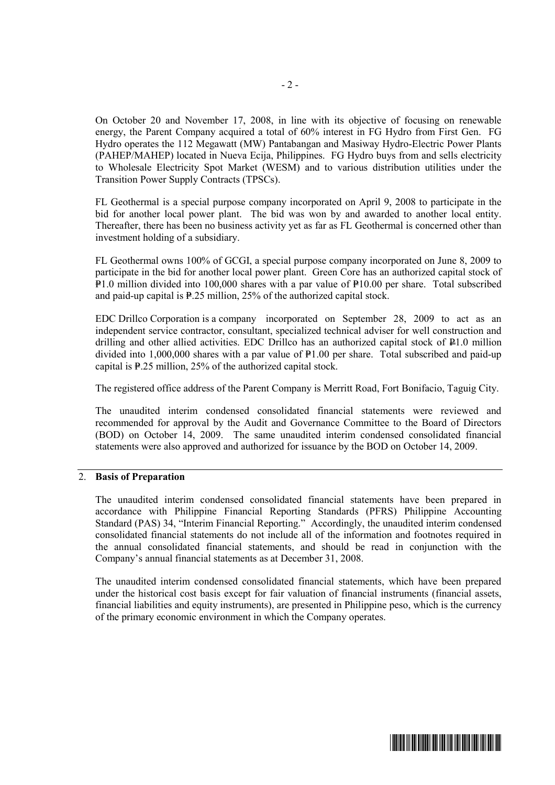On October 20 and November 17, 2008, in line with its objective of focusing on renewable energy, the Parent Company acquired a total of 60% interest in FG Hydro from First Gen. FG Hydro operates the 112 Megawatt (MW) Pantabangan and Masiway Hydro-Electric Power Plants (PAHEP/MAHEP) located in Nueva Ecija, Philippines. FG Hydro buys from and sells electricity to Wholesale Electricity Spot Market (WESM) and to various distribution utilities under the Transition Power Supply Contracts (TPSCs).

FL Geothermal is a special purpose company incorporated on April 9, 2008 to participate in the bid for another local power plant. The bid was won by and awarded to another local entity. Thereafter, there has been no business activity yet as far as FL Geothermal is concerned other than investment holding of a subsidiary.

FL Geothermal owns 100% of GCGI, a special purpose company incorporated on June 8, 2009 to participate in the bid for another local power plant. Green Core has an authorized capital stock of  $P=1.0$  million divided into 100,000 shares with a par value of  $P=10.00$  per share. Total subscribed and paid-up capital is  $\frac{1}{2}$ . million, 25% of the authorized capital stock.

EDC Drillco Corporation is a company incorporated on September 28, 2009 to act as an independent service contractor, consultant, specialized technical adviser for well construction and drilling and other allied activities. EDC Drillco has an authorized capital stock of P1.0 million divided into  $1,000,000$  shares with a par value of  $\text{P1.00}$  per share. Total subscribed and paid-up capital is  $P.25$  million, 25% of the authorized capital stock.

The registered office address of the Parent Company is Merritt Road, Fort Bonifacio, Taguig City.

The unaudited interim condensed consolidated financial statements were reviewed and recommended for approval by the Audit and Governance Committee to the Board of Directors (BOD) on October 14, 2009. The same unaudited interim condensed consolidated financial statements were also approved and authorized for issuance by the BOD on October 14, 2009.

#### 2. **Basis of Preparation**

The unaudited interim condensed consolidated financial statements have been prepared in accordance with Philippine Financial Reporting Standards (PFRS) Philippine Accounting Standard (PAS) 34, "Interim Financial Reporting."Accordingly, the unaudited interim condensed consolidated financial statements do not include all of the information and footnotes required in the annual consolidated financial statements, and should be read in conjunction with the Company's annual financial statements as at December 31, 2008.

The unaudited interim condensed consolidated financial statements, which have been prepared under the historical cost basis except for fair valuation of financial instruments (financial assets, financial liabilities and equity instruments), are presented in Philippine peso, which is the currency of the primary economic environment in which the Company operates.

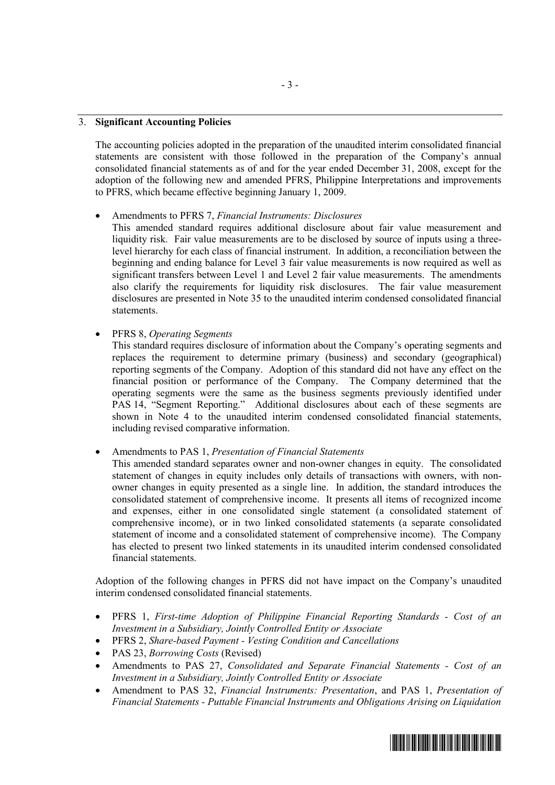#### 3. **Significant Accounting Policies**

The accounting policies adopted in the preparation of the unaudited interim consolidated financial statements are consistent with those followed in the preparation of the Company's annual consolidated financial statements as of and for the year ended December 31, 2008, except for the adoption of the following new and amended PFRS, Philippine Interpretations and improvements to PFRS, which became effective beginning January 1, 2009.

#### · Amendments to PFRS 7, *Financial Instruments: Disclosures*

This amended standard requires additional disclosure about fair value measurement and liquidity risk. Fair value measurements are to be disclosed by source of inputs using a threelevel hierarchy for each class of financial instrument. In addition, a reconciliation between the beginning and ending balance for Level 3 fair value measurements is now required as well as significant transfers between Level 1 and Level 2 fair value measurements. The amendments also clarify the requirements for liquidity risk disclosures. The fair value measurement disclosures are presented in Note 35 to the unaudited interim condensed consolidated financial statements.

· PFRS 8, *Operating Segments*

This standard requires disclosure of information about the Company's operating segments and replaces the requirement to determine primary (business) and secondary (geographical) reporting segments of the Company. Adoption of this standard did not have any effect on the financial position or performance of the Company. The Company determined that the operating segments were the same as the business segments previously identified under PAS 14, "Segment Reporting." Additional disclosures about each of these segments are shown in Note 4 to the unaudited interim condensed consolidated financial statements, including revised comparative information.

· Amendments to PAS 1, *Presentation of Financial Statements*

This amended standard separates owner and non-owner changes in equity. The consolidated statement of changes in equity includes only details of transactions with owners, with nonowner changes in equity presented as a single line. In addition, the standard introduces the consolidated statement of comprehensive income. It presents all items of recognized income and expenses, either in one consolidated single statement (a consolidated statement of comprehensive income), or in two linked consolidated statements (a separate consolidated statement of income and a consolidated statement of comprehensive income). The Company has elected to present two linked statements in its unaudited interim condensed consolidated financial statements.

Adoption of the following changes in PFRS did not have impact on the Company's unaudited interim condensed consolidated financial statements.

- · PFRS 1, *First-time Adoption of Philippine Financial Reporting Standards - Cost of an Investment in a Subsidiary, Jointly Controlled Entity or Associate*
- · PFRS 2, *Share-based Payment - Vesting Condition and Cancellations*
- · PAS 23, *Borrowing Costs* (Revised)
- · Amendments to PAS 27, *Consolidated and Separate Financial Statements - Cost of an Investment in a Subsidiary, Jointly Controlled Entity or Associate*
- · Amendment to PAS 32, *Financial Instruments: Presentation*, and PAS 1, *Presentation of Financial Statements - Puttable Financial Instruments and Obligations Arising on Liquidation*

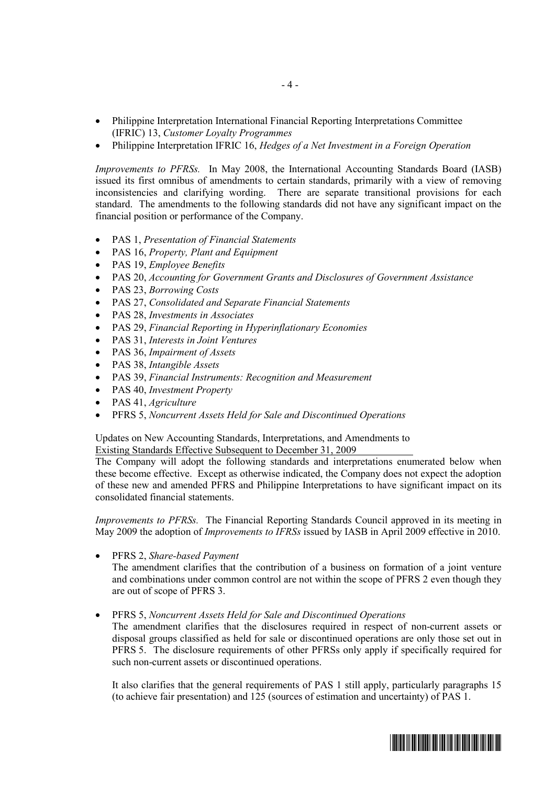- · Philippine Interpretation International Financial Reporting Interpretations Committee (IFRIC) 13, *Customer Loyalty Programmes*
- · Philippine Interpretation IFRIC 16, *Hedges of a Net Investment in a Foreign Operation*

*Improvements to PFRSs.* In May 2008, the International Accounting Standards Board (IASB) issued its first omnibus of amendments to certain standards, primarily with a view of removing inconsistencies and clarifying wording. There are separate transitional provisions for each standard. The amendments to the following standards did not have any significant impact on the financial position or performance of the Company.

- · PAS 1, *Presentation of Financial Statements*
- · PAS 16, *Property, Plant and Equipment*
- · PAS 19, *Employee Benefits*
- · PAS 20, *Accounting for Government Grants and Disclosures of Government Assistance*
- · PAS 23, *Borrowing Costs*
- · PAS 27, *Consolidated and Separate Financial Statements*
- · PAS 28, *Investments in Associates*
- · PAS 29, *Financial Reporting in Hyperinflationary Economies*
- · PAS 31, *Interests in Joint Ventures*
- · PAS 36, *Impairment of Assets*
- · PAS 38, *Intangible Assets*
- · PAS 39, *Financial Instruments: Recognition and Measurement*
- · PAS 40, *Investment Property*
- · PAS 41, *Agriculture*
- · PFRS 5, *Noncurrent Assets Held for Sale and Discontinued Operations*

Updates on New Accounting Standards, Interpretations, and Amendments to Existing Standards Effective Subsequent to December 31, 2009

The Company will adopt the following standards and interpretations enumerated below when these become effective. Except as otherwise indicated, the Company does not expect the adoption of these new and amended PFRS and Philippine Interpretations to have significant impact on its consolidated financial statements.

*Improvements to PFRSs.* The Financial Reporting Standards Council approved in its meeting in May 2009 the adoption of *Improvements to IFRSs* issued by IASB in April 2009 effective in 2010.

· PFRS 2, *Share-based Payment*

The amendment clarifies that the contribution of a business on formation of a joint venture and combinations under common control are not within the scope of PFRS 2 even though they are out of scope of PFRS 3.

· PFRS 5, *Noncurrent Assets Held for Sale and Discontinued Operations*

The amendment clarifies that the disclosures required in respect of non-current assets or disposal groups classified as held for sale or discontinued operations are only those set out in PFRS 5. The disclosure requirements of other PFRSs only apply if specifically required for such non-current assets or discontinued operations.

It also clarifies that the general requirements of PAS 1 still apply, particularly paragraphs 15 (to achieve fair presentation) and 125 (sources of estimation and uncertainty) of PAS 1.

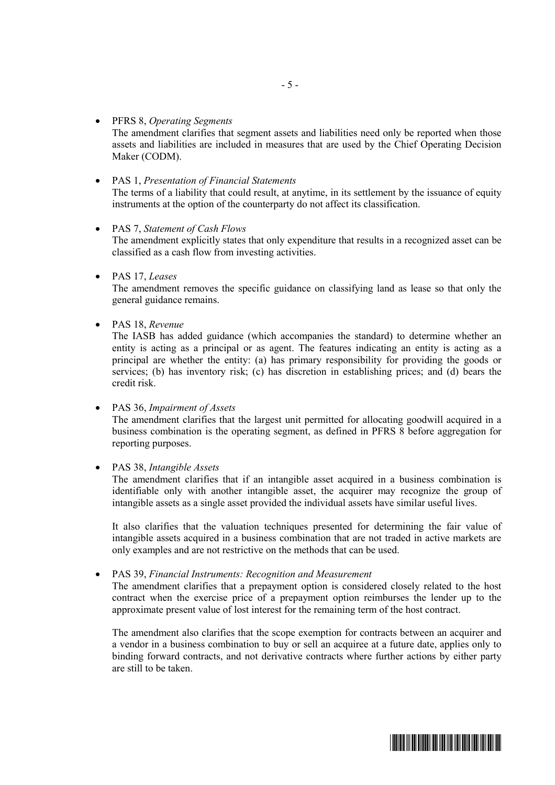- · PFRS 8, *Operating Segments* The amendment clarifies that segment assets and liabilities need only be reported when those assets and liabilities are included in measures that are used by the Chief Operating Decision Maker (CODM).
- · PAS 1, *Presentation of Financial Statements* The terms of a liability that could result, at anytime, in its settlement by the issuance of equity instruments at the option of the counterparty do not affect its classification.
- · PAS 7, *Statement of Cash Flows*

The amendment explicitly states that only expenditure that results in a recognized asset can be classified as a cash flow from investing activities.

· PAS 17, *Leases*

The amendment removes the specific guidance on classifying land as lease so that only the general guidance remains.

· PAS 18, *Revenue*

The IASB has added guidance (which accompanies the standard) to determine whether an entity is acting as a principal or as agent. The features indicating an entity is acting as a principal are whether the entity: (a) has primary responsibility for providing the goods or services; (b) has inventory risk; (c) has discretion in establishing prices; and (d) bears the credit risk.

· PAS 36, *Impairment of Assets*

The amendment clarifies that the largest unit permitted for allocating goodwill acquired in a business combination is the operating segment, as defined in PFRS 8 before aggregation for reporting purposes.

· PAS 38, *Intangible Assets*

The amendment clarifies that if an intangible asset acquired in a business combination is identifiable only with another intangible asset, the acquirer may recognize the group of intangible assets as a single asset provided the individual assets have similar useful lives.

It also clarifies that the valuation techniques presented for determining the fair value of intangible assets acquired in a business combination that are not traded in active markets are only examples and are not restrictive on the methods that can be used.

· PAS 39, *Financial Instruments: Recognition and Measurement*

The amendment clarifies that a prepayment option is considered closely related to the host contract when the exercise price of a prepayment option reimburses the lender up to the approximate present value of lost interest for the remaining term of the host contract.

The amendment also clarifies that the scope exemption for contracts between an acquirer and a vendor in a business combination to buy or sell an acquiree at a future date, applies only to binding forward contracts, and not derivative contracts where further actions by either party are still to be taken.

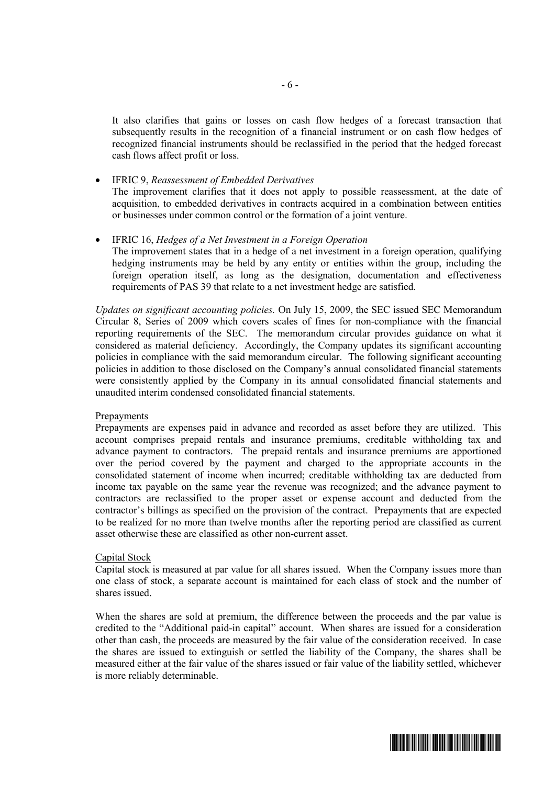It also clarifies that gains or losses on cash flow hedges of a forecast transaction that subsequently results in the recognition of a financial instrument or on cash flow hedges of recognized financial instruments should be reclassified in the period that the hedged forecast cash flows affect profit or loss.

- · IFRIC 9, *Reassessment of Embedded Derivatives* The improvement clarifies that it does not apply to possible reassessment, at the date of acquisition, to embedded derivatives in contracts acquired in a combination between entities or businesses under common control or the formation of a joint venture.
- · IFRIC 16, *Hedges of a Net Investment in a Foreign Operation* The improvement states that in a hedge of a net investment in a foreign operation, qualifying hedging instruments may be held by any entity or entities within the group, including the foreign operation itself, as long as the designation, documentation and effectiveness requirements of PAS 39 that relate to a net investment hedge are satisfied.

*Updates on significant accounting policies.* On July 15, 2009, the SEC issued SEC Memorandum Circular 8, Series of 2009 which covers scales of fines for non-compliance with the financial reporting requirements of the SEC. The memorandum circular provides guidance on what it considered as material deficiency. Accordingly, the Company updates its significant accounting policies in compliance with the said memorandum circular. The following significant accounting policies in addition to those disclosed on the Company's annual consolidated financial statements were consistently applied by the Company in its annual consolidated financial statements and unaudited interim condensed consolidated financial statements.

#### Prepayments

Prepayments are expenses paid in advance and recorded as asset before they are utilized. This account comprises prepaid rentals and insurance premiums, creditable withholding tax and advance payment to contractors. The prepaid rentals and insurance premiums are apportioned over the period covered by the payment and charged to the appropriate accounts in the consolidated statement of income when incurred; creditable withholding tax are deducted from income tax payable on the same year the revenue was recognized; and the advance payment to contractors are reclassified to the proper asset or expense account and deducted from the contractor's billings as specified on the provision of the contract. Prepayments that are expected to be realized for no more than twelve months after the reporting period are classified as current asset otherwise these are classified as other non-current asset.

#### Capital Stock

Capital stock is measured at par value for all shares issued. When the Company issues more than one class of stock, a separate account is maintained for each class of stock and the number of shares issued.

When the shares are sold at premium, the difference between the proceeds and the par value is credited to the "Additional paid-in capital" account. When shares are issued for a consideration other than cash, the proceeds are measured by the fair value of the consideration received. In case the shares are issued to extinguish or settled the liability of the Company, the shares shall be measured either at the fair value of the shares issued or fair value of the liability settled, whichever is more reliably determinable.

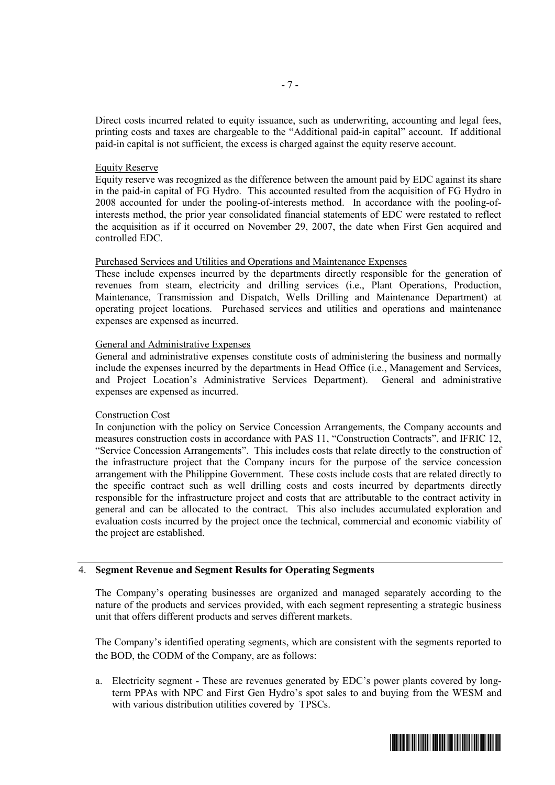Direct costs incurred related to equity issuance, such as underwriting, accounting and legal fees, printing costs and taxes are chargeable to the "Additional paid-in capital" account. If additional paid-in capital is not sufficient, the excess is charged against the equity reserve account.

#### Equity Reserve

Equity reserve was recognized as the difference between the amount paid by EDC against its share in the paid-in capital of FG Hydro. This accounted resulted from the acquisition of FG Hydro in 2008 accounted for under the pooling-of-interests method. In accordance with the pooling-ofinterests method, the prior year consolidated financial statements of EDC were restated to reflect the acquisition as if it occurred on November 29, 2007, the date when First Gen acquired and controlled EDC.

#### Purchased Services and Utilities and Operations and Maintenance Expenses

These include expenses incurred by the departments directly responsible for the generation of revenues from steam, electricity and drilling services (i.e., Plant Operations, Production, Maintenance, Transmission and Dispatch, Wells Drilling and Maintenance Department) at operating project locations. Purchased services and utilities and operations and maintenance expenses are expensed as incurred.

#### General and Administrative Expenses

General and administrative expenses constitute costs of administering the business and normally include the expenses incurred by the departments in Head Office (i.e., Management and Services, and Project Location's Administrative Services Department). General and administrative expenses are expensed as incurred.

#### Construction Cost

In conjunction with the policy on Service Concession Arrangements, the Company accounts and measures construction costs in accordance with PAS 11, "Construction Contracts", and IFRIC 12, "Service Concession Arrangements". This includes costs that relate directly to the construction of the infrastructure project that the Company incurs for the purpose of the service concession arrangement with the Philippine Government. These costs include costs that are related directly to the specific contract such as well drilling costs and costs incurred by departments directly responsible for the infrastructure project and costs that are attributable to the contract activity in general and can be allocated to the contract. This also includes accumulated exploration and evaluation costs incurred by the project once the technical, commercial and economic viability of the project are established.

#### 4. **Segment Revenue and Segment Results for Operating Segments**

The Company's operating businesses are organized and managed separately according to the nature of the products and services provided, with each segment representing a strategic business unit that offers different products and serves different markets.

The Company's identified operating segments, which are consistent with the segments reported to the BOD, the CODM of the Company, are as follows:

a. Electricity segment - These are revenues generated by EDC's power plants covered by longterm PPAs with NPC and First Gen Hydro's spot sales to and buying from the WESM and with various distribution utilities covered by TPSCs.

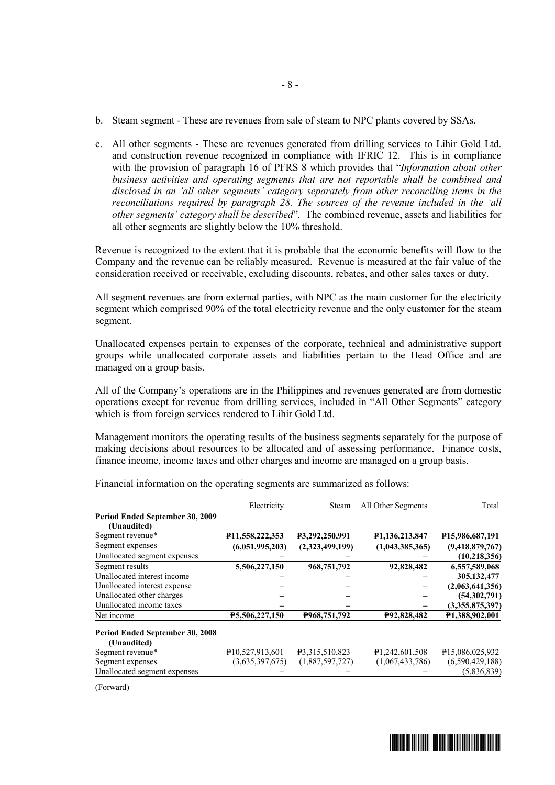- b. Steam segment These are revenues from sale of steam to NPC plants covered by SSAs.
- c. All other segments These are revenues generated from drilling services to Lihir Gold Ltd. and construction revenue recognized in compliance with IFRIC 12. This is in compliance with the provision of paragraph 16 of PFRS 8 which provides that "*Information about other business activities and operating segments that are not reportable shall be combined and disclosed in an 'all other segments' category separately from other reconciling items in the reconciliations required by paragraph 28. The sources of the revenue included in the 'all other segments' category shall be described*"*.* The combined revenue, assets and liabilities for all other segments are slightly below the 10% threshold.

Revenue is recognized to the extent that it is probable that the economic benefits will flow to the Company and the revenue can be reliably measured. Revenue is measured at the fair value of the consideration received or receivable, excluding discounts, rebates, and other sales taxes or duty.

All segment revenues are from external parties, with NPC as the main customer for the electricity segment which comprised 90% of the total electricity revenue and the only customer for the steam segment.

Unallocated expenses pertain to expenses of the corporate, technical and administrative support groups while unallocated corporate assets and liabilities pertain to the Head Office and are managed on a group basis.

All of the Company's operations are in the Philippines and revenues generated are from domestic operations except for revenue from drilling services, included in "All Other Segments" category which is from foreign services rendered to Lihir Gold Ltd.

Management monitors the operating results of the business segments separately for the purpose of making decisions about resources to be allocated and of assessing performance. Finance costs, finance income, income taxes and other charges and income are managed on a group basis.

|                                 | Electricity                 | Steam           | All Other Segments         | Total                        |
|---------------------------------|-----------------------------|-----------------|----------------------------|------------------------------|
| Period Ended September 30, 2009 |                             |                 |                            |                              |
| (Unaudited)                     |                             |                 |                            |                              |
| Segment revenue*                | P11,558,222,353             | P3,292,250,991  | P1,136,213,847             | P <sub>15</sub> ,986,687,191 |
| Segment expenses                | (6,051,995,203)             | (2,323,499,199) | (1,043,385,365)            | (9,418,879,767)              |
| Unallocated segment expenses    |                             |                 |                            | (10, 218, 356)               |
| Segment results                 | 5,506,227,150               | 968,751,792     | 92,828,482                 | 6,557,589,068                |
| Unallocated interest income     |                             |                 |                            | 305, 132, 477                |
| Unallocated interest expense    |                             |                 |                            | (2,063,641,356)              |
| Unallocated other charges       |                             |                 |                            | (54, 302, 791)               |
| Unallocated income taxes        |                             |                 |                            | (3,355,875,397)              |
| Net income                      | P5,506,227,150              | P968,751,792    | P92,828,482                | P1,388,902,001               |
| Period Ended September 30, 2008 |                             |                 |                            |                              |
| (Unaudited)                     |                             |                 |                            |                              |
| Segment revenue*                | P <sub>10,527,913,601</sub> | P3.315.510.823  | P <sub>1,242,601,508</sub> | P15,086,025,932              |
| Segment expenses                | (3,635,397,675)             | (1,887,597,727) | (1,067,433,786)            | (6,590,429,188)              |
| Unallocated segment expenses    |                             |                 |                            | (5,836,839)                  |

Financial information on the operating segments are summarized as follows:

(Forward)

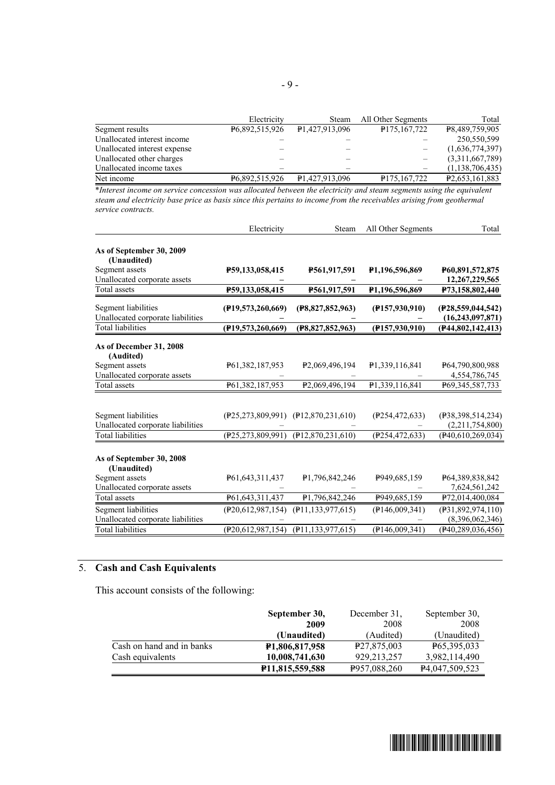|                              | Electricity    | Steam                       | All Other Segments       | Total                       |
|------------------------------|----------------|-----------------------------|--------------------------|-----------------------------|
| Segment results              | P6,892,515,926 | P <sub>1</sub> ,427,913,096 | P175,167,722             | P8.489.759.905              |
| Unallocated interest income  |                |                             |                          | 250,550,599                 |
| Unallocated interest expense |                |                             |                          | (1,636,774,397)             |
| Unallocated other charges    |                |                             |                          | (3,311,667,789)             |
| Unallocated income taxes     |                |                             |                          | (1, 138, 706, 435)          |
| Net income                   | P6,892,515,926 | P <sub>1</sub> 427,913,096  | P <sub>175,167,722</sub> | P <sub>2</sub> ,653,161,883 |

\*Interest income on service concession was allocated between the electricity and steam segments using the equivalent steam and electricity base price as basis since this pertains to income from the receivables arising from geothermal *service contracts.* 

| Electricity          | Steam                                                                                                                                          | All Other Segments                                                                                                                                                                                                                                    | Total                                                                                                                                                         |
|----------------------|------------------------------------------------------------------------------------------------------------------------------------------------|-------------------------------------------------------------------------------------------------------------------------------------------------------------------------------------------------------------------------------------------------------|---------------------------------------------------------------------------------------------------------------------------------------------------------------|
|                      |                                                                                                                                                |                                                                                                                                                                                                                                                       |                                                                                                                                                               |
|                      |                                                                                                                                                |                                                                                                                                                                                                                                                       |                                                                                                                                                               |
|                      |                                                                                                                                                |                                                                                                                                                                                                                                                       |                                                                                                                                                               |
|                      |                                                                                                                                                |                                                                                                                                                                                                                                                       | P60,891,572,875                                                                                                                                               |
|                      |                                                                                                                                                |                                                                                                                                                                                                                                                       | 12,267,229,565                                                                                                                                                |
|                      |                                                                                                                                                |                                                                                                                                                                                                                                                       | P73,158,802,440                                                                                                                                               |
|                      |                                                                                                                                                |                                                                                                                                                                                                                                                       | (P28,559,044,542)                                                                                                                                             |
|                      |                                                                                                                                                |                                                                                                                                                                                                                                                       | (16, 243, 097, 871)                                                                                                                                           |
|                      |                                                                                                                                                |                                                                                                                                                                                                                                                       | (F44, 802, 142, 413)                                                                                                                                          |
|                      |                                                                                                                                                |                                                                                                                                                                                                                                                       |                                                                                                                                                               |
|                      |                                                                                                                                                |                                                                                                                                                                                                                                                       |                                                                                                                                                               |
|                      |                                                                                                                                                |                                                                                                                                                                                                                                                       |                                                                                                                                                               |
|                      |                                                                                                                                                |                                                                                                                                                                                                                                                       | P64,790,800,988                                                                                                                                               |
|                      |                                                                                                                                                |                                                                                                                                                                                                                                                       | 4,554,786,745                                                                                                                                                 |
|                      |                                                                                                                                                |                                                                                                                                                                                                                                                       | P69,345,587,733                                                                                                                                               |
|                      |                                                                                                                                                |                                                                                                                                                                                                                                                       |                                                                                                                                                               |
|                      |                                                                                                                                                |                                                                                                                                                                                                                                                       | (P38, 398, 514, 234)                                                                                                                                          |
|                      |                                                                                                                                                |                                                                                                                                                                                                                                                       | (2,211,754,800)                                                                                                                                               |
|                      |                                                                                                                                                | (P254, 472, 633)                                                                                                                                                                                                                                      | (P40,610,269,034)                                                                                                                                             |
|                      |                                                                                                                                                |                                                                                                                                                                                                                                                       |                                                                                                                                                               |
|                      |                                                                                                                                                |                                                                                                                                                                                                                                                       |                                                                                                                                                               |
|                      |                                                                                                                                                |                                                                                                                                                                                                                                                       |                                                                                                                                                               |
| P61,643,311,437      | P1.796,842,246                                                                                                                                 | P949,685,159                                                                                                                                                                                                                                          | P64,389,838,842                                                                                                                                               |
|                      |                                                                                                                                                |                                                                                                                                                                                                                                                       | 7,624,561,242                                                                                                                                                 |
|                      | P1,796,842,246                                                                                                                                 |                                                                                                                                                                                                                                                       | P72,014,400,084                                                                                                                                               |
| (P20,612,987,154)    | (P11, 133, 977, 615)                                                                                                                           | (P146,009,341)                                                                                                                                                                                                                                        | (P31, 892, 974, 110)                                                                                                                                          |
|                      |                                                                                                                                                |                                                                                                                                                                                                                                                       | (8,396,062,346)                                                                                                                                               |
| (P20, 612, 987, 154) | (P11, 133, 977, 615)                                                                                                                           | (P146,009,341)                                                                                                                                                                                                                                        | (P40, 289, 036, 456)                                                                                                                                          |
|                      | P59,133,058,415<br>P59,133,058,415<br>(F19, 573, 260, 669)<br>(F19, 573, 260, 669)<br>P61,382,187,953<br>P61,382,187,953<br>P61, 643, 311, 437 | <b>P561,917,591</b><br>P561,917,591<br>(F8, 827, 852, 963)<br>(F8, 827, 852, 963)<br>P <sub>2</sub> ,069,496,194<br>P <sub>2</sub> ,069,496,194<br>(P25,273,809,991) (P12,870,231,610)<br>$(\text{P25}, 273, 809, 991)$ $(\text{P12}, 870, 231, 610)$ | P <sub>1</sub> ,196,596,869<br>P1,196,596,869<br>(F157, 930, 910)<br>(F157, 930, 910)<br>P1.339,116,841<br>P1,339,116,841<br>(P254, 472, 633)<br>P949,685,159 |

# 5. **Cash and Cash Equivalents**

This account consists of the following:

|                           | September 30,                | December 31.             | September 30,               |
|---------------------------|------------------------------|--------------------------|-----------------------------|
|                           | 2009                         | 2008                     | 2008                        |
|                           | (Unaudited)                  | (Audited)                | (Unaudited)                 |
| Cash on hand and in banks | P <sub>1</sub> ,806,817,958  | P <sub>27,875,003</sub>  | P <sub>65</sub> , 395, 033  |
| Cash equivalents          | 10,008,741,630               | 929,213,257              | 3,982,114,490               |
|                           | P <sub>11</sub> ,815,559,588 | P <sub>957,088,260</sub> | P <sub>4</sub> ,047,509,523 |

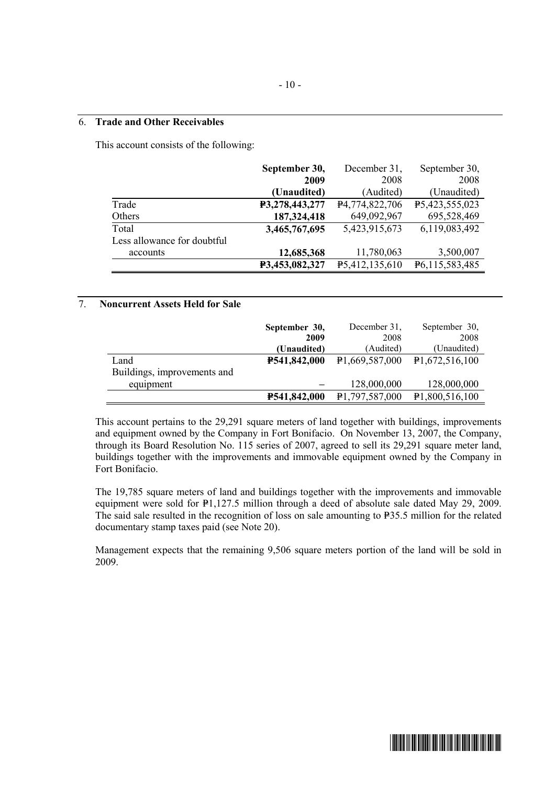#### 6. **Trade and Other Receivables**

This account consists of the following:

|                             | September 30,  | December 31,                | September 30,  |
|-----------------------------|----------------|-----------------------------|----------------|
|                             | 2009           | 2008                        | 2008           |
|                             | (Unaudited)    | (Audited)                   | (Unaudited)    |
| Trade                       | P3,278,443,277 | P4,774,822,706              | P5,423,555,023 |
| Others                      | 187,324,418    | 649,092,967                 | 695,528,469    |
| Total                       | 3,465,767,695  | 5,423,915,673               | 6,119,083,492  |
| Less allowance for doubtful |                |                             |                |
| accounts                    | 12,685,368     | 11,780,063                  | 3,500,007      |
|                             | P3,453,082,327 | P <sub>5</sub> ,412,135,610 | P6,115,583,485 |

#### 7. **Noncurrent Assets Held for Sale**

|                             | September 30, | December 31,                | September 30,               |
|-----------------------------|---------------|-----------------------------|-----------------------------|
|                             | 2009          | 2008                        | 2008                        |
|                             | (Unaudited)   | (Audited)                   | (Unaudited)                 |
| Land                        | P541,842,000  | P <sub>1</sub> ,669,587,000 | P1,672,516,100              |
| Buildings, improvements and |               |                             |                             |
| equipment                   |               | 128,000,000                 | 128,000,000                 |
|                             | P541,842,000  | P1,797,587,000              | P <sub>1</sub> ,800,516,100 |

This account pertains to the 29,291 square meters of land together with buildings, improvements and equipment owned by the Company in Fort Bonifacio. On November 13, 2007, the Company, through its Board Resolution No. 115 series of 2007, agreed to sell its 29,291 square meter land, buildings together with the improvements and immovable equipment owned by the Company in Fort Bonifacio.

The 19,785 square meters of land and buildings together with the improvements and immovable equipment were sold for P1,127.5 million through a deed of absolute sale dated May 29, 2009. The said sale resulted in the recognition of loss on sale amounting to  $P35.5$  million for the related documentary stamp taxes paid (see Note 20).

Management expects that the remaining 9,506 square meters portion of the land will be sold in 2009.

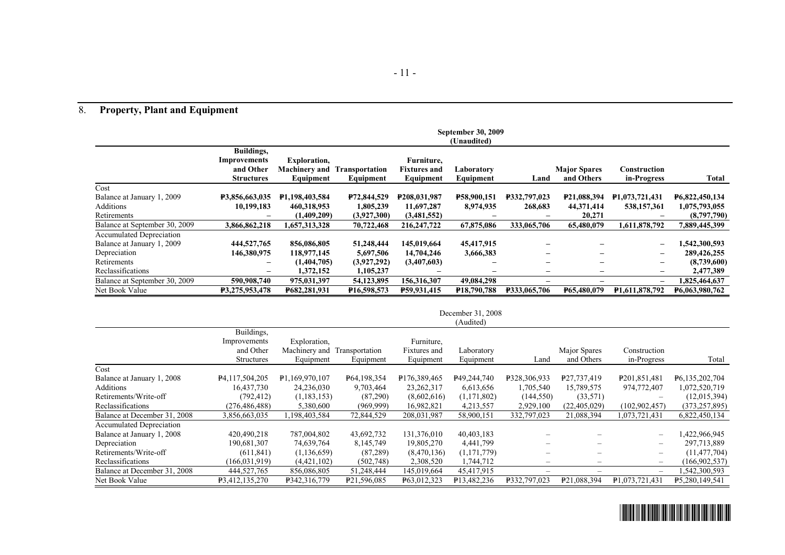# 8. **Property, Plant and Equipment**

|                                 | <b>September 30, 2009</b> |                      |                          |                           |                          |                              |                          |                             |                |
|---------------------------------|---------------------------|----------------------|--------------------------|---------------------------|--------------------------|------------------------------|--------------------------|-----------------------------|----------------|
|                                 | (Unaudited)               |                      |                          |                           |                          |                              |                          |                             |                |
|                                 | Buildings,                |                      |                          |                           |                          |                              |                          |                             |                |
|                                 | Improvements              | <b>Exploration,</b>  |                          | Furniture,                |                          |                              |                          |                             |                |
|                                 | and Other                 | <b>Machinery and</b> | <b>Transportation</b>    | <b>Fixtures and</b>       | Laboratory               |                              | <b>Major Spares</b>      | Construction                |                |
|                                 | <b>Structures</b>         | Equipment            | Equipment                | Equipment                 | Equipment                | Land                         | and Others               | in-Progress                 | Total          |
| Cost                            |                           |                      |                          |                           |                          |                              |                          |                             |                |
| Balance at January 1, 2009      | P3,856,663,035            | P1,198,403,584       | P72,844,529              | P <sub>208</sub> ,031,987 | P58,900,151              | P332,797,023                 | P21,088,394              | P1,073,721,431              | P6,822,450,134 |
| Additions                       | 10.199.183                | 460,318,953          | 1,805,239                | 11,697,287                | 8,974,935                | 268,683                      | 44,371,414               | 538,157,361                 | 1,075,793,055  |
| Retirements                     |                           | (1,409,209)          | (3,927,300)              | (3,481,552)               |                          |                              | 20,271                   |                             | (8,797,790)    |
| Balance at September 30, 2009   | 3,866,862,218             | 1,657,313,328        | 70,722,468               | 216, 247, 722             | 67,875,086               | 333,065,706                  | 65,480,079               | 1,611,878,792               | 7,889,445,399  |
| <b>Accumulated Depreciation</b> |                           |                      |                          |                           |                          |                              |                          |                             |                |
| Balance at January 1, 2009      | 444,527,765               | 856,086,805          | 51,248,444               | 145,019,664               | 45,417,915               |                              |                          | $\overline{\phantom{m}}$    | 1,542,300,593  |
| Depreciation                    | 146,380,975               | 118,977,145          | 5,697,506                | 14,704,246                | 3,666,383                | $\qquad \qquad \blacksquare$ | -                        | $\overline{\phantom{m}}$    | 289,426,255    |
| Retirements                     | $\overline{\phantom{m}}$  | (1,404,705)          | (3,927,292)              | (3,407,603)               | -                        | $\qquad \qquad$              | $\overline{\phantom{m}}$ | $\overline{\phantom{a}}$    | (8,739,600)    |
| Reclassifications               | $\overline{\phantom{m}}$  | 1,372,152            | 1,105,237                |                           |                          | $\qquad \qquad \blacksquare$ | $\overline{\phantom{m}}$ | $\overline{\phantom{m}}$    | 2,477,389      |
| Balance at September 30, 2009   | 590,908,740               | 975,031,397          | 54,123,895               | 156,316,307               | 49,084,298               |                              |                          | $\qquad \qquad -$           | 1,825,464,637  |
| Net Book Value                  | <b>P3.275.953.478</b>     | P682,281,931         | P <sub>16</sub> .598.573 | P59,931,415               | P <sub>18</sub> ,790,788 | <b>P333.065.706</b>          | P65,480,079              | P <sub>1.611</sub> ,878,792 | P6,063,980,762 |

| December 31, 2008 |  |
|-------------------|--|
|-------------------|--|

|                                 |                   |                              |                         |              | (Audited)                |                          |                                |                          |                 |
|---------------------------------|-------------------|------------------------------|-------------------------|--------------|--------------------------|--------------------------|--------------------------------|--------------------------|-----------------|
|                                 | Buildings,        |                              |                         |              |                          |                          |                                |                          |                 |
|                                 | Improvements      | Exploration,                 |                         | Furniture,   |                          |                          |                                |                          |                 |
|                                 | and Other         | Machinery and Transportation |                         | Fixtures and | Laboratory               |                          | Major Spares                   | Construction             |                 |
|                                 | <b>Structures</b> | Equipment                    | Equipment               | Equipment    | Equipment                | Land                     | and Others                     | in-Progress              | Total           |
| Cost                            |                   |                              |                         |              |                          |                          |                                |                          |                 |
| Balance at January 1, 2008      | P4,117,504,205    | P1.169.970.107               | P64,198,354             | P176,389,465 | P49,244,740              | P328,306,933             | P27,737,419                    | P201,851,481             | P6,135,202,704  |
| Additions                       | 16,437,730        | 24,236,030                   | 9,703,464               | 23, 262, 317 | 6,613,656                | 1,705,540                | 15,789,575                     | 974,772,407              | 1,072,520,719   |
| Retirements/Write-off           | (792, 412)        | (1,183,153)                  | (87,290)                | (8,602,616)  | (1,171,802)              | (144, 550)               | (33, 571)                      | $\overline{\phantom{m}}$ | (12,015,394)    |
| Reclassifications               | (276, 486, 488)   | 5,380,600                    | (969, 999)              | 16,982,821   | 4,213,557                | 2,929,100                | (22, 405, 029)                 | (102,902,457)            | (373, 257, 895) |
| Balance at December 31, 2008    | 3,856,663,035     | 198,403,584                  | 72,844,529              | 208,031,987  | 58,900,151               | 332,797,023              | 21,088,394                     | 1,073,721,431            | 6,822,450,134   |
| <b>Accumulated Depreciation</b> |                   |                              |                         |              |                          |                          |                                |                          |                 |
| Balance at January 1, 2008      | 420,490,218       | 787,004,802                  | 43,692,732              | 131,376,010  | 40,403,183               |                          |                                | $\overline{\phantom{m}}$ | 1,422,966,945   |
| Depreciation                    | 190,681,307       | 74,639,764                   | 8, 145, 749             | 19,805,270   | 4,441,799                |                          |                                | $\overline{\phantom{m}}$ | 297,713,889     |
| Retirements/Write-off           | (611, 841)        | (1, 136, 659)                | (87, 289)               | (8,470,136)  | (1,171,779)              |                          |                                | $\overline{\phantom{m}}$ | (11, 477, 704)  |
| Reclassifications               | (166, 031, 919)   | (4,421,102)                  | (502,748)               | 2,308,520    | 1,744,712                |                          |                                | $\overline{\phantom{m}}$ | (166, 902, 537) |
| Balance at December 31, 2008    | 444,527,765       | 856,086,805                  | 51,248,444              | 145,019,664  | 45,417,915               | $\overline{\phantom{m}}$ | $\qquad \qquad \longleftarrow$ | $\overline{\phantom{m}}$ | 542,300,593     |
| Net Book Value                  | P3,412,135,270    | P342,316,779                 | P <sub>21,596,085</sub> | P63,012,323  | P <sub>13</sub> ,482,236 | P332,797,023             | P21,088,394                    | P1.073.721.431           | P5.280,149,541  |

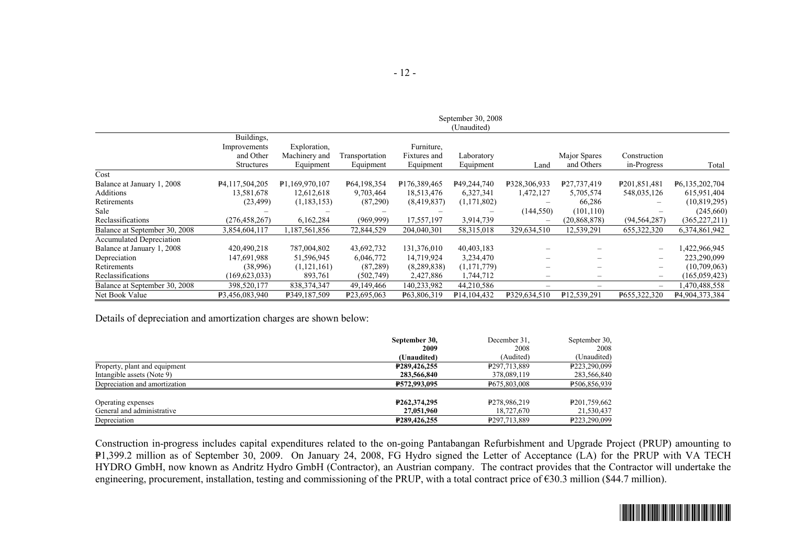|                                 |                             |                |                          |              | (Unaudited)                |                          |                |                          |                 |
|---------------------------------|-----------------------------|----------------|--------------------------|--------------|----------------------------|--------------------------|----------------|--------------------------|-----------------|
|                                 | Buildings,                  |                |                          |              |                            |                          |                |                          |                 |
|                                 | Improvements                | Exploration,   |                          | Furniture,   |                            |                          |                |                          |                 |
|                                 | and Other                   | Machinery and  | Transportation           | Fixtures and | Laboratory                 |                          | Major Spares   | Construction             |                 |
|                                 | <b>Structures</b>           | Equipment      | Equipment                | Equipment    | Equipment                  | Land                     | and Others     | in-Progress              | Total           |
| Cost                            |                             |                |                          |              |                            |                          |                |                          |                 |
| Balance at January 1, 2008      | P <sub>4</sub> ,117,504,205 | P1.169.970.107 | P64,198,354              | P176,389,465 | P49,244,740                | P328,306,933             | P27,737,419    | P <sub>201,851,481</sub> | P6,135,202,704  |
| <b>Additions</b>                | 13,581,678                  | 12,612,618     | 9,703,464                | 18,513,476   | 6,327,341                  | 1,472,127                | 5,705,574      | 548,035,126              | 615,951,404     |
| Retirements                     | (23, 499)                   | (1, 183, 153)  | (87,290)                 | (8,419,837)  | (1,171,802)                |                          | 66,286         |                          | (10, 819, 295)  |
| Sale                            |                             |                |                          |              |                            | (144, 550)               | (101, 110)     |                          | (245,660)       |
| Reclassifications               | (276, 458, 267)             | 6,162,284      | (969, 999)               | 17,557,197   | 3,914,739                  | $\overline{\phantom{0}}$ | (20, 868, 878) | (94, 564, 287)           | (365, 227, 211) |
| Balance at September 30, 2008   | 3,854,604,117               | 1,187,561,856  | 72,844,529               | 204,040,301  | 58,315,018                 | 329,634,510              | 12,539,291     | 655, 322, 320            | 6,374,861,942   |
| <b>Accumulated Depreciation</b> |                             |                |                          |              |                            |                          |                |                          |                 |
| Balance at January 1, 2008      | 420,490,218                 | 787,004,802    | 43,692,732               | 131,376,010  | 40,403,183                 |                          |                | $\qquad \qquad -$        | 422,966,945     |
| Depreciation                    | 147,691,988                 | 51,596,945     | 6,046,772                | 14,719,924   | 3,234,470                  |                          |                | -                        | 223,290,099     |
| Retirements                     | (38,996)                    | (1,121,161)    | (87, 289)                | (8,289,838)  | (1,171,779)                | —                        |                | -                        | (10,709,063)    |
| Reclassifications               | (169, 623, 033)             | 893,761        | (502,749)                | 2,427,886    | 1,744,712                  | —                        |                | $\overline{\phantom{0}}$ | (165, 059, 423) |
| Balance at September 30, 2008   | 398,520,177                 | 838, 374, 347  | 49,149,466               | 140,233,982  | 44,210,586                 | -                        |                | $\overline{\phantom{0}}$ | ,470,488,558    |
| Net Book Value                  | P3,456,083,940              | P349,187,509   | P <sub>23</sub> ,695,063 | P63,806,319  | P <sub>14</sub> , 104, 432 | P329,634,510             | P12,539,291    | P655,322,320             | P4,904,373,384  |

Details of depreciation and amortization charges are shown below:

|                               | September 30,               | December 31.             | September 30.            |
|-------------------------------|-----------------------------|--------------------------|--------------------------|
|                               | 2009                        | 2008                     | 2008                     |
|                               | (Unaudited)                 | (Audited)                | (Unaudited)              |
| Property, plant and equipment | P <sub>289</sub> , 426, 255 | P <sub>297,713,889</sub> | P223.290.099             |
| Intangible assets (Note 9)    | 283,566,840                 | 378,089,119              | 283,566,840              |
| Depreciation and amortization | P572,993,095                | P675.803.008             | P506,856,939             |
| Operating expenses            | P <sub>262</sub> .374.295   | P <sub>278.986.219</sub> | P <sub>201,759,662</sub> |
| General and administrative    | 27,051,960                  | 18,727,670               | 21,530,437               |
| Depreciation                  | P289,426,255                | P297,713,889             | P223,290,099             |

Construction in-progress includes capital expenditures related to the on-going Pantabangan Refurbishment and Upgrade Project (PRUP) amounting to P1,399.2 million as of September 30, 2009. On January 24, 2008, FG Hydro signed the Letter of Acceptance (LA) for the PRUP with VA TECH HYDRO GmbH, now known as Andritz Hydro GmbH (Contractor), an Austrian company. The contract provides that the Contractor will undertake the engineering, procurement, installation, testing and commissioning of the PRUP, with a total contract price of  $\epsilon$ 30.3 million (\$44.7 million).

September 30, 2008

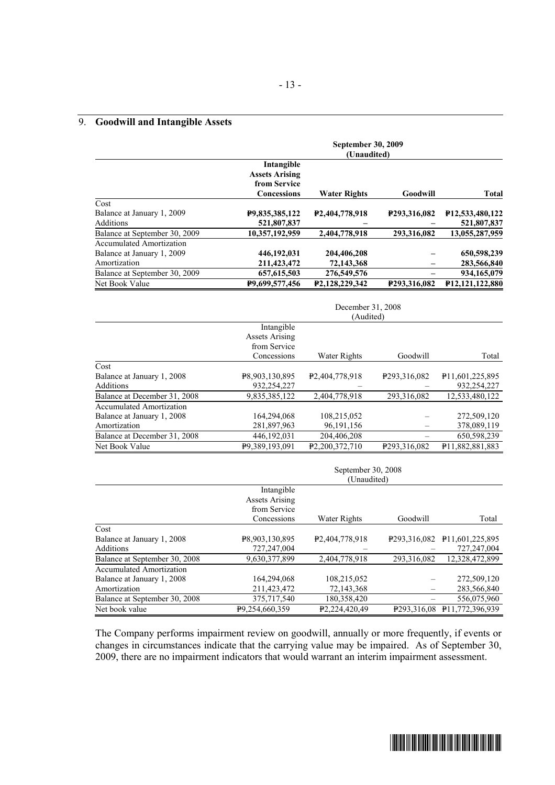#### 9. **Goodwill and Intangible Assets**

|                               | <b>September 30, 2009</b><br>(Unaudited)                                  |                             |              |                 |  |
|-------------------------------|---------------------------------------------------------------------------|-----------------------------|--------------|-----------------|--|
|                               | Intangible<br><b>Assets Arising</b><br>from Service<br><b>Concessions</b> | <b>Water Rights</b>         | Goodwill     | <b>Total</b>    |  |
| Cost                          |                                                                           |                             |              |                 |  |
| Balance at January 1, 2009    | P9,835,385,122                                                            | P <sub>2</sub> ,404,778,918 | P293,316,082 | P12,533,480,122 |  |
| <b>Additions</b>              | 521,807,837                                                               |                             |              | 521,807,837     |  |
| Balance at September 30, 2009 | 10,357,192,959                                                            | 2,404,778,918               | 293.316.082  | 13.055.287.959  |  |
| Accumulated Amortization      |                                                                           |                             |              |                 |  |
| Balance at January 1, 2009    | 446,192,031                                                               | 204,406,208                 |              | 650,598,239     |  |
| Amortization                  | 211,423,472                                                               | 72,143,368                  |              | 283,566,840     |  |
| Balance at September 30, 2009 | 657, 615, 503                                                             | 276,549,576                 |              | 934,165,079     |  |
| Net Book Value                | P9,699,577,456                                                            | P2,128,229,342              | P293,316,082 | P12,121,122,880 |  |

|                              | December 31, 2008<br>(Audited)      |                             |                          |                             |  |  |
|------------------------------|-------------------------------------|-----------------------------|--------------------------|-----------------------------|--|--|
|                              | Intangible<br><b>Assets Arising</b> |                             |                          |                             |  |  |
|                              | from Service<br>Concessions         | Water Rights                | Goodwill                 | Total                       |  |  |
| Cost                         |                                     |                             |                          |                             |  |  |
| Balance at January 1, 2008   | P8,903,130,895                      | P <sub>2</sub> ,404,778,918 | P <sub>293,316,082</sub> | P <sub>11,601,225,895</sub> |  |  |
| Additions                    | 932,254,227                         |                             |                          | 932,254,227                 |  |  |
| Balance at December 31, 2008 | 9,835,385,122                       | 2,404,778,918               | 293,316,082              | 12,533,480,122              |  |  |
| Accumulated Amortization     |                                     |                             |                          |                             |  |  |
| Balance at January 1, 2008   | 164,294,068                         | 108,215,052                 |                          | 272,509,120                 |  |  |
| Amortization                 | 281,897,963                         | 96, 191, 156                |                          | 378,089,119                 |  |  |
| Balance at December 31, 2008 | 446,192,031                         | 204,406,208                 |                          | 650,598,239                 |  |  |
| Net Book Value               | P9.389.193.091                      | P <sub>2</sub> ,200,372,710 | P <sub>293,316,082</sub> | P11,882,881,883             |  |  |

|                               | September 30, 2008<br>(Unaudited)                   |                             |                          |                             |  |  |
|-------------------------------|-----------------------------------------------------|-----------------------------|--------------------------|-----------------------------|--|--|
|                               | Intangible<br><b>Assets Arising</b><br>from Service |                             |                          |                             |  |  |
|                               | Concessions                                         | Water Rights                | Goodwill                 | Total                       |  |  |
| Cost                          |                                                     |                             |                          |                             |  |  |
| Balance at January 1, 2008    | P8,903,130,895                                      | P <sub>2</sub> ,404,778,918 | P <sub>293,316,082</sub> | P <sub>11,601,225,895</sub> |  |  |
| Additions                     | 727,247,004                                         |                             |                          | 727,247,004                 |  |  |
| Balance at September 30, 2008 | 9,630,377,899                                       | 2,404,778,918               | 293,316,082              | 12,328,472,899              |  |  |
| Accumulated Amortization      |                                                     |                             |                          |                             |  |  |
| Balance at January 1, 2008    | 164,294,068                                         | 108,215,052                 |                          | 272,509,120                 |  |  |
| Amortization                  | 211,423,472                                         | 72,143,368                  |                          | 283,566,840                 |  |  |
| Balance at September 30, 2008 | 375,717,540                                         | 180,358,420                 |                          | 556,075,960                 |  |  |
| Net book value                | P9.254,660,359                                      | P <sub>2.224.420.49</sub>   | P <sub>293,316,08</sub>  | P <sub>11.772.396.939</sub> |  |  |

The Company performs impairment review on goodwill, annually or more frequently, if events or changes in circumstances indicate that the carrying value may be impaired. As of September 30, 2009, there are no impairment indicators that would warrant an interim impairment assessment.

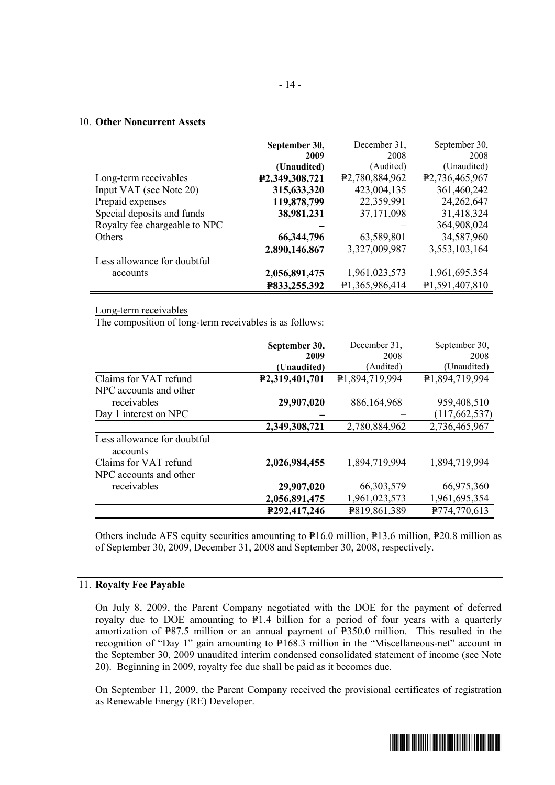#### 10. **Other Noncurrent Assets**

|                               | September 30,  | December 31,                | September 30,               |
|-------------------------------|----------------|-----------------------------|-----------------------------|
|                               | 2009           | 2008                        | 2008                        |
|                               | (Unaudited)    | (Audited)                   | (Unaudited)                 |
| Long-term receivables         | P2,349,308,721 | P <sub>2</sub> ,780,884,962 | P <sub>2</sub> ,736,465,967 |
| Input VAT (see Note 20)       | 315,633,320    | 423,004,135                 | 361,460,242                 |
| Prepaid expenses              | 119,878,799    | 22,359,991                  | 24, 262, 647                |
| Special deposits and funds    | 38,981,231     | 37,171,098                  | 31,418,324                  |
| Royalty fee chargeable to NPC |                |                             | 364,908,024                 |
| Others                        | 66, 344, 796   | 63,589,801                  | 34,587,960                  |
|                               | 2,890,146,867  | 3,327,009,987               | 3,553,103,164               |
| Less allowance for doubtful   |                |                             |                             |
| accounts                      | 2,056,891,475  | 1,961,023,573               | 1,961,695,354               |
|                               | P833,255,392   | P1,365,986,414              | P1,591,407,810              |

#### Long-term receivables

The composition of long-term receivables is as follows:

|                                         | September 30,<br>2009       | December 31,<br>2008 | September 30,<br>2008 |
|-----------------------------------------|-----------------------------|----------------------|-----------------------|
|                                         | (Unaudited)                 | (Audited)            | (Unaudited)           |
| Claims for VAT refund                   | P <sub>2</sub> ,319,401,701 | P1,894,719,994       | P1,894,719,994        |
| NPC accounts and other                  |                             |                      |                       |
| receivables                             | 29,907,020                  | 886,164,968          | 959,408,510           |
| Day 1 interest on NPC                   |                             |                      | (117, 662, 537)       |
|                                         | 2,349,308,721               | 2,780,884,962        | 2,736,465,967         |
| Less allowance for doubtful<br>accounts |                             |                      |                       |
| Claims for VAT refund                   | 2,026,984,455               | 1,894,719,994        | 1,894,719,994         |
| NPC accounts and other                  |                             |                      |                       |
| receivables                             | 29,907,020                  | 66, 303, 579         | 66,975,360            |
|                                         | 2,056,891,475               | 1,961,023,573        | 1,961,695,354         |
|                                         | P292,417,246                | P819,861,389         | P774,770,613          |

Others include AFS equity securities amounting to  $P16.0$  million,  $P13.6$  million,  $P20.8$  million as of September 30, 2009, December 31, 2008 and September 30, 2008, respectively.

#### 11. **Royalty Fee Payable**

On July 8, 2009, the Parent Company negotiated with the DOE for the payment of deferred royalty due to DOE amounting to  $P1.4$  billion for a period of four years with a quarterly amortization of P87.5 million or an annual payment of P350.0 million. This resulted in the recognition of "Day 1" gain amounting to P168.3 million in the "Miscellaneous-net" account in the September 30, 2009 unaudited interim condensed consolidated statement of income (see Note 20). Beginning in 2009, royalty fee due shall be paid as it becomes due.

On September 11, 2009, the Parent Company received the provisional certificates of registration as Renewable Energy (RE) Developer.

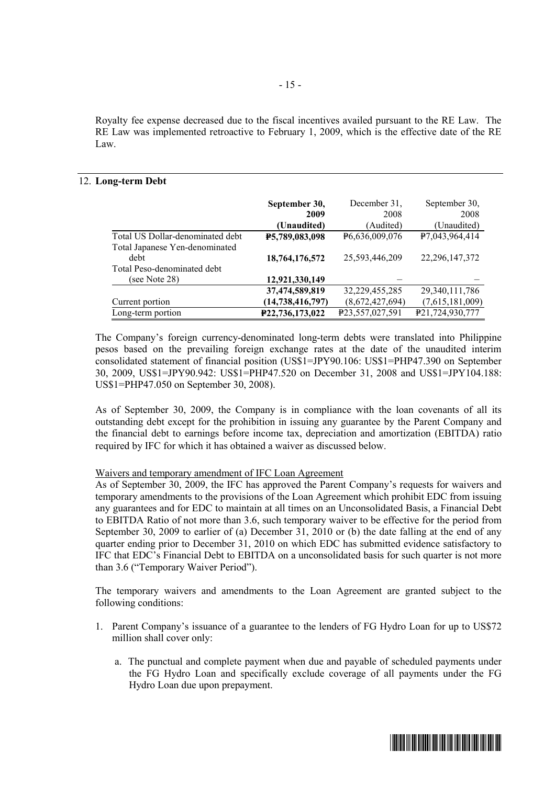Royalty fee expense decreased due to the fiscal incentives availed pursuant to the RE Law. The RE Law was implemented retroactive to February 1, 2009, which is the effective date of the RE Law.

#### 12. **Long-term Debt**

|                                  | September 30,       | December 31,    | September 30,     |
|----------------------------------|---------------------|-----------------|-------------------|
|                                  | 2009                | 2008            | 2008              |
|                                  | (Unaudited)         | (Audited)       | (Unaudited)       |
| Total US Dollar-denominated debt | P5,789,083,098      | P6,636,009,076  | P7,043,964,414    |
| Total Japanese Yen-denominated   |                     |                 |                   |
| debt                             | 18,764,176,572      | 25,593,446,209  | 22, 296, 147, 372 |
| Total Peso-denominated debt      |                     |                 |                   |
| (see Note 28)                    | 12,921,330,149      |                 |                   |
|                                  | 37,474,589,819      | 32,229,455,285  | 29, 340, 111, 786 |
| Current portion                  | (14, 738, 416, 797) | (8,672,427,694) | (7,615,181,009)   |
| Long-term portion                | P22,736,173,022     | P23,557,027,591 | P21,724,930,777   |

The Company's foreign currency-denominated long-term debts were translated into Philippine pesos based on the prevailing foreign exchange rates at the date of the unaudited interim consolidated statement of financial position (US\$1=JPY90.106: US\$1=PHP47.390 on September 30, 2009, US\$1=JPY90.942: US\$1=PHP47.520 on December 31, 2008 and US\$1=JPY104.188: US\$1=PHP47.050 on September 30, 2008).

As of September 30, 2009, the Company is in compliance with the loan covenants of all its outstanding debt except for the prohibition in issuing any guarantee by the Parent Company and the financial debt to earnings before income tax, depreciation and amortization (EBITDA) ratio required by IFC for which it has obtained a waiver as discussed below.

#### Waivers and temporary amendment of IFC Loan Agreement

As of September 30, 2009, the IFC has approved the Parent Company's requests for waivers and temporary amendments to the provisions of the Loan Agreement which prohibit EDC from issuing any guarantees and for EDC to maintain at all times on an Unconsolidated Basis, a Financial Debt to EBITDA Ratio of not more than 3.6, such temporary waiver to be effective for the period from September 30, 2009 to earlier of (a) December 31, 2010 or (b) the date falling at the end of any quarter ending prior to December 31, 2010 on which EDC has submitted evidence satisfactory to IFC that EDC's Financial Debt to EBITDA on a unconsolidated basis for such quarter is not more than 3.6 ("Temporary Waiver Period").

The temporary waivers and amendments to the Loan Agreement are granted subject to the following conditions:

- 1. Parent Company's issuance of a guarantee to the lenders of FG Hydro Loan for up to US\$72 million shall cover only:
	- a. The punctual and complete payment when due and payable of scheduled payments under the FG Hydro Loan and specifically exclude coverage of all payments under the FG Hydro Loan due upon prepayment.

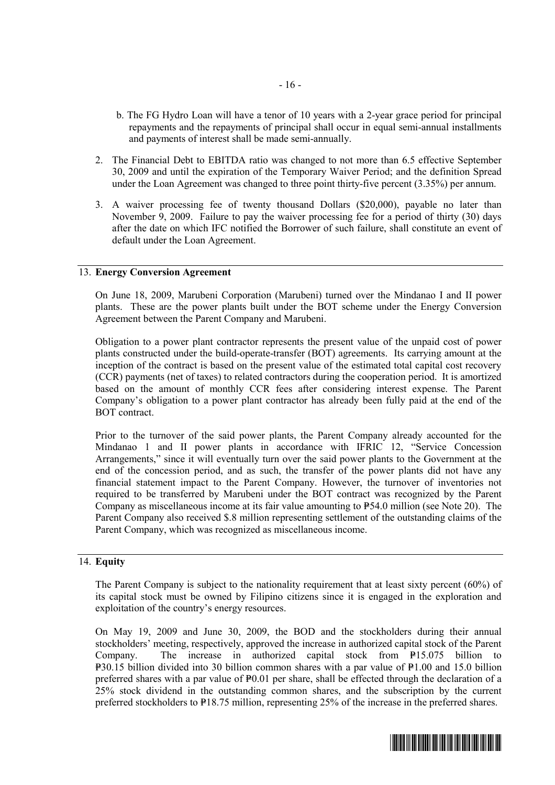- b. The FG Hydro Loan will have a tenor of 10 years with a 2-year grace period for principal repayments and the repayments of principal shall occur in equal semi-annual installments and payments of interest shall be made semi-annually.
- 2. The Financial Debt to EBITDA ratio was changed to not more than 6.5 effective September 30, 2009 and until the expiration of the Temporary Waiver Period; and the definition Spread under the Loan Agreement was changed to three point thirty-five percent (3.35%) per annum.
- 3. A waiver processing fee of twenty thousand Dollars (\$20,000), payable no later than November 9, 2009. Failure to pay the waiver processing fee for a period of thirty (30) days after the date on which IFC notified the Borrower of such failure, shall constitute an event of default under the Loan Agreement.

#### 13. **Energy Conversion Agreement**

On June 18, 2009, Marubeni Corporation (Marubeni) turned over the Mindanao I and II power plants. These are the power plants built under the BOT scheme under the Energy Conversion Agreement between the Parent Company and Marubeni.

Obligation to a power plant contractor represents the present value of the unpaid cost of power plants constructed under the build-operate-transfer (BOT) agreements. Its carrying amount at the inception of the contract is based on the present value of the estimated total capital cost recovery (CCR) payments (net of taxes) to related contractors during the cooperation period. It is amortized based on the amount of monthly CCR fees after considering interest expense. The Parent Company's obligation to a power plant contractor has already been fully paid at the end of the BOT contract.

Prior to the turnover of the said power plants, the Parent Company already accounted for the Mindanao 1 and II power plants in accordance with IFRIC 12, "Service Concession Arrangements," since it will eventually turn over the said power plants to the Government at the end of the concession period, and as such, the transfer of the power plants did not have any financial statement impact to the Parent Company. However, the turnover of inventories not required to be transferred by Marubeni under the BOT contract was recognized by the Parent Company as miscellaneous income at its fair value amounting to  $P54.0$  million (see Note 20). The Parent Company also received \$.8 million representing settlement of the outstanding claims of the Parent Company, which was recognized as miscellaneous income.

#### 14. **Equity**

The Parent Company is subject to the nationality requirement that at least sixty percent (60%) of its capital stock must be owned by Filipino citizens since it is engaged in the exploration and exploitation of the country's energy resources.

On May 19, 2009 and June 30, 2009, the BOD and the stockholders during their annual stockholders' meeting, respectively, approved the increase in authorized capital stock of the Parent Company. The increase in authorized capital stock from  $P15.075$  billion to  $P=30.15$  billion divided into 30 billion common shares with a par value of  $P=1.00$  and 15.0 billion preferred shares with a par value of  $P_{0.01}$  per share, shall be effected through the declaration of a 25% stock dividend in the outstanding common shares, and the subscription by the current preferred stockholders to P18.75 million, representing 25% of the increase in the preferred shares.

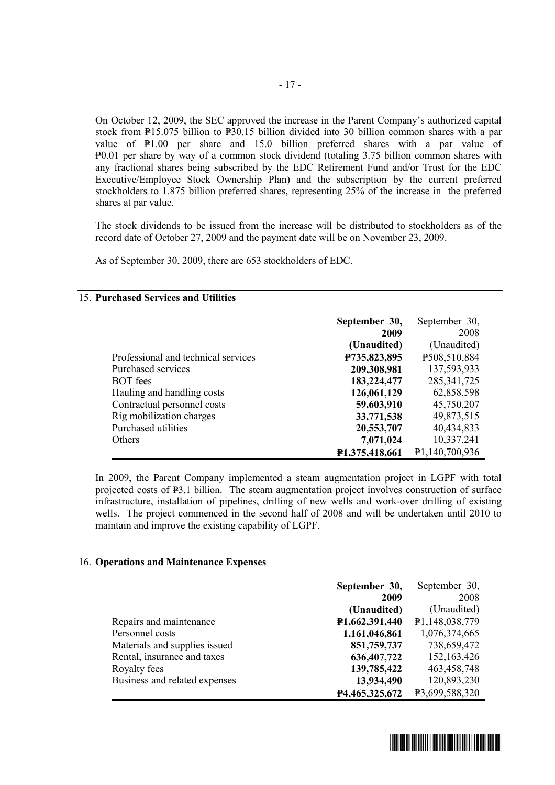On October 12, 2009, the SEC approved the increase in the Parent Company's authorized capital stock from P15.075 billion to P30.15 billion divided into 30 billion common shares with a par value of  $\text{P1.00}$  per share and 15.0 billion preferred shares with a par value of P0.01 per share by way of a common stock dividend (totaling 3.75 billion common shares with any fractional shares being subscribed by the EDC Retirement Fund and/or Trust for the EDC Executive/Employee Stock Ownership Plan) and the subscription by the current preferred stockholders to 1.875 billion preferred shares, representing 25% of the increase in the preferred shares at par value.

The stock dividends to be issued from the increase will be distributed to stockholders as of the record date of October 27, 2009 and the payment date will be on November 23, 2009.

As of September 30, 2009, there are 653 stockholders of EDC.

#### **September 30, 2009 (Unaudited)**  September 30, 2008 (Unaudited) Professional and technical services **P735,823,895** P508,510,884 Purchased services **209,308,981** 137,593,933 BOT fees **183,224,477** 285,341,725 Hauling and handling costs **126,061,129** 62,858,598 Contractual personnel costs **59,603,910** 45,750,207 Rig mobilization charges **33,771,538** 49,873,515 Purchased utilities **20,553,707** 40,434,833 Others **7,071,024 10,337,241 P1,375,418,661 P1**,  $\overline{140,700,936}$

In 2009, the Parent Company implemented a steam augmentation project in LGPF with total projected costs of P<sub>3</sub>.1 billion. The steam augmentation project involves construction of surface infrastructure, installation of pipelines, drilling of new wells and work-over drilling of existing wells. The project commenced in the second half of 2008 and will be undertaken until 2010 to maintain and improve the existing capability of LGPF.

#### 16. **Operations and Maintenance Expenses**

15. **Purchased Services and Utilities** 

|                               | September 30,  | September 30,  |
|-------------------------------|----------------|----------------|
|                               | 2009           | 2008           |
|                               | (Unaudited)    | (Unaudited)    |
| Repairs and maintenance       | P1,662,391,440 | P1,148,038,779 |
| Personnel costs               | 1,161,046,861  | 1,076,374,665  |
| Materials and supplies issued | 851,759,737    | 738,659,472    |
| Rental, insurance and taxes   | 636,407,722    | 152,163,426    |
| Royalty fees                  | 139,785,422    | 463,458,748    |
| Business and related expenses | 13,934,490     | 120,893,230    |
|                               | P4,465,325,672 | P3,699,588,320 |

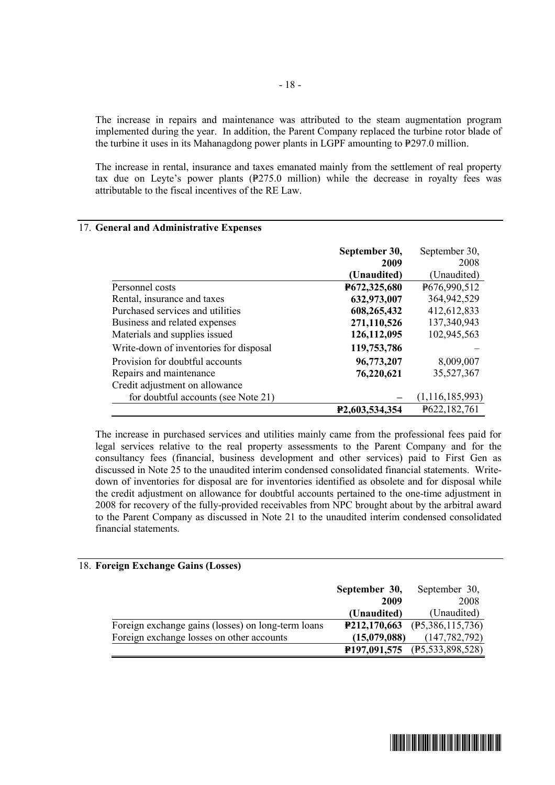The increase in repairs and maintenance was attributed to the steam augmentation program implemented during the year. In addition, the Parent Company replaced the turbine rotor blade of the turbine it uses in its Mahanagdong power plants in LGPF amounting to  $\frac{1}{2}$ 97.0 million.

The increase in rental, insurance and taxes emanated mainly from the settlement of real property tax due on Leyte's power plants  $(P275.0 \text{ million})$  while the decrease in royalty fees was attributable to the fiscal incentives of the RE Law.

|                                        | September 30,               | September 30,      |
|----------------------------------------|-----------------------------|--------------------|
|                                        | 2009                        | 2008               |
|                                        | (Unaudited)                 | (Unaudited)        |
| Personnel costs                        | P672,325,680                | P676,990,512       |
| Rental, insurance and taxes            | 632,973,007                 | 364,942,529        |
| Purchased services and utilities       | 608,265,432                 | 412,612,833        |
| Business and related expenses          | 271,110,526                 | 137,340,943        |
| Materials and supplies issued          | 126,112,095                 | 102,945,563        |
| Write-down of inventories for disposal | 119,753,786                 |                    |
| Provision for doubtful accounts        | 96,773,207                  | 8,009,007          |
| Repairs and maintenance                | 76,220,621                  | 35,527,367         |
| Credit adjustment on allowance         |                             |                    |
| for doubtful accounts (see Note 21)    |                             | (1, 116, 185, 993) |
|                                        | P <sub>2</sub> ,603,534,354 | P622,182,761       |

#### 17. **General and Administrative Expenses**

The increase in purchased services and utilities mainly came from the professional fees paid for legal services relative to the real property assessments to the Parent Company and for the consultancy fees (financial, business development and other services) paid to First Gen as discussed in Note 25 to the unaudited interim condensed consolidated financial statements. Writedown of inventories for disposal are for inventories identified as obsolete and for disposal while the credit adjustment on allowance for doubtful accounts pertained to the one-time adjustment in 2008 for recovery of the fully-provided receivables from NPC brought about by the arbitral award to the Parent Company as discussed in Note 21 to the unaudited interim condensed consolidated financial statements.

#### 18. **Foreign Exchange Gains (Losses)**

|                                                    | September 30,               | September 30,                |
|----------------------------------------------------|-----------------------------|------------------------------|
|                                                    | 2009                        | 2008                         |
|                                                    | (Unaudited)                 | (Unaudited)                  |
| Foreign exchange gains (losses) on long-term loans | P212,170,663                | (F5,386,115,736)             |
| Foreign exchange losses on other accounts          | (15,079,088)                | (147, 782, 792)              |
|                                                    | P <sub>197</sub> , 091, 575 | $(\text{P}5, 533, 898, 528)$ |

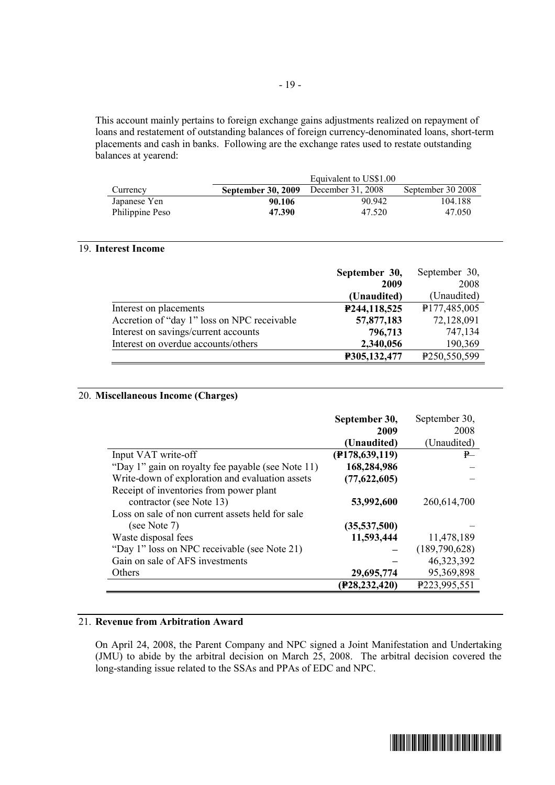This account mainly pertains to foreign exchange gains adjustments realized on repayment of loans and restatement of outstanding balances of foreign currency-denominated loans, short-term placements and cash in banks. Following are the exchange rates used to restate outstanding balances at yearend:

|                 | Equivalent to US\$1.00                      |        |                   |  |
|-----------------|---------------------------------------------|--------|-------------------|--|
| Currency        | <b>September 30, 2009</b> December 31, 2008 |        | September 30 2008 |  |
| Japanese Yen    | 90.106                                      | 90.942 | 104.188           |  |
| Philippine Peso | 47.390                                      | 47.520 | 47.050            |  |

#### 19. **Interest Income**

|                                             | September 30, | September 30,            |
|---------------------------------------------|---------------|--------------------------|
|                                             | 2009          | 2008                     |
|                                             | (Unaudited)   | (Unaudited)              |
| Interest on placements                      | P244,118,525  | P <sub>177,485,005</sub> |
| Accretion of "day 1" loss on NPC receivable | 57,877,183    | 72,128,091               |
| Interest on savings/current accounts        | 796,713       | 747,134                  |
| Interest on overdue accounts/others         | 2,340,056     | 190,369                  |
|                                             | P305,132,477  | P <sub>250,550,599</sub> |

#### 20. **Miscellaneous Income (Charges)**

|                                                   | September 30,    | September 30, |
|---------------------------------------------------|------------------|---------------|
|                                                   | 2009             | 2008          |
|                                                   | (Unaudited)      | (Unaudited)   |
| Input VAT write-off                               | (F178, 639, 119) | P             |
| "Day 1" gain on royalty fee payable (see Note 11) | 168,284,986      |               |
| Write-down of exploration and evaluation assets   | (77,622,605)     |               |
| Receipt of inventories from power plant           |                  |               |
| contractor (see Note 13)                          | 53,992,600       | 260,614,700   |
| Loss on sale of non current assets held for sale  |                  |               |
| (see Note 7)                                      | (35,537,500)     |               |
| Waste disposal fees                               | 11,593,444       | 11,478,189    |
| "Day 1" loss on NPC receivable (see Note 21)      |                  | (189,790,628) |
| Gain on sale of AFS investments                   |                  | 46,323,392    |
| Others                                            | 29,695,774       | 95,369,898    |
|                                                   | (P28,232,420)    | P223,995,551  |

#### 21. **Revenue from Arbitration Award**

On April 24, 2008, the Parent Company and NPC signed a Joint Manifestation and Undertaking (JMU) to abide by the arbitral decision on March 25, 2008. The arbitral decision covered the long-standing issue related to the SSAs and PPAs of EDC and NPC.

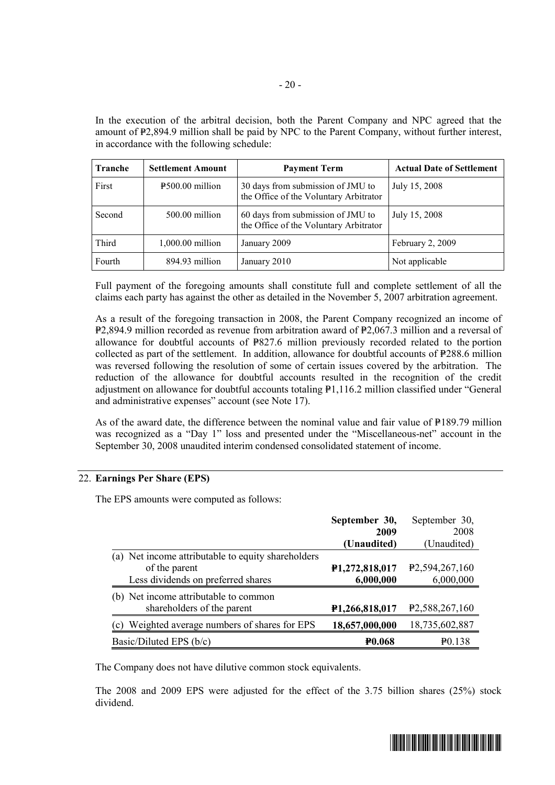In the execution of the arbitral decision, both the Parent Company and NPC agreed that the amount of P2,894.9 million shall be paid by NPC to the Parent Company, without further interest, in accordance with the following schedule:

| Tranche | <b>Settlement Amount</b>                   | <b>Payment Term</b>                                                         | <b>Actual Date of Settlement</b> |
|---------|--------------------------------------------|-----------------------------------------------------------------------------|----------------------------------|
| First   | $\textcolor{blue}{\text{P}500.00}$ million | 30 days from submission of JMU to<br>the Office of the Voluntary Arbitrator | July 15, 2008                    |
| Second  | $500.00$ million                           | 60 days from submission of JMU to<br>the Office of the Voluntary Arbitrator | July 15, 2008                    |
| Third   | $1,000.00$ million                         | January 2009                                                                | February 2, 2009                 |
| Fourth  | 894.93 million                             | January 2010                                                                | Not applicable                   |

Full payment of the foregoing amounts shall constitute full and complete settlement of all the claims each party has against the other as detailed in the November 5, 2007 arbitration agreement.

As a result of the foregoing transaction in 2008, the Parent Company recognized an income of P2,894.9 million recorded as revenue from arbitration award of P2,067.3 million and a reversal of allowance for doubtful accounts of  $P827.6$  million previously recorded related to the portion collected as part of the settlement. In addition, allowance for doubtful accounts of  $P288.6$  million was reversed following the resolution of some of certain issues covered by the arbitration. The reduction of the allowance for doubtful accounts resulted in the recognition of the credit adjustment on allowance for doubtful accounts totaling  $\mathbb{P}1,116.2$  million classified under "General and administrative expenses" account (see Note 17).

As of the award date, the difference between the nominal value and fair value of  $P189.79$  million was recognized as a "Day 1" loss and presented under the "Miscellaneous-net" account in the September 30, 2008 unaudited interim condensed consolidated statement of income.

#### 22. **Earnings Per Share (EPS)**

The EPS amounts were computed as follows:

|                                                                                                           | September 30,<br>2009       | September 30,<br>2008                       |
|-----------------------------------------------------------------------------------------------------------|-----------------------------|---------------------------------------------|
|                                                                                                           | (Unaudited)                 | (Unaudited)                                 |
| (a) Net income attributable to equity shareholders<br>of the parent<br>Less dividends on preferred shares | P1,272,818,017<br>6,000,000 | P <sub>2</sub> , 594, 267, 160<br>6,000,000 |
| (b) Net income attributable to common<br>shareholders of the parent                                       | P1,266,818,017              | P <sub>2</sub> , 588, 267, 160              |
| Weighted average numbers of shares for EPS<br>(c)                                                         | 18,657,000,000              | 18,735,602,887                              |
| Basic/Diluted EPS (b/c)                                                                                   | <b>PO.068</b>               | $P_{0.138}$                                 |

The Company does not have dilutive common stock equivalents.

The 2008 and 2009 EPS were adjusted for the effect of the 3.75 billion shares (25%) stock dividend.

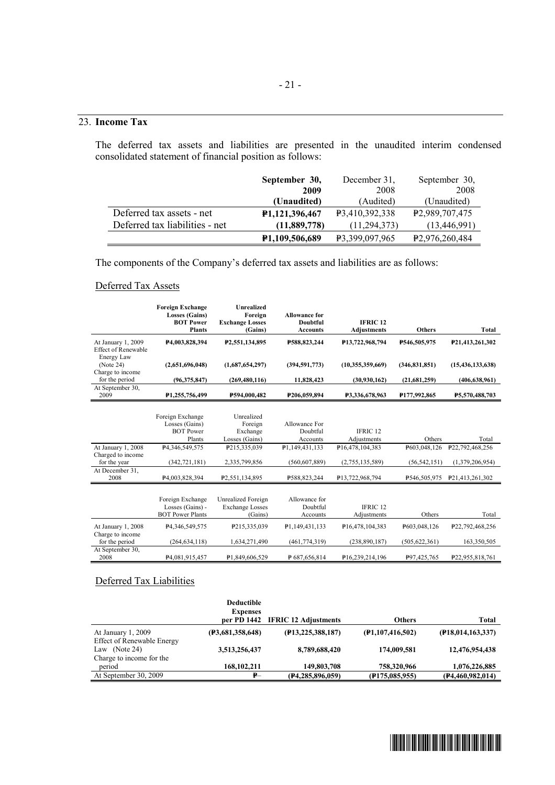#### 23. **Income Tax**

The deferred tax assets and liabilities are presented in the unaudited interim condensed consolidated statement of financial position as follows:

|                                | September 30,               | December 31,          | September 30,               |
|--------------------------------|-----------------------------|-----------------------|-----------------------------|
|                                | 2009                        | 2008                  | 2008                        |
|                                | (Unaudited)                 | (Audited)             | (Unaudited)                 |
| Deferred tax assets - net      | <b>P1,121,396,467</b>       | <b>P3.410.392.338</b> | P <sub>2</sub> ,989,707,475 |
| Deferred tax liabilities - net | (11,889,778)                | (11.294.373)          | (13, 446, 991)              |
|                                | P <sub>1</sub> ,109,506,689 | P3.399.097.965        | P <sub>2</sub> ,976,260,484 |

The components of the Company's deferred tax assets and liabilities are as follows:

#### Deferred Tax Assets

|                                             | <b>Foreign Exchange</b><br><b>Losses (Gains)</b><br><b>BOT Power</b><br><b>Plants</b> | <b>Unrealized</b><br>Foreign<br><b>Exchange Losses</b><br>(Gains) | <b>Allowance for</b><br><b>Doubtful</b><br><b>Accounts</b> | <b>IFRIC 12</b><br><b>Adjustments</b> | <b>Others</b>             | Total               |
|---------------------------------------------|---------------------------------------------------------------------------------------|-------------------------------------------------------------------|------------------------------------------------------------|---------------------------------------|---------------------------|---------------------|
| At January 1, 2009<br>Effect of Renewable   | P4,003,828,394                                                                        | P <sub>2</sub> , 551, 134, 895                                    | P588.823.244                                               | P <sub>13</sub> , 722, 968, 794       | <b>P546.505.975</b>       | P21,413,261,302     |
| Energy Law<br>(Note 24)<br>Charge to income | (2,651,696,048)                                                                       | (1,687,654,297)                                                   | (394, 591, 773)                                            | (10,355,359,669)                      | (346.831.851)             | (15, 436, 133, 638) |
| for the period                              | (96,375,847)                                                                          | (269, 480, 116)                                                   | 11.828,423                                                 | (30, 930, 162)                        | (21,681,259)              | (406, 638, 961)     |
| At September 30,<br>2009                    | P <sub>1</sub> ,255,756,499                                                           | P594.000.482                                                      | P <sub>206.059.894</sub>                                   | P3.336.678.963                        | P <sub>177</sub> ,992,865 | P5.570.488.703      |

|                                        | Foreign Exchange<br>Losses (Gains)<br><b>BOT Power</b> | Unrealized<br>Foreign<br>Exchange            | Allowance For<br>Doubtful | <b>IFRIC 12</b>                 |                 |                                 |
|----------------------------------------|--------------------------------------------------------|----------------------------------------------|---------------------------|---------------------------------|-----------------|---------------------------------|
|                                        | Plants                                                 | Losses (Gains)                               | Accounts                  | Adjustments                     | Others          | Total                           |
| At January 1, 2008                     | P4,346,549,575                                         | P215,335,039                                 | P1,149,431,133            | P16.478.104.383                 | P603,048,126    | P <sub>22</sub> , 792, 468, 256 |
| Charged to income<br>for the year      | (342, 721, 181)                                        | 2,335,799,856                                | (560, 607, 889)           | (2,755,135,589)                 | (56, 542, 151)  | (1,379,206,954)                 |
| At December 31.<br>2008                | P4,003,828,394                                         | P <sub>2</sub> , 551, 134, 895               | P588,823,244              | P <sub>13</sub> , 722, 968, 794 | P546.505.975    | P21,413,261,302                 |
|                                        |                                                        |                                              |                           |                                 |                 |                                 |
|                                        | Foreign Exchange<br>Losses (Gains) -                   | Unrealized Foreign<br><b>Exchange Losses</b> | Allowance for<br>Doubtful | <b>IFRIC 12</b>                 |                 |                                 |
|                                        | <b>BOT Power Plants</b>                                | (Gains)                                      | Accounts                  | Adjustments                     | Others          | Total                           |
| At January 1, 2008<br>Charge to income | P <sub>4</sub> , 346, 549, 575                         | P215,335,039                                 | P1,149,431,133            | P <sub>16</sub> ,478,104,383    | P603,048,126    | P <sub>22</sub> , 792, 468, 256 |
| for the period                         | (264, 634, 118)                                        | 1,634,271,490                                | (461, 774, 319)           | (238, 890, 187)                 | (505, 622, 361) | 163,350,505                     |
| At September 30,<br>2008               | P <sub>4.081.915.457</sub>                             | P1.849.606.529                               | P687,656,814              | P <sub>16</sub> , 239, 214, 196 | P97,425,765     | P22,955,818,761                 |

#### Deferred Tax Liabilities

|                                                         | <b>Deductible</b> |                                  |                     |                      |
|---------------------------------------------------------|-------------------|----------------------------------|---------------------|----------------------|
|                                                         | <b>Expenses</b>   |                                  |                     |                      |
|                                                         |                   | per PD 1442 IFRIC 12 Adjustments | <b>Others</b>       | <b>Total</b>         |
| At January 1, 2009<br><b>Effect of Renewable Energy</b> | (F3,681,358,648)  | (P13, 225, 388, 187)             | (F1, 107, 416, 502) | (F18, 014, 163, 337) |
| Law (Note 24)<br>Charge to income for the               | 3,513,256,437     | 8,789,688,420                    | 174,009,581         | 12,476,954,438       |
| period                                                  | 168, 102, 211     | 149,803,708                      | 758,320,966         | 1,076,226,885        |
| At September 30, 2009                                   | $P-$              | (P4, 285, 896, 059)              | (F175, 085, 955)    | (P4, 460, 982, 014)  |

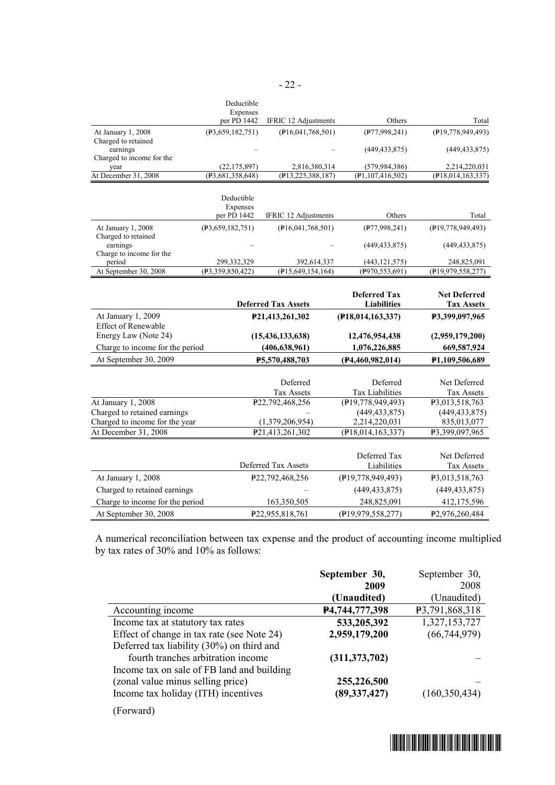|                                           | Deductible                         |                                       |                                           |                                          |
|-------------------------------------------|------------------------------------|---------------------------------------|-------------------------------------------|------------------------------------------|
|                                           | Expenses<br>per PD 1442            | <b>IFRIC 12 Adjustments</b>           | Others                                    | Total                                    |
| At January 1, 2008                        | (P3, 659, 182, 751)                | (F16, 041, 768, 501)                  | (P77, 998, 241)                           | (P19,778,949,493)                        |
| Charged to retained<br>earnings           |                                    |                                       | (449, 433, 875)                           | (449, 433, 875)                          |
| Charged to income for the                 |                                    |                                       |                                           |                                          |
| vear<br>At December 31, 2008              | (22, 175, 897)<br>(P3,681,358,648) | 2,816,380,314<br>(F13, 225, 388, 187) | (579, 984, 386)<br>(P1, 107, 416, 502)    | 2,214,220,031<br>$($ P18,014,163,337)    |
|                                           |                                    |                                       |                                           |                                          |
|                                           | Deductible<br>Expenses             |                                       |                                           |                                          |
|                                           | per PD 1442                        | IFRIC 12 Adjustments                  | Others                                    | Total                                    |
| At January 1, 2008<br>Charged to retained | (P3, 659, 182, 751)                | $($ P16,041,768,501)                  | (P77, 998, 241)                           | (P19,778,949,493)                        |
| earnings                                  |                                    |                                       | (449, 433, 875)                           | (449, 433, 875)                          |
| Charge to income for the<br>period        | 299,332,329                        | 392,614,337                           | (443, 121, 575)                           | 248,825,091                              |
| At September 30, 2008                     | (P3, 359, 850, 422)                | $($ P15,649,154,164)                  | $($ P970,553,691)                         | (P19,979,558,277)                        |
|                                           |                                    |                                       |                                           |                                          |
|                                           |                                    | <b>Deferred Tax Assets</b>            | <b>Deferred Tax</b><br><b>Liabilities</b> | <b>Net Deferred</b><br><b>Tax Assets</b> |
| At January 1, 2009                        |                                    | P21,413,261,302                       | (P18,014,163,337)                         | P3,399,097,965                           |
| <b>Effect of Renewable</b>                |                                    |                                       |                                           |                                          |
| Energy Law (Note 24)                      |                                    | (15, 436, 133, 638)                   | 12,476,954,438                            | (2,959,179,200)                          |
| Charge to income for the period           |                                    | (406, 638, 961)                       | 1,076,226,885                             | 669,587,924                              |
| At September 30, 2009                     |                                    | P5,570,488,703                        | (F4, 460, 982, 014)                       | P1,109,506,689                           |
|                                           |                                    |                                       |                                           |                                          |
|                                           |                                    | Deferred                              | Deferred                                  | Net Deferred                             |
|                                           |                                    | Tax Assets                            | <b>Tax Liabilities</b>                    | <b>Tax Assets</b>                        |
| At January 1, 2008                        |                                    | P22,792,468,256                       | (F19, 778, 949, 493)                      | P3,013,518,763                           |
| Charged to retained earnings              |                                    |                                       | (449, 433, 875)                           | (449, 433, 875)                          |
| Charged to income for the year            |                                    | (1,379,206,954)                       | 2,214,220,031                             | 835,013,077                              |
| At December 31, 2008                      |                                    | P21,413,261,302                       | (P18, 014, 163, 337)                      | P3,399,097,965                           |
|                                           |                                    |                                       |                                           |                                          |
|                                           |                                    |                                       | Deferred Tax                              | Net Deferred                             |
|                                           |                                    | Deferred Tax Assets                   | Liabilities                               | <b>Tax Assets</b>                        |
| At January 1, 2008                        |                                    | P22,792,468,256                       | (P19,778,949,493)                         | P3,013,518,763                           |
| Charged to retained earnings              |                                    |                                       | (449, 433, 875)                           | (449, 433, 875)                          |
| Charge to income for the period           |                                    | 163,350,505                           | 248,825,091                               | 412,175,596                              |
| At September 30, 2008                     |                                    | P22,955,818,761                       | (P19,979,558,277)                         | P2,976,260,484                           |

A numerical reconciliation between tax expense and the product of accounting income multiplied by tax rates of 30% and 10% as follows:

|                                            | September 30,   | September 30,   |
|--------------------------------------------|-----------------|-----------------|
|                                            | 2009            | 2008            |
|                                            | (Unaudited)     | (Unaudited)     |
| Accounting income                          | P4,744,777,398  | P3,791,868,318  |
| Income tax at statutory tax rates          | 533,205,392     | 1,327,153,727   |
| Effect of change in tax rate (see Note 24) | 2,959,179,200   | (66, 744, 979)  |
| Deferred tax liability (30%) on third and  |                 |                 |
| fourth tranches arbitration income         | (311, 373, 702) |                 |
| Income tax on sale of FB land and building |                 |                 |
| (zonal value minus selling price)          | 255,226,500     |                 |
| Income tax holiday (ITH) incentives        | (89, 337, 427)  | (160, 350, 434) |
|                                            |                 |                 |

(Forward)

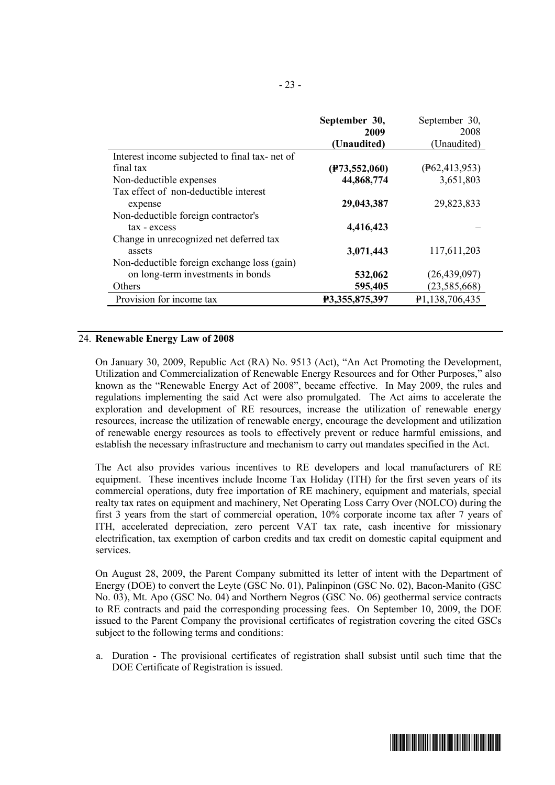|                                               | September 30,   | September 30,            |
|-----------------------------------------------|-----------------|--------------------------|
|                                               | 2009            | 2008                     |
|                                               | (Unaudited)     | (Unaudited)              |
| Interest income subjected to final tax-net of |                 |                          |
| final tax                                     | (F73, 552, 060) | $(\text{P62}, 413, 953)$ |
| Non-deductible expenses                       | 44,868,774      | 3,651,803                |
| Tax effect of non-deductible interest         |                 |                          |
| expense                                       | 29,043,387      | 29,823,833               |
| Non-deductible foreign contractor's           |                 |                          |
| tax - excess                                  | 4,416,423       |                          |
| Change in unrecognized net deferred tax       |                 |                          |
| assets                                        | 3,071,443       | 117,611,203              |
| Non-deductible foreign exchange loss (gain)   |                 |                          |
| on long-term investments in bonds             | 532,062         | (26, 439, 097)           |
| Others                                        | 595,405         | (23, 585, 668)           |
| Provision for income tax                      | P3,355,875,397  | P1,138,706,435           |

#### 24. **Renewable Energy Law of 2008**

On January 30, 2009, Republic Act (RA) No. 9513 (Act), "An Act Promoting the Development, Utilization and Commercialization of Renewable Energy Resources and for Other Purposes," also known as the "Renewable Energy Act of 2008", became effective. In May 2009, the rules and regulations implementing the said Act were also promulgated. The Act aims to accelerate the exploration and development of RE resources, increase the utilization of renewable energy resources, increase the utilization of renewable energy, encourage the development and utilization of renewable energy resources as tools to effectively prevent or reduce harmful emissions, and establish the necessary infrastructure and mechanism to carry out mandates specified in the Act.

The Act also provides various incentives to RE developers and local manufacturers of RE equipment. These incentives include Income Tax Holiday (ITH) for the first seven years of its commercial operations, duty free importation of RE machinery, equipment and materials, special realty tax rates on equipment and machinery, Net Operating Loss Carry Over (NOLCO) during the first 3 years from the start of commercial operation, 10% corporate income tax after 7 years of ITH, accelerated depreciation, zero percent VAT tax rate, cash incentive for missionary electrification, tax exemption of carbon credits and tax credit on domestic capital equipment and services.

On August 28, 2009, the Parent Company submitted its letter of intent with the Department of Energy (DOE) to convert the Leyte (GSC No. 01), Palinpinon (GSC No. 02), Bacon-Manito (GSC No. 03), Mt. Apo (GSC No. 04) and Northern Negros (GSC No. 06) geothermal service contracts to RE contracts and paid the corresponding processing fees. On September 10, 2009, the DOE issued to the Parent Company the provisional certificates of registration covering the cited GSCs subject to the following terms and conditions:

a. Duration - The provisional certificates of registration shall subsist until such time that the DOE Certificate of Registration is issued.

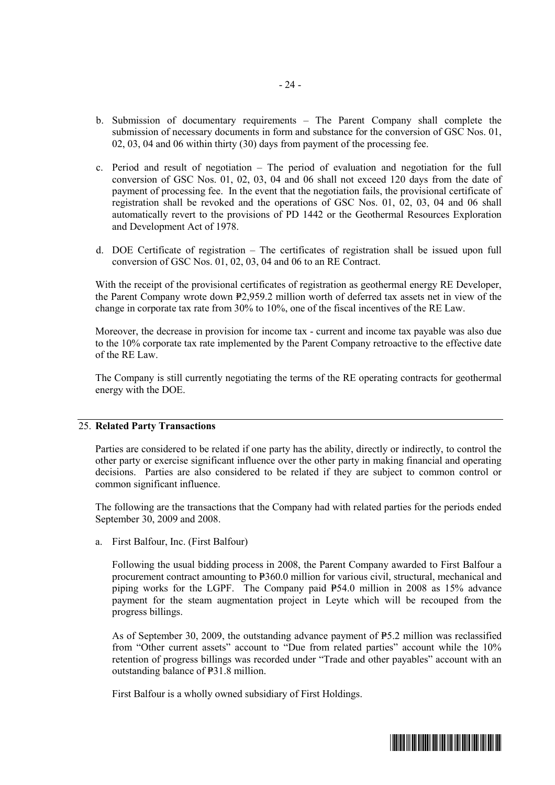- b. Submission of documentary requirements The Parent Company shall complete the submission of necessary documents in form and substance for the conversion of GSC Nos. 01, 02, 03, 04 and 06 within thirty (30) days from payment of the processing fee.
- c. Period and result of negotiation The period of evaluation and negotiation for the full conversion of GSC Nos. 01, 02, 03, 04 and 06 shall not exceed 120 days from the date of payment of processing fee. In the event that the negotiation fails, the provisional certificate of registration shall be revoked and the operations of GSC Nos. 01, 02, 03, 04 and 06 shall automatically revert to the provisions of PD 1442 or the Geothermal Resources Exploration and Development Act of 1978.
- d. DOE Certificate of registration The certificates of registration shall be issued upon full conversion of GSC Nos. 01, 02, 03, 04 and 06 to an RE Contract.

With the receipt of the provisional certificates of registration as geothermal energy RE Developer, the Parent Company wrote down P2,959.2 million worth of deferred tax assets net in view of the change in corporate tax rate from 30% to 10%, one of the fiscal incentives of the RE Law.

Moreover, the decrease in provision for income tax - current and income tax payable was also due to the 10% corporate tax rate implemented by the Parent Company retroactive to the effective date of the RE Law.

The Company is still currently negotiating the terms of the RE operating contracts for geothermal energy with the DOE.

#### 25. **Related Party Transactions**

Parties are considered to be related if one party has the ability, directly or indirectly, to control the other party or exercise significant influence over the other party in making financial and operating decisions. Parties are also considered to be related if they are subject to common control or common significant influence.

The following are the transactions that the Company had with related parties for the periods ended September 30, 2009 and 2008.

a. First Balfour, Inc. (First Balfour)

Following the usual bidding process in 2008, the Parent Company awarded to First Balfour a procurement contract amounting to P360.0 million for various civil, structural, mechanical and piping works for the LGPF. The Company paid  $P54.0$  million in 2008 as 15% advance payment for the steam augmentation project in Leyte which will be recouped from the progress billings.

As of September 30, 2009, the outstanding advance payment of  $P_{5.2}$  million was reclassified from "Other current assets" account to "Due from related parties" account while the 10% retention of progress billings was recorded under "Trade and other payables" account with an outstanding balance of  $P31.8$  million.

First Balfour is a wholly owned subsidiary of First Holdings.

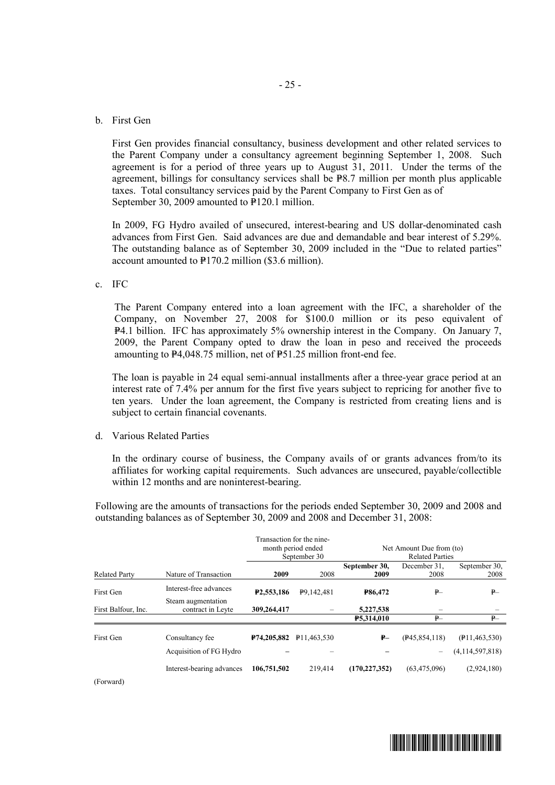#### b. First Gen

First Gen provides financial consultancy, business development and other related services to the Parent Company under a consultancy agreement beginning September 1, 2008. Such agreement is for a period of three years up to August 31, 2011. Under the terms of the agreement, billings for consultancy services shall be  $\overline{P8.7}$  million per month plus applicable taxes. Total consultancy services paid by the Parent Company to First Gen as of September 30, 2009 amounted to  $\overline{P}120.1$  million.

In 2009, FG Hydro availed of unsecured, interest-bearing and US dollar-denominated cash advances from First Gen. Said advances are due and demandable and bear interest of 5.29%. The outstanding balance as of September 30, 2009 included in the "Due to related parties" account amounted to  $P170.2$  million (\$3.6 million).

c. IFC

The Parent Company entered into a loan agreement with the IFC, a shareholder of the Company, on November 27, 2008 for \$100.0 million or its peso equivalent of P4.1 billion. IFC has approximately 5% ownership interest in the Company. On January 7, 2009, the Parent Company opted to draw the loan in peso and received the proceeds amounting to  $P4,048.75$  million, net of  $P51.25$  million front-end fee.

The loan is payable in 24 equal semi-annual installments after a three-year grace period at an interest rate of 7.4% per annum for the first five years subject to repricing for another five to ten years. Under the loan agreement, the Company is restricted from creating liens and is subject to certain financial covenants.

d. Various Related Parties

In the ordinary course of business, the Company avails of or grants advances from/to its affiliates for working capital requirements. Such advances are unsecured, payable/collectible within 12 months and are noninterest-bearing.

Following are the amounts of transactions for the periods ended September 30, 2009 and 2008 and outstanding balances as of September 30, 2009 and 2008 and December 31, 2008:

|                      |                                            |                         | Transaction for the nine-<br>month period ended<br>September 30 | Net Amount Due from (to)<br><b>Related Parties</b> |                                    |                                                  |  |
|----------------------|--------------------------------------------|-------------------------|-----------------------------------------------------------------|----------------------------------------------------|------------------------------------|--------------------------------------------------|--|
| <b>Related Party</b> | Nature of Transaction                      | 2009                    | 2008                                                            | September 30,<br>2009                              | December 31.<br>2008               | September 30.<br>2008                            |  |
| First Gen            | Interest-free advances                     | P <sub>2</sub> ,553,186 | P9,142,481                                                      | <b>P86.472</b>                                     | $P-$                               | $P-$                                             |  |
| First Balfour, Inc.  | Steam augmentation<br>contract in Leyte    | 309,264,417             |                                                                 | 5,227,538<br>P5,314,010                            | P                                  | P                                                |  |
| First Gen            | Consultancy fee<br>Acquisition of FG Hydro | <b>P74,205,882</b>      | P <sub>11.463.530</sub>                                         | $P-$                                               | (P45, 854, 118)<br>$\qquad \qquad$ | $($ P <sub>11,463</sub> ,530)<br>(4,114,597,818) |  |
| (Forward)            | Interest-bearing advances                  | 106,751,502             | 219,414                                                         | (170, 227, 352)                                    | (63, 475, 096)                     | (2,924,180)                                      |  |

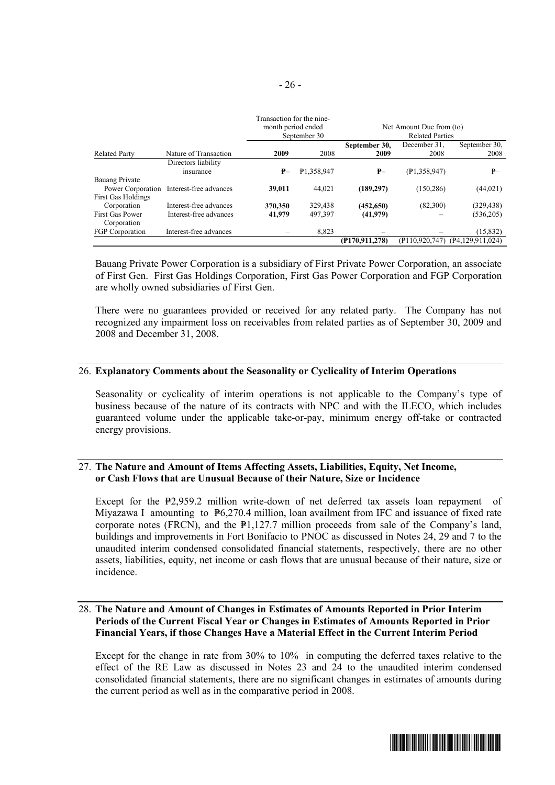|                           |                        |                    | Transaction for the nine- |                            |                          |                  |  |
|---------------------------|------------------------|--------------------|---------------------------|----------------------------|--------------------------|------------------|--|
|                           |                        | month period ended |                           |                            | Net Amount Due from (to) |                  |  |
|                           |                        |                    | September 30              |                            | <b>Related Parties</b>   |                  |  |
|                           |                        |                    |                           | September 30,              | December 31.             | September 30.    |  |
| <b>Related Party</b>      | Nature of Transaction  | 2009               | 2008                      | 2009                       | 2008                     | 2008             |  |
|                           | Directors liability    |                    |                           |                            |                          |                  |  |
|                           | insurance              | $P-$               | P1,358,947                | $P-$                       | (P1, 358, 947)           | $P-$             |  |
| Bauang Private            |                        |                    |                           |                            |                          |                  |  |
| Power Corporation         | Interest-free advances | 39,011             | 44.021                    | (189, 297)                 | (150, 286)               | (44, 021)        |  |
| <b>First Gas Holdings</b> |                        |                    |                           |                            |                          |                  |  |
| Corporation               | Interest-free advances | 370,350            | 329,438                   | (452, 650)                 | (82,300)                 | (329, 438)       |  |
| <b>First Gas Power</b>    | Interest-free advances | 41,979             | 497,397                   | (41,979)                   |                          | (536,205)        |  |
| Corporation               |                        |                    |                           |                            |                          |                  |  |
| FGP Corporation           | Interest-free advances |                    | 8.823                     |                            |                          | (15,832)         |  |
|                           |                        |                    |                           | (P <sub>170.911.278)</sub> | $($ P110.920.747)        | (P4.129.911.024) |  |

Bauang Private Power Corporation is a subsidiary of First Private Power Corporation, an associate of First Gen. First Gas Holdings Corporation, First Gas Power Corporation and FGP Corporation are wholly owned subsidiaries of First Gen.

There were no guarantees provided or received for any related party. The Company has not recognized any impairment loss on receivables from related parties as of September 30, 2009 and 2008 and December 31, 2008.

#### 26. **Explanatory Comments about the Seasonality or Cyclicality of Interim Operations**

Seasonality or cyclicality of interim operations is not applicable to the Company's type of business because of the nature of its contracts with NPC and with the ILECO, which includes guaranteed volume under the applicable take-or-pay, minimum energy off-take or contracted energy provisions.

#### 27. **The Nature and Amount of Items Affecting Assets, Liabilities, Equity, Net Income, or Cash Flows that are Unusual Because of their Nature, Size or Incidence**

Except for the  $P2,959.2$  million write-down of net deferred tax assets loan repayment of Miyazawa I amounting to P6,270.4 million, loan availment from IFC and issuance of fixed rate corporate notes (FRCN), and the  $P1,127.7$  million proceeds from sale of the Company's land, buildings and improvements in Fort Bonifacio to PNOC as discussed in Notes 24, 29 and 7 to the unaudited interim condensed consolidated financial statements, respectively, there are no other assets, liabilities, equity, net income or cash flows that are unusual because of their nature, size or incidence.

#### 28. **The Nature and Amount of Changes in Estimates of Amounts Reported in Prior Interim Periods of the Current Fiscal Year or Changes in Estimates of Amounts Reported in Prior Financial Years, if those Changes Have a Material Effect in the Current Interim Period**

Except for the change in rate from 30% to 10% in computing the deferred taxes relative to the effect of the RE Law as discussed in Notes 23 and 24 to the unaudited interim condensed consolidated financial statements, there are no significant changes in estimates of amounts during the current period as well as in the comparative period in 2008.

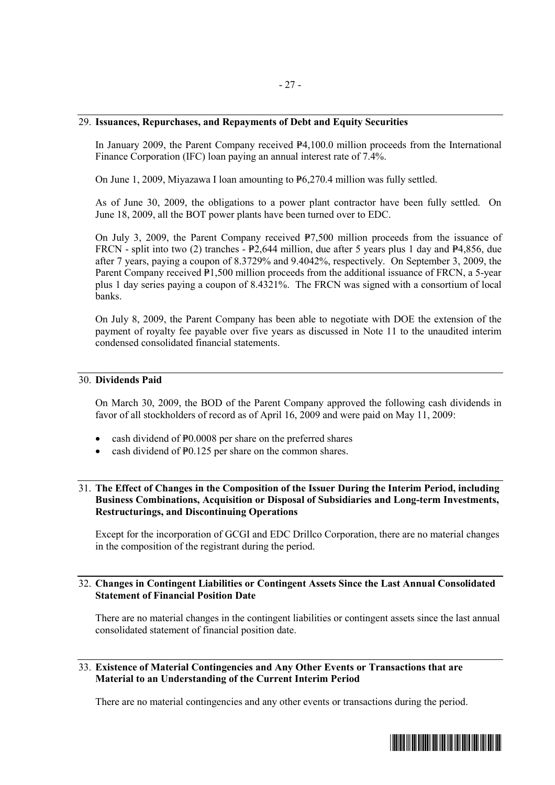#### 29. **Issuances, Repurchases, and Repayments of Debt and Equity Securities**

In January 2009, the Parent Company received  $\mathbb{P}4,100.0$  million proceeds from the International Finance Corporation (IFC) loan paying an annual interest rate of 7.4%.

On June 1, 2009, Miyazawa I loan amounting to  $P_{6,270.4}$  million was fully settled.

As of June 30, 2009, the obligations to a power plant contractor have been fully settled. On June 18, 2009, all the BOT power plants have been turned over to EDC.

On July 3, 2009, the Parent Company received  $\overline{P7,500}$  million proceeds from the issuance of FRCN - split into two (2) tranches -  $P2,644$  million, due after 5 years plus 1 day and  $P4,856$ , due after 7 years, paying a coupon of 8.3729% and 9.4042%, respectively. On September 3, 2009, the Parent Company received  $\hat{P}1,500$  million proceeds from the additional issuance of FRCN, a 5-year plus 1 day series paying a coupon of 8.4321%. The FRCN was signed with a consortium of local banks.

On July 8, 2009, the Parent Company has been able to negotiate with DOE the extension of the payment of royalty fee payable over five years as discussed in Note 11 to the unaudited interim condensed consolidated financial statements.

#### 30. **Dividends Paid**

On March 30, 2009, the BOD of the Parent Company approved the following cash dividends in favor of all stockholders of record as of April 16, 2009 and were paid on May 11, 2009:

- cash dividend of P0.0008 per share on the preferred shares
- cash dividend of P0.125 per share on the common shares.

#### 31. **The Effect of Changes in the Composition of the Issuer During the Interim Period, including Business Combinations, Acquisition or Disposal of Subsidiaries and Long-term Investments, Restructurings, and Discontinuing Operations**

Except for the incorporation of GCGI and EDC Drillco Corporation, there are no material changes in the composition of the registrant during the period.

#### 32. **Changes in Contingent Liabilities or Contingent Assets Since the Last Annual Consolidated Statement of Financial Position Date**

There are no material changes in the contingent liabilities or contingent assets since the last annual consolidated statement of financial position date.

#### 33. **Existence of Material Contingencies and Any Other Events or Transactions that are Material to an Understanding of the Current Interim Period**

There are no material contingencies and any other events or transactions during the period.

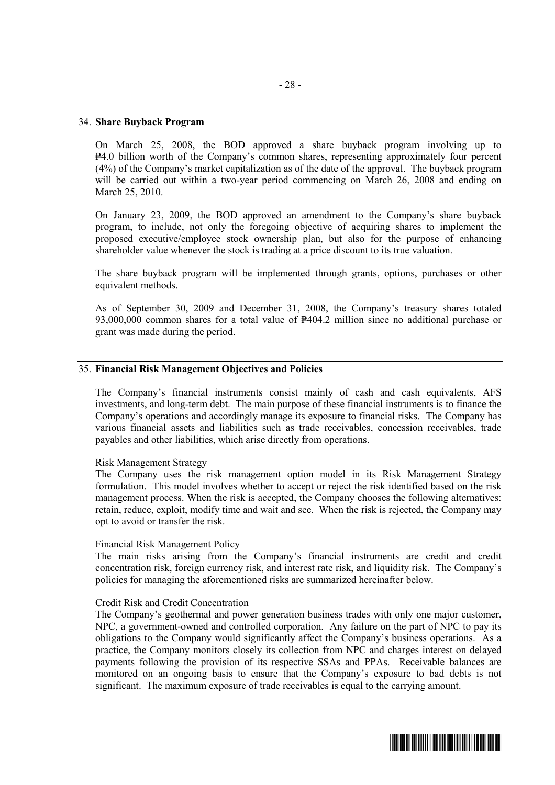#### 34. **Share Buyback Program**

On March 25, 2008, the BOD approved a share buyback program involving up to P4.0 billion worth of the Company's common shares, representing approximately four percent (4%) of the Company's market capitalization as of the date of the approval. The buyback program will be carried out within a two-year period commencing on March 26, 2008 and ending on March 25, 2010.

On January 23, 2009, the BOD approved an amendment to the Company's share buyback program, to include, not only the foregoing objective of acquiring shares to implement the proposed executive/employee stock ownership plan, but also for the purpose of enhancing shareholder value whenever the stock is trading at a price discount to its true valuation.

The share buyback program will be implemented through grants, options, purchases or other equivalent methods.

As of September 30, 2009 and December 31, 2008, the Company's treasury shares totaled 93,000,000 common shares for a total value of  $P404.2$  million since no additional purchase or grant was made during the period.

#### 35. **Financial Risk Management Objectives and Policies**

The Company's financial instruments consist mainly of cash and cash equivalents, AFS investments, and long-term debt. The main purpose of these financial instruments is to finance the Company's operations and accordingly manage its exposure to financial risks. The Company has various financial assets and liabilities such as trade receivables, concession receivables, trade payables and other liabilities, which arise directly from operations.

#### Risk Management Strategy

The Company uses the risk management option model in its Risk Management Strategy formulation. This model involves whether to accept or reject the risk identified based on the risk management process. When the risk is accepted, the Company chooses the following alternatives: retain, reduce, exploit, modify time and wait and see. When the risk is rejected, the Company may opt to avoid or transfer the risk.

#### Financial Risk Management Policy

The main risks arising from the Company's financial instruments are credit and credit concentration risk, foreign currency risk, and interest rate risk, and liquidity risk. The Company's policies for managing the aforementioned risks are summarized hereinafter below.

#### Credit Risk and Credit Concentration

The Company's geothermal and power generation business trades with only one major customer, NPC, a government-owned and controlled corporation. Any failure on the part of NPC to pay its obligations to the Company would significantly affect the Company's business operations. As a practice, the Company monitors closely its collection from NPC and charges interest on delayed payments following the provision of its respective SSAs and PPAs. Receivable balances are monitored on an ongoing basis to ensure that the Company's exposure to bad debts is not significant. The maximum exposure of trade receivables is equal to the carrying amount.

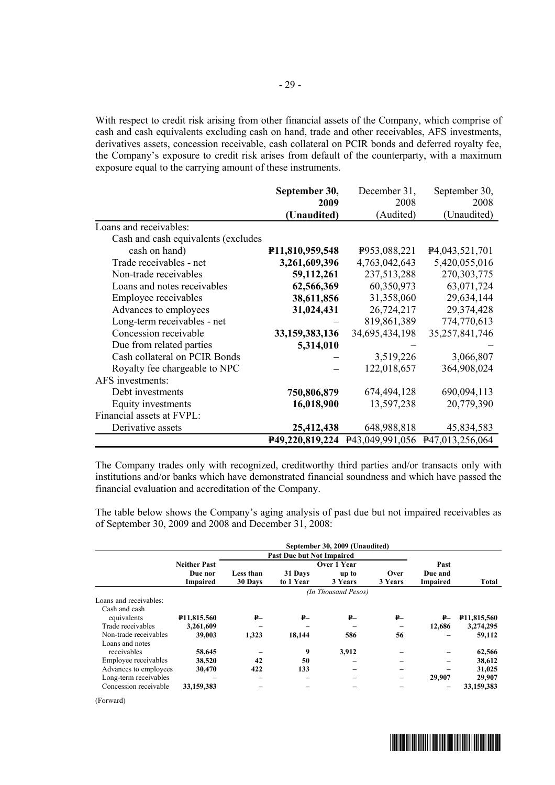With respect to credit risk arising from other financial assets of the Company, which comprise of cash and cash equivalents excluding cash on hand, trade and other receivables, AFS investments, derivatives assets, concession receivable, cash collateral on PCIR bonds and deferred royalty fee, the Company's exposure to credit risk arises from default of the counterparty, with a maximum exposure equal to the carrying amount of these instruments.

|                                     | September 30,   | December 31,   | September 30,                   |
|-------------------------------------|-----------------|----------------|---------------------------------|
|                                     | 2009            | 2008           | 2008                            |
|                                     | (Unaudited)     | (Audited)      | (Unaudited)                     |
| Loans and receivables:              |                 |                |                                 |
| Cash and cash equivalents (excludes |                 |                |                                 |
| cash on hand)                       | P11,810,959,548 | P953,088,221   | P <sub>4</sub> , 043, 521, 701  |
| Trade receivables - net             | 3,261,609,396   | 4,763,042,643  | 5,420,055,016                   |
| Non-trade receivables               | 59,112,261      | 237,513,288    | 270, 303, 775                   |
| Loans and notes receivables         | 62,566,369      | 60,350,973     | 63,071,724                      |
| Employee receivables                | 38,611,856      | 31,358,060     | 29,634,144                      |
| Advances to employees               | 31,024,431      | 26,724,217     | 29,374,428                      |
| Long-term receivables - net         |                 | 819,861,389    | 774,770,613                     |
| Concession receivable               | 33,159,383,136  | 34,695,434,198 | 35,257,841,746                  |
| Due from related parties            | 5,314,010       |                |                                 |
| Cash collateral on PCIR Bonds       |                 | 3,519,226      | 3,066,807                       |
| Royalty fee chargeable to NPC       |                 | 122,018,657    | 364,908,024                     |
| AFS investments:                    |                 |                |                                 |
| Debt investments                    | 750,806,879     | 674,494,128    | 690,094,113                     |
| Equity investments                  | 16,018,900      | 13,597,238     | 20,779,390                      |
| Financial assets at FVPL:           |                 |                |                                 |
| Derivative assets                   | 25,412,438      | 648,988,818    | 45,834,583                      |
|                                     | P49,220,819,224 |                | P43,049,991,056 P47,013,256,064 |

The Company trades only with recognized, creditworthy third parties and/or transacts only with institutions and/or banks which have demonstrated financial soundness and which have passed the financial evaluation and accreditation of the Company.

The table below shows the Company's aging analysis of past due but not impaired receivables as of September 30, 2009 and 2008 and December 31, 2008:

|                        |                          |           |                                  | September 30, 2009 (Unaudited) |         |                 |                          |  |  |  |
|------------------------|--------------------------|-----------|----------------------------------|--------------------------------|---------|-----------------|--------------------------|--|--|--|
|                        |                          |           | <b>Past Due but Not Impaired</b> |                                |         |                 |                          |  |  |  |
|                        | <b>Neither Past</b>      |           |                                  | Over 1 Year                    |         | Past            |                          |  |  |  |
|                        | Due nor                  | Less than | 31 Days                          | up to                          | Over    | Due and         |                          |  |  |  |
|                        | <b>Impaired</b>          | 30 Days   | to 1 Year                        | 3 Years                        | 3 Years | <b>Impaired</b> | Total                    |  |  |  |
|                        | (In Thousand Pesos)      |           |                                  |                                |         |                 |                          |  |  |  |
| Loans and receivables: |                          |           |                                  |                                |         |                 |                          |  |  |  |
| Cash and cash          |                          |           |                                  |                                |         |                 |                          |  |  |  |
| equivalents            | P <sub>11</sub> ,815,560 | ₽–        | ₽–                               | $P -$                          | ₽–      | $P-$            | P <sub>11</sub> ,815,560 |  |  |  |
| Trade receivables      | 3,261,609                |           |                                  |                                |         | 12.686          | 3,274,295                |  |  |  |
| Non-trade receivables  | 39,003                   | 1.323     | 18.144                           | 586                            | 56      |                 | 59,112                   |  |  |  |
| Loans and notes        |                          |           |                                  |                                |         |                 |                          |  |  |  |
| receivables            | 58,645                   |           | 9                                | 3,912                          |         |                 | 62,566                   |  |  |  |
| Employee receivables   | 38,520                   | 42        | 50                               |                                |         |                 | 38,612                   |  |  |  |
| Advances to employees  | 30,470                   | 422       | 133                              |                                | -       |                 | 31,025                   |  |  |  |
| Long-term receivables  |                          |           |                                  |                                | -       | 29.907          | 29,907                   |  |  |  |
| Concession receivable  | 33,159,383               |           |                                  |                                |         |                 | 33,159,383               |  |  |  |

<sup>(</sup>Forward)

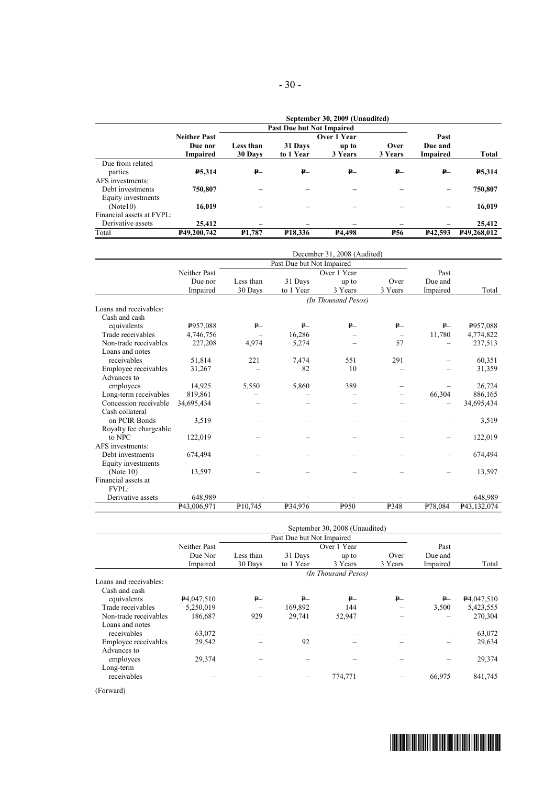|                           |                     | September 30, 2009 (Unaudited) |                                  |                    |            |          |               |  |  |  |
|---------------------------|---------------------|--------------------------------|----------------------------------|--------------------|------------|----------|---------------|--|--|--|
|                           |                     |                                | <b>Past Due but Not Impaired</b> |                    |            |          |               |  |  |  |
|                           | <b>Neither Past</b> |                                |                                  | Over 1 Year        |            | Past     |               |  |  |  |
|                           | Due nor             | Less than                      | 31 Days                          | up to              | Over       | Due and  |               |  |  |  |
|                           | <b>Impaired</b>     | 30 Days                        | to 1 Year                        | 3 Years            | 3 Years    | Impaired | Total         |  |  |  |
| Due from related          |                     |                                |                                  |                    |            |          |               |  |  |  |
| parties                   | <b>P5,314</b>       | ₽–                             | ₽–                               | $P-$               | ₽–         | ₽–       | <b>P5,314</b> |  |  |  |
| AFS investments:          |                     |                                |                                  |                    |            |          |               |  |  |  |
| Debt investments          | 750,807             |                                |                                  |                    |            |          | 750,807       |  |  |  |
| Equity investments        |                     |                                |                                  |                    |            |          |               |  |  |  |
| (Note10)                  | 16,019              |                                |                                  |                    |            |          | 16,019        |  |  |  |
| Financial assets at FVPL: |                     |                                |                                  |                    |            |          |               |  |  |  |
| Derivative assets         | 25,412              |                                |                                  |                    |            |          | 25,412        |  |  |  |
| Total                     | P49,200,742         | <b>P1.787</b>                  | <b>P18,336</b>                   | P <sub>4.498</sub> | <b>P56</b> | P42.593  | P49,268,012   |  |  |  |

|                        |              |           |                           | December 31, 2008 (Audited) |             |          |             |
|------------------------|--------------|-----------|---------------------------|-----------------------------|-------------|----------|-------------|
|                        |              |           | Past Due but Not Impaired |                             |             |          |             |
|                        | Neither Past |           |                           | Over 1 Year                 |             | Past     |             |
|                        | Due nor      | Less than | 31 Days                   | up to                       | Over        | Due and  |             |
|                        | Impaired     | 30 Days   | to 1 Year                 | 3 Years                     | 3 Years     | Impaired | Total       |
|                        |              |           |                           | (In Thousand Pesos)         |             |          |             |
| Loans and receivables: |              |           |                           |                             |             |          |             |
| Cash and cash          |              |           |                           |                             |             |          |             |
| equivalents            | P957,088     | P         | $P-$                      | P                           | P           | P        | P957,088    |
| Trade receivables      | 4,746,756    |           | 16,286                    |                             | -           | 11,780   | 4,774,822   |
| Non-trade receivables  | 227,208      | 4,974     | 5,274                     |                             | 57          |          | 237,513     |
| Loans and notes        |              |           |                           |                             |             |          |             |
| receivables            | 51,814       | 221       | 7,474                     | 551                         | 291         |          | 60,351      |
| Employee receivables   | 31,267       |           | 82                        | 10                          |             |          | 31,359      |
| Advances to            |              |           |                           |                             |             |          |             |
| employees              | 14,925       | 5,550     | 5,860                     | 389                         |             |          | 26,724      |
| Long-term receivables  | 819,861      |           |                           |                             |             | 66,304   | 886,165     |
| Concession receivable  | 34,695,434   |           |                           |                             |             |          | 34,695,434  |
| Cash collateral        |              |           |                           |                             |             |          |             |
| on PCIR Bonds          | 3,519        |           |                           |                             |             |          | 3,519       |
| Royalty fee chargeable |              |           |                           |                             |             |          |             |
| to NPC                 | 122,019      |           |                           |                             |             |          | 122,019     |
| AFS investments:       |              |           |                           |                             |             |          |             |
| Debt investments       | 674,494      |           |                           |                             |             |          | 674,494     |
| Equity investments     |              |           |                           |                             |             |          |             |
| (Note 10)              | 13,597       |           |                           |                             |             |          | 13,597      |
| Financial assets at    |              |           |                           |                             |             |          |             |
| <b>FVPL:</b>           |              |           |                           |                             |             |          |             |
| Derivative assets      | 648,989      |           |                           |                             |             |          | 648,989     |
|                        | P43.006.971  | P10,745   | P34.976                   | P <sub>950</sub>            | <b>P348</b> | P78,084  | P43,132,074 |

|                        |                         |           |                           | September 30, 2008 (Unaudited) |         |          |                         |
|------------------------|-------------------------|-----------|---------------------------|--------------------------------|---------|----------|-------------------------|
|                        |                         |           | Past Due but Not Impaired |                                |         |          |                         |
|                        | Neither Past            |           |                           | Over 1 Year                    |         | Past     |                         |
|                        | Due Nor                 | Less than | 31 Days                   | up to                          | Over    | Due and  |                         |
|                        | Impaired                | 30 Days   | to 1 Year                 | 3 Years                        | 3 Years | Impaired | Total                   |
|                        |                         |           |                           | (In Thousand Pesos)            |         |          |                         |
| Loans and receivables: |                         |           |                           |                                |         |          |                         |
| Cash and cash          |                         |           |                           |                                |         |          |                         |
| equivalents            | P <sub>4</sub> ,047,510 | $P-$      | P                         | $P-$                           | P       | $P-$     | P <sub>4</sub> ,047,510 |
| Trade receivables      | 5,250,019               |           | 169,892                   | 144                            |         | 3,500    | 5,423,555               |
| Non-trade receivables  | 186,687                 | 929       | 29,741                    | 52,947                         |         |          | 270,304                 |
| Loans and notes        |                         |           |                           |                                |         |          |                         |
| receivables            | 63,072                  |           |                           |                                |         |          | 63,072                  |
| Employee receivables   | 29,542                  |           | 92                        |                                |         |          | 29,634                  |
| Advances to            |                         |           |                           |                                |         |          |                         |
| employees              | 29,374                  |           |                           |                                |         |          | 29,374                  |
| Long-term              |                         |           |                           |                                |         |          |                         |
| receivables            |                         |           |                           | 774,771                        |         | 66,975   | 841,745                 |
|                        |                         |           |                           |                                |         |          |                         |

(Forward)

- 30 -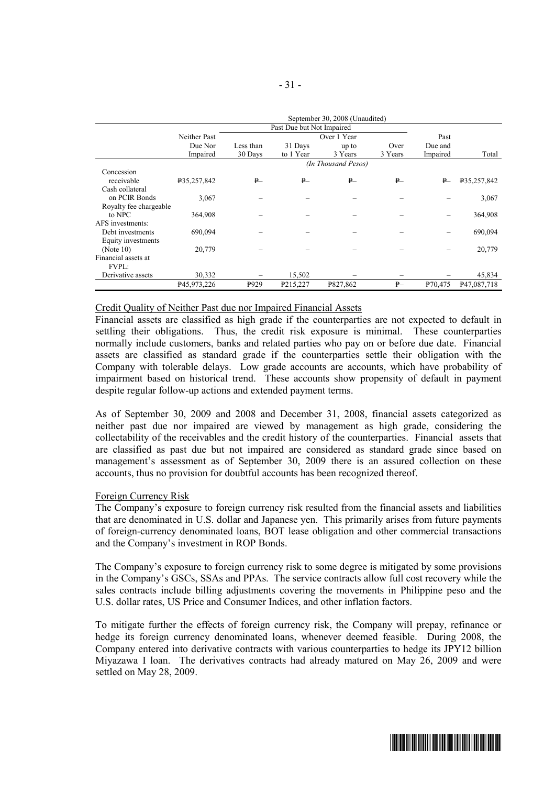|                        |              |                  |                           | September 30, 2008 (Unaudited) |         |          |             |
|------------------------|--------------|------------------|---------------------------|--------------------------------|---------|----------|-------------|
|                        |              |                  | Past Due but Not Impaired |                                |         |          |             |
|                        | Neither Past |                  |                           | Over 1 Year                    |         | Past     |             |
|                        | Due Nor      | Less than        | 31 Days                   | up to                          | Over    | Due and  |             |
|                        | Impaired     | 30 Days          | to 1 Year                 | 3 Years                        | 3 Years | Impaired | Total       |
|                        |              |                  |                           | (In Thousand Pesos)            |         |          |             |
| Concession             |              |                  |                           |                                |         |          |             |
| receivable             | P35,257,842  | $P-$             | $P-$                      | $P-$                           | $P-$    | $P-$     | P35,257,842 |
| Cash collateral        |              |                  |                           |                                |         |          |             |
| on PCIR Bonds          | 3,067        |                  |                           |                                |         |          | 3,067       |
| Royalty fee chargeable |              |                  |                           |                                |         |          |             |
| to NPC                 | 364,908      |                  |                           |                                |         |          | 364,908     |
| AFS investments:       |              |                  |                           |                                |         |          |             |
| Debt investments       | 690,094      |                  |                           |                                |         |          | 690,094     |
| Equity investments     |              |                  |                           |                                |         |          |             |
| (Note 10)              | 20,779       |                  |                           |                                |         |          | 20,779      |
| Financial assets at    |              |                  |                           |                                |         |          |             |
| <b>FVPL:</b>           |              |                  |                           |                                |         |          |             |
| Derivative assets      | 30,332       |                  | 15,502                    |                                |         |          | 45,834      |
|                        | P45,973,226  | P <sub>929</sub> | P215,227                  | P827,862                       | $P-$    | P70,475  | P47,087,718 |

#### September 30, 2008 (Unaudited)

#### Credit Quality of Neither Past due nor Impaired Financial Assets

Financial assets are classified as high grade if the counterparties are not expected to default in settling their obligations. Thus, the credit risk exposure is minimal. These counterparties normally include customers, banks and related parties who pay on or before due date. Financial assets are classified as standard grade if the counterparties settle their obligation with the Company with tolerable delays. Low grade accounts are accounts, which have probability of impairment based on historical trend. These accounts show propensity of default in payment despite regular follow-up actions and extended payment terms.

As of September 30, 2009 and 2008 and December 31, 2008, financial assets categorized as neither past due nor impaired are viewed by management as high grade, considering the collectability of the receivables and the credit history of the counterparties. Financial assets that are classified as past due but not impaired are considered as standard grade since based on management's assessment as of September 30, 2009 there is an assured collection on these accounts, thus no provision for doubtful accounts has been recognized thereof.

#### Foreign Currency Risk

The Company's exposure to foreign currency risk resulted from the financial assets and liabilities that are denominated in U.S. dollar and Japanese yen. This primarily arises from future payments of foreign-currency denominated loans, BOT lease obligation and other commercial transactions and the Company's investment in ROP Bonds.

The Company's exposure to foreign currency risk to some degree is mitigated by some provisions in the Company's GSCs, SSAs and PPAs. The service contracts allow full cost recovery while the sales contracts include billing adjustments covering the movements in Philippine peso and the U.S. dollar rates, US Price and Consumer Indices, and other inflation factors.

To mitigate further the effects of foreign currency risk, the Company will prepay, refinance or hedge its foreign currency denominated loans, whenever deemed feasible. During 2008, the Company entered into derivative contracts with various counterparties to hedge its JPY12 billion Miyazawa I loan. The derivatives contracts had already matured on May 26, 2009 and were settled on May 28, 2009.

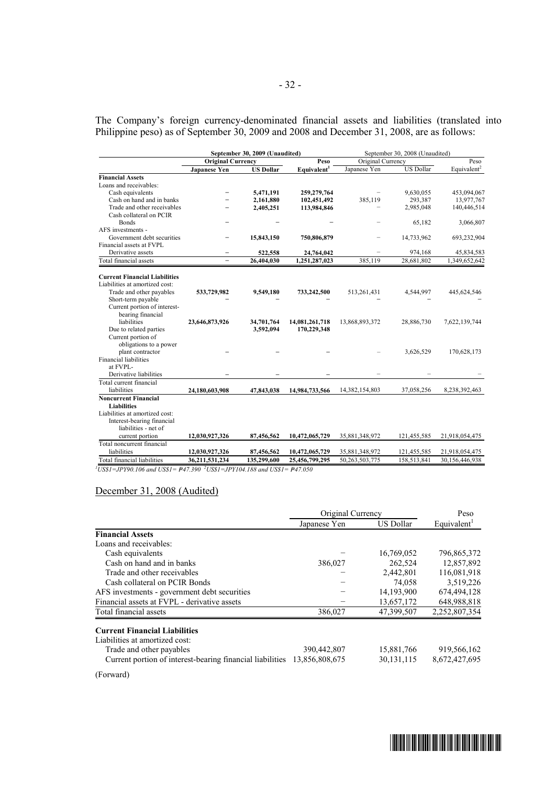The Company's foreign currency-denominated financial assets and liabilities (translated into Philippine peso) as of September 30, 2009 and 2008 and December 31, 2008, are as follows:

|                                      | September 30, 2009 (Unaudited) |                  |                         | September 30, 2008 (Unaudited) |                  |                         |  |
|--------------------------------------|--------------------------------|------------------|-------------------------|--------------------------------|------------------|-------------------------|--|
|                                      | <b>Original Currency</b>       |                  | Peso                    | Original Currency              |                  | Peso                    |  |
|                                      | Japanese Yen                   | <b>US Dollar</b> | Equivalent <sup>1</sup> | Japanese Yen                   | <b>US Dollar</b> | Equivalent <sup>2</sup> |  |
| <b>Financial Assets</b>              |                                |                  |                         |                                |                  |                         |  |
| Loans and receivables:               |                                |                  |                         |                                |                  |                         |  |
| Cash equivalents                     |                                | 5,471,191        | 259,279,764             |                                | 9,630,055        | 453,094,067             |  |
| Cash on hand and in banks            |                                | 2,161,880        | 102,451,492             | 385,119                        | 293,387          | 13,977,767              |  |
| Trade and other receivables          |                                | 2,405,251        | 113,984,846             |                                | 2,985,048        | 140,446,514             |  |
| Cash collateral on PCIR              |                                |                  |                         |                                |                  |                         |  |
| <b>Bonds</b>                         |                                |                  |                         |                                | 65,182           | 3,066,807               |  |
| AFS investments -                    |                                |                  |                         |                                |                  |                         |  |
| Government debt securities           |                                | 15,843,150       | 750,806,879             |                                | 14,733,962       | 693,232,904             |  |
| Financial assets at FVPL             |                                |                  |                         |                                |                  |                         |  |
| Derivative assets                    |                                | 522,558          | 24,764,042              |                                | 974,168          | 45,834,583              |  |
| Total financial assets               | $\equiv$                       | 26,404,030       | 1,251,287,023           | 385.119                        | 28.681.802       | 1,349,652,642           |  |
|                                      |                                |                  |                         |                                |                  |                         |  |
| <b>Current Financial Liabilities</b> |                                |                  |                         |                                |                  |                         |  |
| Liabilities at amortized cost:       |                                |                  |                         |                                |                  |                         |  |
| Trade and other payables             | 533,729,982                    | 9,549,180        | 733,242,500             | 513,261,431                    | 4,544,997        | 445,624,546             |  |
| Short-term payable                   |                                |                  |                         |                                |                  |                         |  |
| Current portion of interest-         |                                |                  |                         |                                |                  |                         |  |
| bearing financial                    |                                |                  |                         |                                |                  |                         |  |
| liabilities                          | 23,646,873,926                 | 34,701,764       | 14,081,261,718          | 13,868,893,372                 | 28,886,730       | 7,622,139,744           |  |
| Due to related parties               |                                | 3,592,094        | 170,229,348             |                                |                  |                         |  |
| Current portion of                   |                                |                  |                         |                                |                  |                         |  |
| obligations to a power               |                                |                  |                         |                                |                  |                         |  |
| plant contractor                     |                                |                  |                         |                                | 3,626,529        | 170,628,173             |  |
| <b>Financial liabilities</b>         |                                |                  |                         |                                |                  |                         |  |
| at FVPL-                             |                                |                  |                         |                                |                  |                         |  |
| Derivative liabilities               |                                |                  |                         |                                |                  |                         |  |
| Total current financial              |                                |                  |                         |                                |                  |                         |  |
| liabilities                          | 24,180,603,908                 | 47,843,038       | 14,984,733,566          | 14,382,154,803                 | 37,058,256       | 8,238,392,463           |  |
| <b>Noncurrent Financial</b>          |                                |                  |                         |                                |                  |                         |  |
| <b>Liabilities</b>                   |                                |                  |                         |                                |                  |                         |  |
| Liabilities at amortized cost:       |                                |                  |                         |                                |                  |                         |  |
| Interest-bearing financial           |                                |                  |                         |                                |                  |                         |  |
| liabilities - net of                 |                                |                  |                         |                                |                  |                         |  |
| current portion                      | 12,030,927,326                 | 87,456,562       | 10,472,065,729          | 35,881,348,972                 | 121,455,585      | 21,918,054,475          |  |
| Total noncurrent financial           |                                |                  |                         |                                |                  |                         |  |
| liabilities                          | 12,030,927,326                 | 87,456,562       | 10,472,065,729          | 35,881,348,972                 | 121,455,585      | 21,918,054,475          |  |
| Total financial liabilities          | 36.211.531.234                 | 135,299,600      | 25,456,799,295          | 50.263.503.775                 | 158.513.841      | 30.156.446.938          |  |

*1US\$1=JPY90.106* and *US\$1* = *P47.390*<sup>*2*</sup>*US\$1=JPY104.188* and *US\$1* = *P47.050* 

#### December 31, 2008 (Audited)

|                                                           | Original Currency | Peso             |                         |
|-----------------------------------------------------------|-------------------|------------------|-------------------------|
|                                                           | Japanese Yen      | <b>US Dollar</b> | Equivalent <sup>1</sup> |
| <b>Financial Assets</b>                                   |                   |                  |                         |
| Loans and receivables:                                    |                   |                  |                         |
| Cash equivalents                                          |                   | 16,769,052       | 796,865,372             |
| Cash on hand and in banks                                 | 386,027           | 262,524          | 12,857,892              |
| Trade and other receivables                               |                   | 2,442,801        | 116,081,918             |
| Cash collateral on PCIR Bonds                             |                   | 74,058           | 3,519,226               |
| AFS investments - government debt securities              |                   | 14,193,900       | 674,494,128             |
| Financial assets at FVPL - derivative assets              |                   | 13,657,172       | 648,988,818             |
| Total financial assets                                    | 386,027           | 47,399,507       | 2,252,807,354           |
| <b>Current Financial Liabilities</b>                      |                   |                  |                         |
| Liabilities at amortized cost:                            |                   |                  |                         |
| Trade and other payables                                  | 390,442,807       | 15,881,766       | 919,566,162             |
| Current portion of interest-bearing financial liabilities | 13,856,808,675    | 30, 131, 115     | 8,672,427,695           |
| (Forward)                                                 |                   |                  |                         |

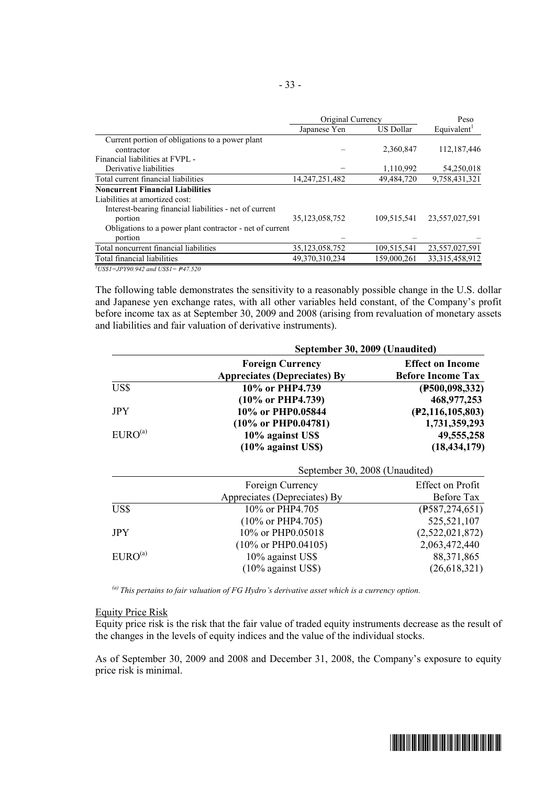|                                                          | Original Currency | Peso             |                         |
|----------------------------------------------------------|-------------------|------------------|-------------------------|
|                                                          | Japanese Yen      | <b>US Dollar</b> | Equivalent <sup>1</sup> |
| Current portion of obligations to a power plant          |                   |                  |                         |
| contractor                                               |                   | 2,360,847        | 112,187,446             |
| Financial liabilities at FVPL -                          |                   |                  |                         |
| Derivative liabilities                                   |                   | 1,110,992        | 54,250,018              |
| Total current financial liabilities                      | 14, 247, 251, 482 | 49,484,720       | 9,758,431,321           |
| <b>Noncurrent Financial Liabilities</b>                  |                   |                  |                         |
| Liabilities at amortized cost:                           |                   |                  |                         |
| Interest-bearing financial liabilities - net of current  |                   |                  |                         |
| portion                                                  | 35, 123, 058, 752 | 109,515,541      | 23,557,027,591          |
| Obligations to a power plant contractor - net of current |                   |                  |                         |
| portion                                                  |                   |                  |                         |
| Total noncurrent financial liabilities                   | 35,123,058,752    | 109,515,541      | 23,557,027,591          |
| Total financial liabilities                              | 49,370,310,234    | 159,000,261      | 33,315,458,912          |

 $\frac{1}{7}$ *US\$1=JPY90.942 and US\$1= P47.520* 

The following table demonstrates the sensitivity to a reasonably possible change in the U.S. dollar and Japanese yen exchange rates, with all other variables held constant, of the Company's profit before income tax as at September 30, 2009 and 2008 (arising from revaluation of monetary assets and liabilities and fair valuation of derivative instruments).

|                     | September 30, 2009 (Unaudited)      |                          |  |  |  |
|---------------------|-------------------------------------|--------------------------|--|--|--|
|                     | <b>Foreign Currency</b>             | <b>Effect on Income</b>  |  |  |  |
|                     | <b>Appreciates (Depreciates) By</b> | <b>Before Income Tax</b> |  |  |  |
| US\$                | 10% or PHP4.739                     | (F500, 098, 332)         |  |  |  |
|                     | $(10\% \text{ or PHP4.739})$        | 468,977,253              |  |  |  |
| <b>JPY</b>          | 10% or PHP0.05844                   | (P2, 116, 105, 803)      |  |  |  |
|                     | $(10\% \text{ or } PHP0.04781)$     | 1,731,359,293            |  |  |  |
| EURO <sup>(a)</sup> | 10% against US\$                    | 49, 555, 258             |  |  |  |
|                     | $(10\%$ against US\$)               | (18, 434, 179)           |  |  |  |
|                     | September 30, 2008 (Unaudited)      |                          |  |  |  |
|                     | Foreign Currency                    | Effect on Profit         |  |  |  |

|                     | Foreign Currency                | Effect on Profit |
|---------------------|---------------------------------|------------------|
|                     | Appreciates (Depreciates) By    | Before Tax       |
| US\$                | 10% or PHP4.705                 | (F587, 274, 651) |
|                     | $(10\% \text{ or PHP4.705})$    | 525,521,107      |
| <b>JPY</b>          | 10% or PHP0.05018               | (2,522,021,872)  |
|                     | $(10\% \text{ or PHP} 0.04105)$ | 2,063,472,440    |
| EURO <sup>(a)</sup> | 10% against US\$                | 88, 371, 865     |
|                     | $(10\%$ against US\$)           | (26, 618, 321)   |

*(a) This pertains to fair valuation of FG Hydro's derivative asset which is a currency option.* 

#### Equity Price Risk

Equity price risk is the risk that the fair value of traded equity instruments decrease as the result of the changes in the levels of equity indices and the value of the individual stocks.

As of September 30, 2009 and 2008 and December 31, 2008, the Company's exposure to equity price risk is minimal.

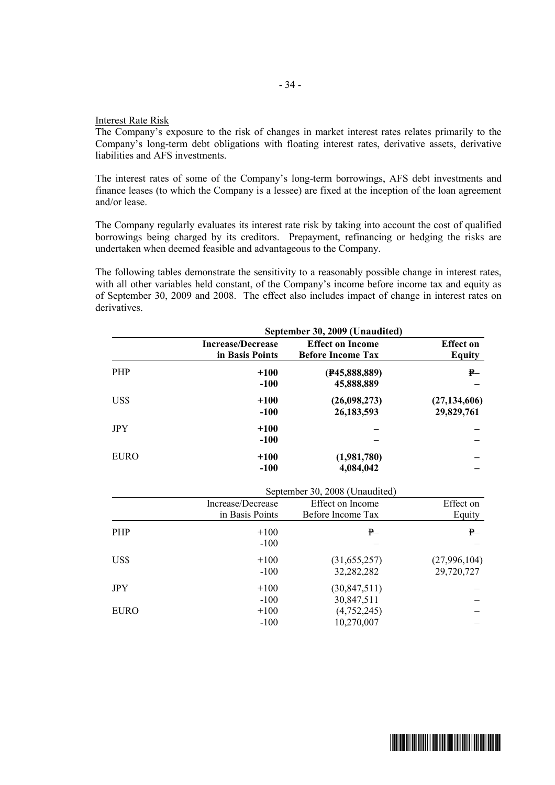#### Interest Rate Risk

The Company's exposure to the risk of changes in market interest rates relates primarily to the Company's long-term debt obligations with floating interest rates, derivative assets, derivative liabilities and AFS investments.

- 34 -

The interest rates of some of the Company's long-term borrowings, AFS debt investments and finance leases (to which the Company is a lessee) are fixed at the inception of the loan agreement and/or lease.

The Company regularly evaluates its interest rate risk by taking into account the cost of qualified borrowings being charged by its creditors. Prepayment, refinancing or hedging the risks are undertaken when deemed feasible and advantageous to the Company.

The following tables demonstrate the sensitivity to a reasonably possible change in interest rates, with all other variables held constant, of the Company's income before income tax and equity as of September 30, 2009 and 2008. The effect also includes impact of change in interest rates on derivatives.

| September 30, 2009 (Unaudited)              |                                                     |                              |  |  |
|---------------------------------------------|-----------------------------------------------------|------------------------------|--|--|
| <b>Increase/Decrease</b><br>in Basis Points | <b>Effect on Income</b><br><b>Before Income Tax</b> | <b>Effect on</b><br>Equity   |  |  |
| $+100$<br>$-100$                            | (F45, 888, 889)<br>45,888,889                       | $P -$                        |  |  |
| $+100$<br>$-100$                            | (26,098,273)<br>26,183,593                          | (27, 134, 606)<br>29,829,761 |  |  |
| $+100$<br>$-100$                            |                                                     |                              |  |  |
| $+100$<br>$-100$                            | (1,981,780)<br>4,084,042                            |                              |  |  |
|                                             |                                                     |                              |  |  |

|             |                   | September 30, 2008 (Unaudited) |              |  |  |  |
|-------------|-------------------|--------------------------------|--------------|--|--|--|
|             | Increase/Decrease | Effect on Income               | Effect on    |  |  |  |
|             | in Basis Points   | Before Income Tax              | Equity       |  |  |  |
| <b>PHP</b>  | $+100$            | P                              | ₽—           |  |  |  |
|             | $-100$            |                                |              |  |  |  |
| US\$        | $+100$            | (31, 655, 257)                 | (27,996,104) |  |  |  |
|             | $-100$            | 32,282,282                     | 29,720,727   |  |  |  |
| <b>JPY</b>  | $+100$            | (30, 847, 511)                 |              |  |  |  |
|             | $-100$            | 30,847,511                     |              |  |  |  |
| <b>EURO</b> | $+100$            | (4, 752, 245)                  |              |  |  |  |
|             | $-100$            | 10,270,007                     |              |  |  |  |

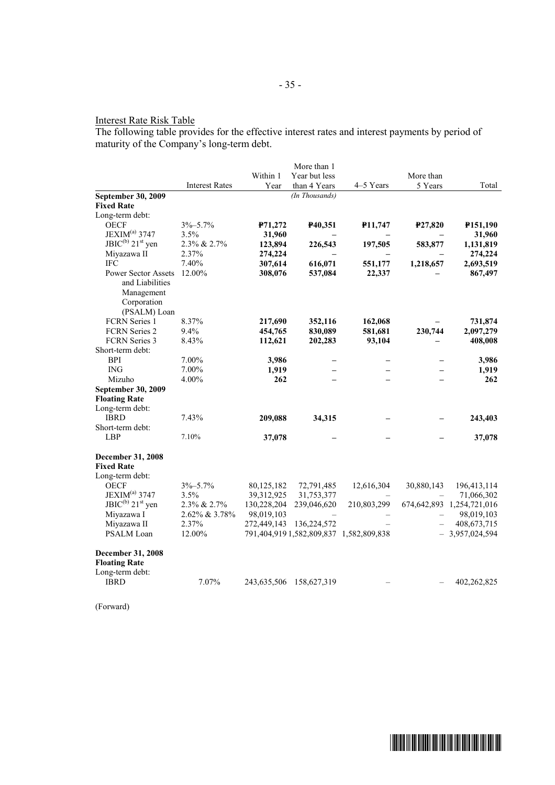# Interest Rate Risk Table

The following table provides for the effective interest rates and interest payments by period of maturity of the Company's long-term debt.

|                                   |                       |             | More than 1                 |                                         |            |                                |
|-----------------------------------|-----------------------|-------------|-----------------------------|-----------------------------------------|------------|--------------------------------|
|                                   |                       | Within 1    | Year but less               |                                         | More than  |                                |
|                                   | <b>Interest Rates</b> | Year        | than 4 Years                | 4-5 Years                               | 5 Years    | Total                          |
| September 30, 2009                |                       |             | (In Thousands)              |                                         |            |                                |
| <b>Fixed Rate</b>                 |                       |             |                             |                                         |            |                                |
| Long-term debt:                   |                       |             |                             |                                         |            |                                |
| <b>OECF</b>                       | $3\% - 5.7\%$         | P71,272     | P40,351                     | P11,747                                 | P27,820    | P151,190                       |
| JEXIM <sup>(a)</sup> 3747         | 3.5%                  | 31,960      |                             |                                         |            | 31,960                         |
| $JBIC^{(b)}$ 21 <sup>st</sup> yen | 2.3% & 2.7%           | 123,894     | 226,543                     | 197,505                                 | 583,877    | 1,131,819                      |
| Miyazawa II                       | 2.37%                 | 274,224     |                             |                                         |            | 274,224                        |
| <b>IFC</b>                        | 7.40%                 | 307,614     | 616,071                     | 551,177                                 | 1,218,657  | 2,693,519                      |
| <b>Power Sector Assets</b>        | 12.00%                | 308,076     | 537,084                     | 22,337                                  |            | 867,497                        |
| and Liabilities                   |                       |             |                             |                                         |            |                                |
| Management                        |                       |             |                             |                                         |            |                                |
| Corporation                       |                       |             |                             |                                         |            |                                |
| (PSALM) Loan                      |                       |             |                             |                                         |            |                                |
| <b>FCRN</b> Series 1              | 8.37%                 | 217,690     | 352,116                     | 162,068                                 |            | 731,874                        |
| FCRN Series 2                     | 9.4%                  | 454,765     | 830,089                     | 581,681                                 | 230,744    | 2,097,279                      |
| FCRN Series 3                     | 8.43%                 | 112,621     | 202,283                     | 93,104                                  |            | 408,008                        |
| Short-term debt:                  |                       |             |                             |                                         |            |                                |
| <b>BPI</b>                        | 7.00%                 | 3,986       |                             |                                         |            | 3,986                          |
| <b>ING</b>                        | 7.00%                 | 1,919       |                             |                                         |            | 1,919                          |
| Mizuho                            | 4.00%                 | 262         |                             |                                         |            | 262                            |
| September 30, 2009                |                       |             |                             |                                         |            |                                |
| <b>Floating Rate</b>              |                       |             |                             |                                         |            |                                |
| Long-term debt:                   |                       |             |                             |                                         |            |                                |
| <b>IBRD</b>                       | 7.43%                 | 209,088     | 34,315                      |                                         |            | 243,403                        |
| Short-term debt:                  |                       |             |                             |                                         |            |                                |
| <b>LBP</b>                        | 7.10%                 | 37,078      |                             |                                         |            | 37,078                         |
| <b>December 31, 2008</b>          |                       |             |                             |                                         |            |                                |
| <b>Fixed Rate</b>                 |                       |             |                             |                                         |            |                                |
| Long-term debt:                   |                       |             |                             |                                         |            |                                |
| <b>OECF</b>                       | $3\% - 5.7\%$         | 80,125,182  | 72,791,485                  | 12,616,304                              | 30,880,143 | 196,413,114                    |
| JEXIM <sup>(a)</sup> 3747         | 3.5%                  | 39,312,925  | 31,753,377                  |                                         |            | 71,066,302                     |
| $JBIC^{(b)}$ 21 <sup>st</sup> yen | 2.3% & 2.7%           | 130,228,204 | 239,046,620                 | 210,803,299                             |            | 674, 642, 893 1, 254, 721, 016 |
| Miyazawa I                        | 2.62% & 3.78%         | 98,019,103  |                             |                                         |            | 98,019,103                     |
| Miyazawa II                       | 2.37%                 | 272,449,143 | 136,224,572                 |                                         |            | 408, 673, 715                  |
| PSALM Loan                        | 12.00%                |             |                             | 791,404,919 1,582,809,837 1,582,809,838 |            | $-3,957,024,594$               |
| <b>December 31, 2008</b>          |                       |             |                             |                                         |            |                                |
| <b>Floating Rate</b>              |                       |             |                             |                                         |            |                                |
| Long-term debt:                   |                       |             |                             |                                         |            |                                |
| <b>IBRD</b>                       | 7.07%                 |             | 243, 635, 506 158, 627, 319 |                                         |            | 402,262,825                    |
|                                   |                       |             |                             |                                         |            |                                |

(Forward)

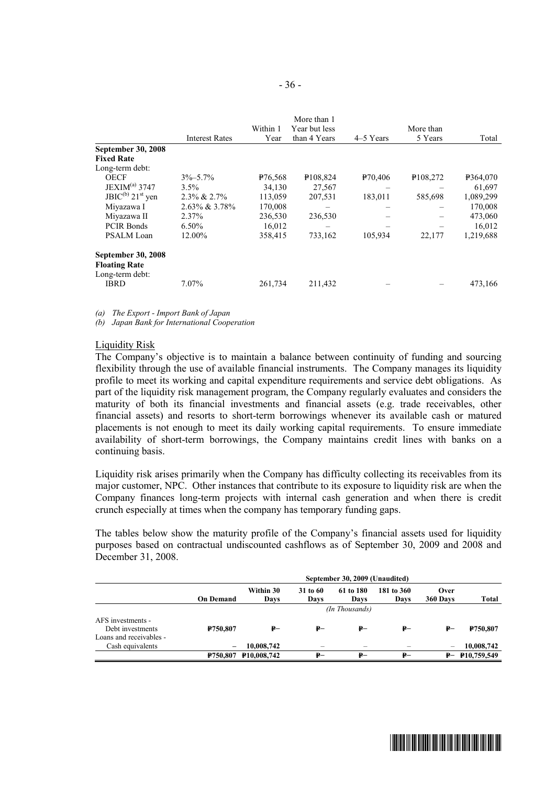|                                         |                       |                     | More than 1   |           |                      |           |
|-----------------------------------------|-----------------------|---------------------|---------------|-----------|----------------------|-----------|
|                                         |                       | Within 1            | Year but less |           | More than            |           |
|                                         | <b>Interest Rates</b> | Year                | than 4 Years  | 4–5 Years | 5 Years              | Total     |
| <b>September 30, 2008</b>               |                       |                     |               |           |                      |           |
| <b>Fixed Rate</b>                       |                       |                     |               |           |                      |           |
| Long-term debt:                         |                       |                     |               |           |                      |           |
| <b>OECF</b>                             | $3\% - 5.7\%$         | P <sub>76,568</sub> | P108,824      | P70,406   | P <sub>108,272</sub> | P364,070  |
| JEXIM <sup>(a)</sup> 3747               | $3.5\%$               | 34,130              | 27,567        |           |                      | 61,697    |
| $JBIC^{(b)} 21st$ yen                   | $2.3\% \& 2.7\%$      | 113,059             | 207,531       | 183,011   | 585,698              | 1,089,299 |
| Miyazawa I                              | 2.63% & 3.78%         | 170,008             |               |           |                      | 170,008   |
| Miyazawa II                             | 2.37%                 | 236,530             | 236,530       |           |                      | 473,060   |
| <b>PCIR Bonds</b>                       | $6.50\%$              | 16,012              |               |           |                      | 16,012    |
| <b>PSALM Loan</b>                       | 12.00%                | 358,415             | 733,162       | 105,934   | 22,177               | 1,219,688 |
| September 30, 2008                      |                       |                     |               |           |                      |           |
| <b>Floating Rate</b><br>Long-term debt: |                       |                     |               |           |                      |           |
| <b>IBRD</b>                             | 7.07%                 | 261,734             | 211,432       |           |                      | 473,166   |

*(a) The Export - Import Bank of Japan* 

*(b) Japan Bank for International Cooperation* 

#### Liquidity Risk

The Company's objective is to maintain a balance between continuity of funding and sourcing flexibility through the use of available financial instruments. The Company manages its liquidity profile to meet its working and capital expenditure requirements and service debt obligations. As part of the liquidity risk management program, the Company regularly evaluates and considers the maturity of both its financial investments and financial assets (e.g. trade receivables, other financial assets) and resorts to short-term borrowings whenever its available cash or matured placements is not enough to meet its daily working capital requirements. To ensure immediate availability of short-term borrowings, the Company maintains credit lines with banks on a continuing basis.

Liquidity risk arises primarily when the Company has difficulty collecting its receivables from its major customer, NPC. Other instances that contribute to its exposure to liquidity risk are when the Company finances long-term projects with internal cash generation and when there is credit crunch especially at times when the company has temporary funding gaps.

The tables below show the maturity profile of the Company's financial assets used for liquidity purposes based on contractual undiscounted cashflows as of September 30, 2009 and 2008 and December 31, 2008.

|                         | September 30, 2009 (Unaudited) |                      |                  |                   |                    |                          |                   |  |
|-------------------------|--------------------------------|----------------------|------------------|-------------------|--------------------|--------------------------|-------------------|--|
|                         | <b>On Demand</b>               | Within 30<br>Davs    | 31 to 60<br>Davs | 61 to 180<br>Days | 181 to 360<br>Days | Over<br>360 Days         | Total             |  |
|                         | (In Thousands)                 |                      |                  |                   |                    |                          |                   |  |
| AFS investments -       |                                |                      |                  |                   |                    |                          |                   |  |
| Debt investments        | P750.807                       | ₽–                   | ₽–               | ₽–                | $P-$               | ₽–                       | <b>P750.807</b>   |  |
| Loans and receivables - |                                |                      |                  |                   |                    |                          |                   |  |
| Cash equivalents        | $\overline{\phantom{m}}$       | 10,008,742           |                  |                   |                    | $\overline{\phantom{m}}$ | 10,008,742        |  |
|                         |                                | P750,807 P10,008,742 | ₽–               | ₽–                | ₽–                 |                          | $P - P10,759,549$ |  |

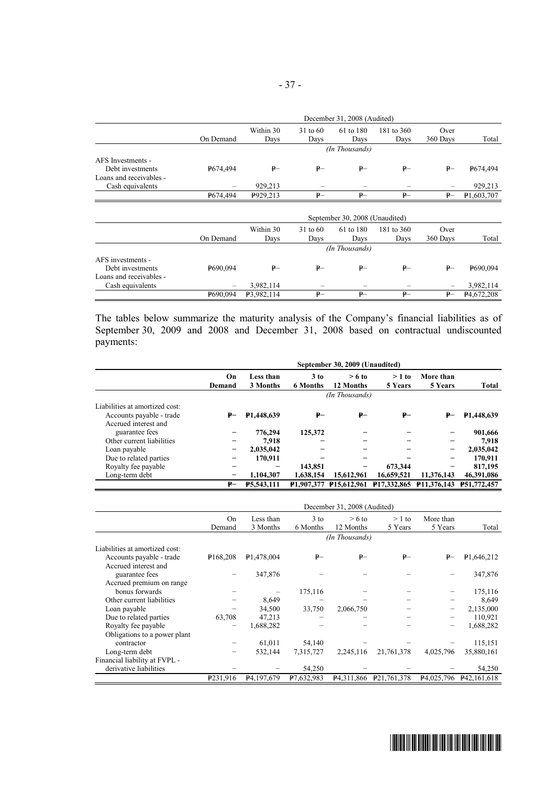|                                             | December 31, 2008 (Audited)    |                   |                  |                   |                    |                  |            |  |
|---------------------------------------------|--------------------------------|-------------------|------------------|-------------------|--------------------|------------------|------------|--|
|                                             | On Demand                      | Within 30<br>Days | 31 to 60<br>Days | 61 to 180<br>Days | 181 to 360<br>Days | Over<br>360 Days | Total      |  |
|                                             | (In Thousands)                 |                   |                  |                   |                    |                  |            |  |
| AFS Investments -                           |                                |                   |                  |                   |                    |                  |            |  |
| Debt investments<br>Loans and receivables - | P674.494                       | $P-$              | $P-$             | $P-$              | $P-$               | $P-$             | P674,494   |  |
| Cash equivalents                            |                                | 929,213           |                  |                   |                    |                  | 929,213    |  |
|                                             | P674,494                       | P929,213          | $P-$             | $P-$              | $P-$               | $P-$             | P1,603,707 |  |
|                                             | September 30, 2008 (Unaudited) |                   |                  |                   |                    |                  |            |  |
|                                             |                                | Within 30         | 31 to 60         | 61 to 180         | 181 to 360         | Over             |            |  |
|                                             | On Demand                      | Days              | Days             | Days              | Days               | 360 Days         | Total      |  |
|                                             | (In Thousands)                 |                   |                  |                   |                    |                  |            |  |
|                                             |                                |                   |                  |                   |                    |                  |            |  |
| AFS investments -                           |                                |                   |                  |                   |                    |                  |            |  |
| Debt investments<br>Loans and receivables - | P690.094                       | $P-$              | $P-$             | $P-$              | $P-$               | $P-$             | P690,094   |  |
| Cash equivalents                            |                                | 3,982,114         |                  |                   |                    |                  | 3,982,114  |  |

The tables below summarize the maturity analysis of the Company's financial liabilities as of September 30, 2009 and 2008 and December 31, 2008 based on contractual undiscounted payments:

|                                | September 30, 2009 (Unaudited) |                       |                           |                       |                                                            |                      |                   |
|--------------------------------|--------------------------------|-----------------------|---------------------------|-----------------------|------------------------------------------------------------|----------------------|-------------------|
|                                | On<br>Demand                   | Less than<br>3 Months | $3$ to<br><b>6 Months</b> | $> 6$ to<br>12 Months | $>1$ to<br>5 Years                                         | More than<br>5 Years | Total             |
|                                | (In Thousands)                 |                       |                           |                       |                                                            |                      |                   |
| Liabilities at amortized cost: |                                |                       |                           |                       |                                                            |                      |                   |
| Accounts payable - trade       | ₽–                             | <b>P1.448.639</b>     | ₽–                        | ₽–                    | ₽–                                                         | ₽–                   | <b>P1,448,639</b> |
| Accrued interest and           |                                |                       |                           |                       |                                                            |                      |                   |
| guarantee fees                 |                                | 776,294               | 125,372                   |                       |                                                            |                      | 901,666           |
| Other current liabilities      |                                | 7.918                 |                           |                       |                                                            |                      | 7.918             |
| Loan payable                   |                                | 2,035,042             |                           |                       |                                                            | -                    | 2,035,042         |
| Due to related parties         |                                | 170.911               |                           |                       |                                                            |                      | 170,911           |
| Royalty fee payable            |                                |                       | 143,851                   |                       | 673.344                                                    |                      | 817,195           |
| Long-term debt                 |                                | 1.104.307             | 1.638.154                 | 15,612,961            | 16,659,521                                                 | 11.376.143           | 46,391,086        |
|                                | ₽–                             | <b>P5.543.111</b>     |                           |                       | P1.907.377 P15.612.961 P17.332.865 P11.376.143 P51.772.457 |                      |                   |

|                                | December 31, 2008 (Audited) |                           |                    |                       |                        |                      |                         |
|--------------------------------|-----------------------------|---------------------------|--------------------|-----------------------|------------------------|----------------------|-------------------------|
|                                | <b>On</b><br>Demand         | Less than<br>3 Months     | $3$ to<br>6 Months | $> 6$ to<br>12 Months | $>1$ to<br>5 Years     | More than<br>5 Years | Total                   |
|                                |                             |                           |                    | (In Thousands)        |                        |                      |                         |
| Liabilities at amortized cost: |                             |                           |                    |                       |                        |                      |                         |
| Accounts payable - trade       | P <sub>168,208</sub>        | P <sub>1</sub> ,478,004   | ₽–                 | $P-$                  | $P-$                   | ₽–                   | P <sub>1</sub> ,646,212 |
| Accrued interest and           |                             |                           |                    |                       |                        |                      |                         |
| guarantee fees                 |                             | 347,876                   |                    |                       |                        |                      | 347,876                 |
| Accrued premium on range       |                             |                           |                    |                       |                        |                      |                         |
| bonus forwards                 |                             |                           | 175,116            |                       |                        |                      | 175,116                 |
| Other current liabilities      |                             | 8,649                     |                    |                       |                        |                      | 8,649                   |
| Loan payable                   |                             | 34,500                    | 33,750             | 2,066,750             |                        |                      | 2,135,000               |
| Due to related parties         | 63,708                      | 47,213                    |                    |                       |                        |                      | 110,921                 |
| Royalty fee payable            |                             | 1,688,282                 |                    |                       |                        |                      | 1,688,282               |
| Obligations to a power plant   |                             |                           |                    |                       |                        |                      |                         |
| contractor                     |                             | 61,011                    | 54,140             |                       |                        |                      | 115,151                 |
| Long-term debt                 |                             | 532,144                   | 7,315,727          | 2,245,116             | 21,761,378             | 4,025,796            | 35,880,161              |
| Financial liability at FVPL -  |                             |                           |                    |                       |                        |                      |                         |
| derivative liabilities         |                             |                           | 54,250             |                       |                        |                      | 54,250                  |
|                                | P <sub>231,916</sub>        | P <sub>4</sub> , 197, 679 | P7.632,983         |                       | P4,311,866 P21,761,378 |                      | P4,025,796 P42,161,618  |

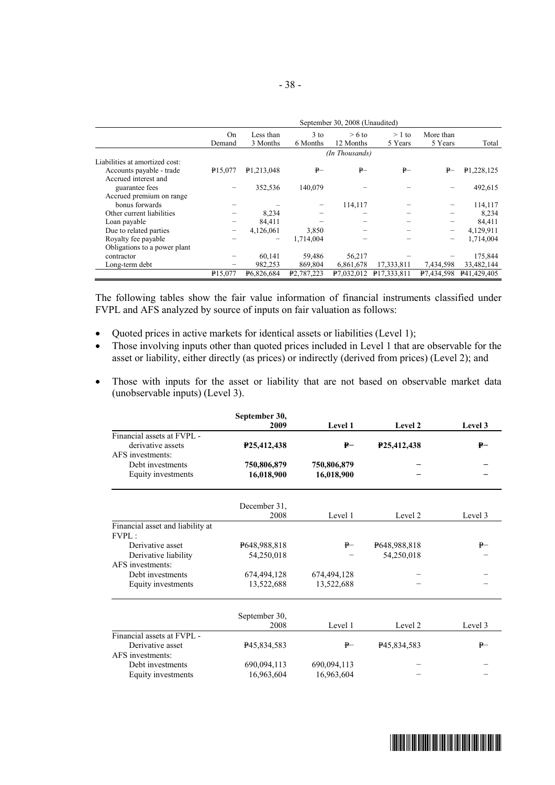|                                | September 30, 2008 (Unaudited) |                       |                         |                       |                    |                      |             |
|--------------------------------|--------------------------------|-----------------------|-------------------------|-----------------------|--------------------|----------------------|-------------|
|                                | <b>On</b><br>Demand            | Less than<br>3 Months | $3$ to<br>6 Months      | $> 6$ to<br>12 Months | $>1$ to<br>5 Years | More than<br>5 Years | Total       |
|                                |                                |                       |                         | (In Thousands)        |                    |                      |             |
| Liabilities at amortized cost: |                                |                       |                         |                       |                    |                      |             |
| Accounts payable - trade       | P <sub>15.077</sub>            | P1,213,048            | $P-$                    | $P-$                  | $P-$               | $P-$                 | P1,228,125  |
| Accrued interest and           |                                |                       |                         |                       |                    |                      |             |
| guarantee fees                 |                                | 352,536               | 140,079                 |                       |                    |                      | 492,615     |
| Accrued premium on range       |                                |                       |                         |                       |                    |                      |             |
| bonus forwards                 |                                |                       |                         | 114,117               |                    |                      | 114,117     |
| Other current liabilities      |                                | 8.234                 |                         |                       |                    |                      | 8,234       |
| Loan payable                   |                                | 84,411                |                         |                       |                    |                      | 84,411      |
| Due to related parties         |                                | 4,126,061             | 3,850                   |                       |                    | -                    | 4,129,911   |
| Royalty fee payable            |                                |                       | 1.714.004               |                       |                    |                      | 1,714,004   |
| Obligations to a power plant   |                                |                       |                         |                       |                    |                      |             |
| contractor                     |                                | 60.141                | 59.486                  | 56.217                |                    |                      | 175,844     |
| Long-term debt                 |                                | 982,253               | 869,804                 | 6,861,678             | 17,333,811         | 7,434,598            | 33,482,144  |
|                                | P <sub>15,077</sub>            | P6,826,684            | P <sub>2</sub> ,787,223 | P7,032,012            | P17,333,811        | P7,434,598           | P41,429,405 |

The following tables show the fair value information of financial instruments classified under FVPL and AFS analyzed by source of inputs on fair valuation as follows:

- · Quoted prices in active markets for identical assets or liabilities (Level 1);
- Those involving inputs other than quoted prices included in Level 1 that are observable for the asset or liability, either directly (as prices) or indirectly (derived from prices) (Level 2); and
- · Those with inputs for the asset or liability that are not based on observable market data (unobservable inputs) (Level 3).

|                                  | September 30,<br>2009    | <b>Level 1</b> | Level 2                  | Level 3 |
|----------------------------------|--------------------------|----------------|--------------------------|---------|
| Financial assets at FVPL -       |                          |                |                          |         |
| derivative assets                | P <sub>25</sub> ,412,438 | ₽–             | P <sub>25</sub> ,412,438 | ₽–      |
| AFS investments:                 |                          |                |                          |         |
| Debt investments                 | 750,806,879              | 750,806,879    |                          |         |
| Equity investments               | 16,018,900               | 16,018,900     |                          |         |
|                                  | December 31,             |                |                          |         |
|                                  | 2008                     | Level 1        | Level 2                  | Level 3 |
| Financial asset and liability at |                          |                |                          |         |
| FVPL:                            |                          |                |                          |         |
| Derivative asset                 | P648,988,818             | $P-$           | P648,988,818             | $P-$    |
| Derivative liability             | 54,250,018               |                | 54,250,018               |         |
| AFS investments:                 |                          |                |                          |         |
| Debt investments                 | 674,494,128              | 674,494,128    |                          |         |
| Equity investments               | 13,522,688               | 13,522,688     |                          |         |
|                                  | September 30,            |                |                          |         |
|                                  | 2008                     | Level 1        | Level 2                  | Level 3 |
| Financial assets at FVPL -       |                          |                |                          |         |
| Derivative asset                 | P <sub>45</sub> ,834,583 | ₽—             | P45,834,583              | $P-$    |
| AFS investments:                 |                          |                |                          |         |
| Debt investments                 | 690,094,113              | 690,094,113    |                          |         |
| Equity investments               | 16,963,604               | 16,963,604     |                          |         |

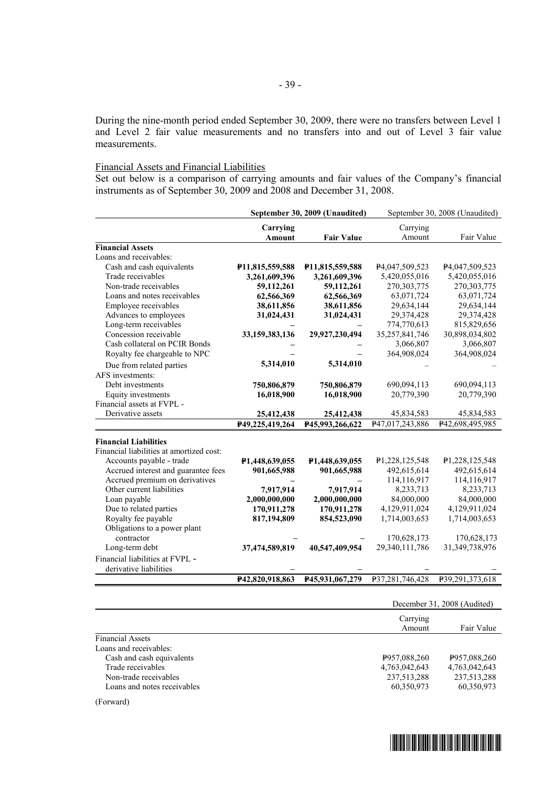During the nine-month period ended September 30, 2009, there were no transfers between Level 1 and Level 2 fair value measurements and no transfers into and out of Level 3 fair value measurements.

#### Financial Assets and Financial Liabilities

Set out below is a comparison of carrying amounts and fair values of the Company's financial instruments as of September 30, 2009 and 2008 and December 31, 2008.

|                                          | September 30, 2009 (Unaudited) |                              |                             | September 30, 2008 (Unaudited) |
|------------------------------------------|--------------------------------|------------------------------|-----------------------------|--------------------------------|
|                                          | Carrying                       |                              | Carrying                    |                                |
|                                          | Amount                         | <b>Fair Value</b>            | Amount                      | Fair Value                     |
| <b>Financial Assets</b>                  |                                |                              |                             |                                |
| Loans and receivables:                   |                                |                              |                             |                                |
| Cash and cash equivalents                | P11,815,559,588                | P <sub>11</sub> ,815,559,588 | P <sub>4</sub> ,047,509,523 | P4,047,509,523                 |
| Trade receivables                        | 3,261,609,396                  | 3,261,609,396                | 5,420,055,016               | 5,420,055,016                  |
| Non-trade receivables                    | 59,112,261                     | 59,112,261                   | 270,303,775                 | 270, 303, 775                  |
| Loans and notes receivables              | 62,566,369                     | 62,566,369                   | 63,071,724                  | 63,071,724                     |
| Employee receivables                     | 38,611,856                     | 38,611,856                   | 29,634,144                  | 29,634,144                     |
| Advances to employees                    | 31,024,431                     | 31,024,431                   | 29,374,428                  | 29,374,428                     |
| Long-term receivables                    |                                |                              | 774,770,613                 | 815,829,656                    |
| Concession receivable                    | 33,159,383,136                 | 29,927,230,494               | 35,257,841,746              | 30,898,034,802                 |
| Cash collateral on PCIR Bonds            |                                |                              | 3,066,807                   | 3,066,807                      |
| Royalty fee chargeable to NPC            |                                |                              | 364,908,024                 | 364,908,024                    |
| Due from related parties                 | 5,314,010                      | 5,314,010                    |                             |                                |
| AFS investments:                         |                                |                              |                             |                                |
| Debt investments                         | 750,806,879                    | 750,806,879                  | 690,094,113                 | 690,094,113                    |
| Equity investments                       | 16,018,900                     | 16,018,900                   | 20,779,390                  | 20,779,390                     |
| Financial assets at FVPL -               |                                |                              |                             |                                |
| Derivative assets                        | 25,412,438                     | 25,412,438                   | 45,834,583                  | 45,834,583                     |
|                                          | P49,225,419,264                | P45,993,266,622              | P47,017,243,886             | P42,698,495,985                |
|                                          |                                |                              |                             |                                |
| <b>Financial Liabilities</b>             |                                |                              |                             |                                |
| Financial liabilities at amortized cost: |                                |                              |                             |                                |
| Accounts payable - trade                 | P1,448,639,055                 | P1,448,639,055               | P1,228,125,548              | P1,228,125,548                 |
| Accrued interest and guarantee fees      | 901,665,988                    | 901,665,988                  | 492,615,614                 | 492,615,614                    |
| Accrued premium on derivatives           |                                |                              | 114,116,917                 | 114,116,917                    |
| Other current liabilities                | 7,917,914                      | 7,917,914                    | 8,233,713                   | 8,233,713                      |
| Loan payable                             | 2,000,000,000                  | 2,000,000,000                | 84,000,000                  | 84,000,000                     |
| Due to related parties                   | 170,911,278                    | 170,911,278                  | 4,129,911,024               | 4,129,911,024                  |
| Royalty fee payable                      | 817,194,809                    | 854,523,090                  | 1,714,003,653               | 1,714,003,653                  |
| Obligations to a power plant             |                                |                              |                             |                                |
| contractor                               |                                |                              | 170,628,173                 | 170,628,173                    |
| Long-term debt                           | 37,474,589,819                 | 40,547,409,954               | 29,340,111,786              | 31,349,738,976                 |
| Financial liabilities at FVPL -          |                                |                              |                             |                                |
| derivative liabilities                   |                                |                              |                             |                                |
|                                          | P42,820,918,863                | P45,931,067,279              | P37,281,746,428             | P39,291,373,618                |
|                                          |                                |                              |                             |                                |
|                                          |                                |                              |                             | December 31, 2008 (Audited)    |
|                                          |                                |                              | Carrying                    |                                |
|                                          |                                |                              |                             |                                |

Amount Fair Value Financial Assets Loans and receivables: Cash and cash equivalents **PPS7,088,260** PPS7,088,260 PPS7,088,260 PPS7,088,260 PPS7,088,260 PPS7,088,260 PPS7,088,260 PPS7,088,260 PPS7,088,260 PPS7,088,260 PPS7,088,260 PPS7,088,260 PPS7,088,260 PPS7,088,260 PPS7,088,260 Trade receivables Non-trade receivables 237,513,288 237,513,288 237,513,288 Loans and notes receivables 60,350,973 60,350,973 60,350,973

(Forward)

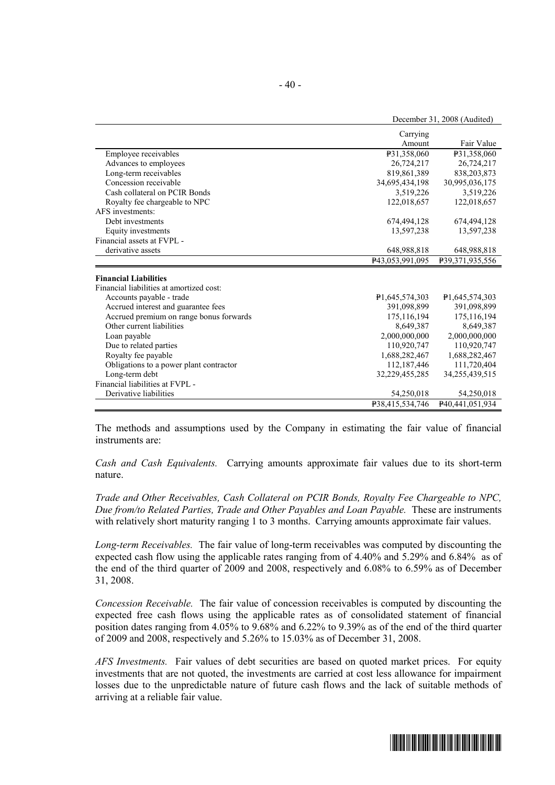|                                          | Carrying        |                 |
|------------------------------------------|-----------------|-----------------|
|                                          | Amount          | Fair Value      |
| Employee receivables                     | P31,358,060     | P31,358,060     |
| Advances to employees                    | 26,724,217      | 26,724,217      |
| Long-term receivables                    | 819,861,389     | 838, 203, 873   |
| Concession receivable                    | 34,695,434,198  | 30,995,036,175  |
| Cash collateral on PCIR Bonds            | 3,519,226       | 3,519,226       |
| Royalty fee chargeable to NPC            | 122,018,657     | 122,018,657     |
| AFS investments:                         |                 |                 |
| Debt investments                         | 674,494,128     | 674,494,128     |
| Equity investments                       | 13,597,238      | 13,597,238      |
| Financial assets at FVPL -               |                 |                 |
| derivative assets                        | 648,988,818     | 648,988,818     |
|                                          | P43,053,991,095 | P39,371,935,556 |
| <b>Financial Liabilities</b>             |                 |                 |
| Financial liabilities at amortized cost: |                 |                 |
| Accounts payable - trade                 | P1,645,574,303  | P1.645.574.303  |
| Accrued interest and guarantee fees      | 391,098,899     | 391,098,899     |
| Accrued premium on range bonus forwards  | 175, 116, 194   | 175,116,194     |
| Other current liabilities                | 8,649,387       | 8,649,387       |
| Loan payable                             | 2,000,000,000   | 2,000,000,000   |
| Due to related parties                   | 110,920,747     | 110,920,747     |
| Royalty fee payable                      | 1,688,282,467   | 1,688,282,467   |
| Obligations to a power plant contractor  | 112,187,446     | 111,720,404     |
| Long-term debt                           | 32,229,455,285  | 34,255,439,515  |
| Financial liabilities at FVPL -          |                 |                 |
| Derivative liabilities                   | 54,250,018      | 54,250,018      |
|                                          | P38,415,534,746 | P40,441,051,934 |

The methods and assumptions used by the Company in estimating the fair value of financial instruments are:

*Cash and Cash Equivalents.* Carrying amounts approximate fair values due to its short-term nature.

*Trade and Other Receivables, Cash Collateral on PCIR Bonds, Royalty Fee Chargeable to NPC, Due from/to Related Parties, Trade and Other Payables and Loan Payable.* These are instruments with relatively short maturity ranging 1 to 3 months. Carrying amounts approximate fair values.

*Long-term Receivables.* The fair value of long-term receivables was computed by discounting the expected cash flow using the applicable rates ranging from of 4.40% and 5.29% and 6.84% as of the end of the third quarter of 2009 and 2008, respectively and 6.08% to 6.59% as of December 31, 2008.

*Concession Receivable.* The fair value of concession receivables is computed by discounting the expected free cash flows using the applicable rates as of consolidated statement of financial position dates ranging from 4.05% to 9.68% and 6.22% to 9.39% as of the end of the third quarter of 2009 and 2008, respectively and 5.26% to 15.03% as of December 31, 2008.

*AFS Investments.* Fair values of debt securities are based on quoted market prices. For equity investments that are not quoted, the investments are carried at cost less allowance for impairment losses due to the unpredictable nature of future cash flows and the lack of suitable methods of arriving at a reliable fair value.



December 31, 2008 (Audited)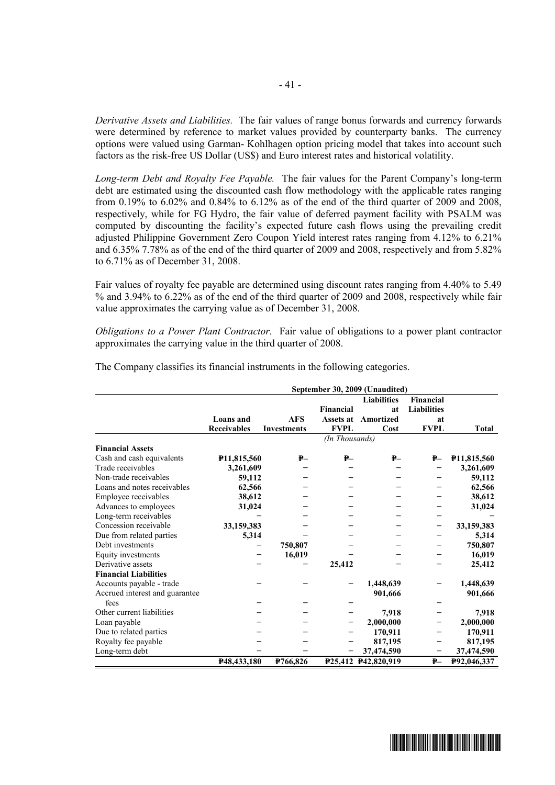*Derivative Assets and Liabilities.* The fair values of range bonus forwards and currency forwards were determined by reference to market values provided by counterparty banks. The currency options were valued using Garman- Kohlhagen option pricing model that takes into account such factors as the risk-free US Dollar (US\$) and Euro interest rates and historical volatility.

*Long-term Debt and Royalty Fee Payable.* The fair values for the Parent Company's long-term debt are estimated using the discounted cash flow methodology with the applicable rates ranging from 0.19% to 6.02% and 0.84% to 6.12% as of the end of the third quarter of 2009 and 2008, respectively, while for FG Hydro, the fair value of deferred payment facility with PSALM was computed by discounting the facility's expected future cash flows using the prevailing credit adjusted Philippine Government Zero Coupon Yield interest rates ranging from 4.12% to 6.21% and 6.35% 7.78% as of the end of the third quarter of 2009 and 2008, respectively and from 5.82% to 6.71% as of December 31, 2008.

Fair values of royalty fee payable are determined using discount rates ranging from 4.40% to 5.49 % and 3.94% to 6.22% as of the end of the third quarter of 2009 and 2008, respectively while fair value approximates the carrying value as of December 31, 2008.

*Obligations to a Power Plant Contractor.* Fair value of obligations to a power plant contractor approximates the carrying value in the third quarter of 2008.

|                                | September 30, 2009 (Unaudited) |                    |                |                     |                    |                          |
|--------------------------------|--------------------------------|--------------------|----------------|---------------------|--------------------|--------------------------|
|                                |                                |                    |                | <b>Liabilities</b>  | <b>Financial</b>   |                          |
|                                |                                |                    | Financial      | at                  | <b>Liabilities</b> |                          |
|                                | Loans and                      | <b>AFS</b>         | Assets at      | Amortized           | at                 |                          |
|                                | <b>Receivables</b>             | <b>Investments</b> | <b>FVPL</b>    | Cost                | <b>FVPL</b>        | <b>Total</b>             |
|                                |                                |                    | (In Thousands) |                     |                    |                          |
| <b>Financial Assets</b>        |                                |                    |                |                     |                    |                          |
| Cash and cash equivalents      | P <sub>11</sub> ,815,560       | $P -$              | ₽—             | ₽—                  | $P-$               | P <sub>11</sub> ,815,560 |
| Trade receivables              | 3,261,609                      |                    |                |                     |                    | 3,261,609                |
| Non-trade receivables          | 59,112                         |                    |                |                     |                    | 59,112                   |
| Loans and notes receivables    | 62,566                         |                    |                |                     |                    | 62,566                   |
| Employee receivables           | 38,612                         |                    |                |                     |                    | 38,612                   |
| Advances to employees          | 31,024                         |                    |                |                     |                    | 31,024                   |
| Long-term receivables          |                                |                    |                |                     |                    |                          |
| Concession receivable          | 33,159,383                     |                    |                |                     |                    | 33,159,383               |
| Due from related parties       | 5,314                          |                    |                |                     |                    | 5,314                    |
| Debt investments               |                                | 750,807            |                |                     |                    | 750,807                  |
| Equity investments             |                                | 16,019             |                |                     |                    | 16,019                   |
| Derivative assets              |                                |                    | 25,412         |                     |                    | 25,412                   |
| <b>Financial Liabilities</b>   |                                |                    |                |                     |                    |                          |
| Accounts payable - trade       |                                |                    |                | 1,448,639           |                    | 1,448,639                |
| Accrued interest and guarantee |                                |                    |                | 901,666             |                    | 901,666                  |
| fees                           |                                |                    |                |                     |                    |                          |
| Other current liabilities      |                                |                    |                | 7,918               |                    | 7,918                    |
| Loan payable                   |                                |                    |                | 2,000,000           |                    | 2,000,000                |
| Due to related parties         |                                |                    |                | 170,911             |                    | 170,911                  |
| Royalty fee payable            |                                |                    |                | 817,195             |                    | 817,195                  |
| Long-term debt                 |                                |                    |                | 37,474,590          |                    | 37,474,590               |
|                                | P48,433,180                    | P766,826           |                | P25,412 P42,820,919 | $P-$               | P92,046,337              |

The Company classifies its financial instruments in the following categories.

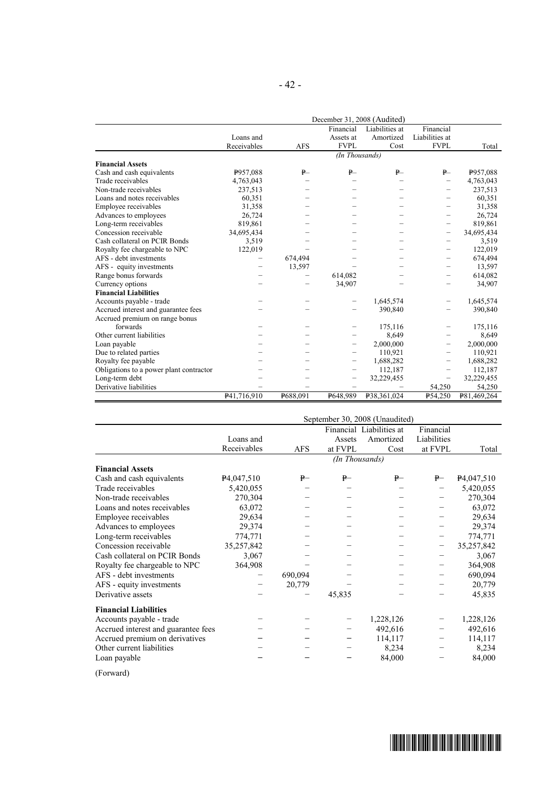|                                         | December 31, 2008 (Audited) |            |                   |                |                |             |  |
|-----------------------------------------|-----------------------------|------------|-------------------|----------------|----------------|-------------|--|
|                                         |                             |            | Financial         | Liabilities at | Financial      |             |  |
|                                         | Loans and                   |            | Assets at         | Amortized      | Liabilities at |             |  |
|                                         | Receivables                 | <b>AFS</b> | <b>FVPL</b>       | Cost           | <b>FVPL</b>    | Total       |  |
|                                         |                             |            | (In Thousands)    |                |                |             |  |
| <b>Financial Assets</b>                 |                             |            |                   |                |                |             |  |
| Cash and cash equivalents               | P957,088                    | $P-$       | P                 | P              | $P-$           | P957,088    |  |
| Trade receivables                       | 4,763,043                   |            |                   |                |                | 4,763,043   |  |
| Non-trade receivables                   | 237,513                     |            |                   |                | -              | 237,513     |  |
| Loans and notes receivables             | 60,351                      |            |                   |                |                | 60,351      |  |
| Employee receivables                    | 31,358                      |            |                   |                |                | 31,358      |  |
| Advances to employees                   | 26,724                      |            |                   |                |                | 26,724      |  |
| Long-term receivables                   | 819,861                     |            |                   |                | —              | 819,861     |  |
| Concession receivable                   | 34,695,434                  |            |                   |                | -              | 34,695,434  |  |
| Cash collateral on PCIR Bonds           | 3,519                       |            |                   |                | —              | 3,519       |  |
| Royalty fee chargeable to NPC           | 122,019                     |            |                   |                |                | 122,019     |  |
| AFS - debt investments                  | —                           | 674,494    |                   |                |                | 674,494     |  |
| AFS - equity investments                |                             | 13,597     |                   |                |                | 13,597      |  |
| Range bonus forwards                    |                             |            | 614,082           |                |                | 614,082     |  |
| Currency options                        |                             |            | 34,907            |                |                | 34,907      |  |
| <b>Financial Liabilities</b>            |                             |            |                   |                |                |             |  |
| Accounts payable - trade                |                             |            |                   | 1,645,574      |                | 1,645,574   |  |
| Accrued interest and guarantee fees     |                             |            |                   | 390,840        |                | 390,840     |  |
| Accrued premium on range bonus          |                             |            |                   |                |                |             |  |
| forwards                                |                             |            |                   | 175,116        |                | 175,116     |  |
| Other current liabilities               |                             |            |                   | 8,649          |                | 8,649       |  |
| Loan payable                            |                             |            |                   | 2,000,000      |                | 2,000,000   |  |
| Due to related parties                  |                             |            |                   | 110,921        |                | 110,921     |  |
| Royalty fee payable                     |                             |            |                   | 1,688,282      |                | 1,688,282   |  |
| Obligations to a power plant contractor |                             |            |                   | 112,187        | —              | 112,187     |  |
| Long-term debt                          |                             |            | $\qquad \qquad -$ | 32,229,455     |                | 32,229,455  |  |
| Derivative liabilities                  |                             |            |                   |                | 54,250         | 54,250      |  |
|                                         | P41.716.910                 | P688,091   | P648,989          | P38,361,024    | P54.250        | P81.469.264 |  |

|                                     |                         |            |                | September 30, 2008 (Unaudited) |             |                         |
|-------------------------------------|-------------------------|------------|----------------|--------------------------------|-------------|-------------------------|
|                                     |                         |            |                | Financial Liabilities at       | Financial   |                         |
|                                     | Loans and               |            | Assets         | Amortized                      | Liabilities |                         |
|                                     | Receivables             | <b>AFS</b> | at FVPL        | Cost                           | at FVPL     | Total                   |
|                                     |                         |            | (In Thousands) |                                |             |                         |
| <b>Financial Assets</b>             |                         |            |                |                                |             |                         |
| Cash and cash equivalents           | P <sub>4</sub> ,047,510 | ₽—         | ₽—             | ₽–                             | $P-$        | P <sub>4</sub> ,047,510 |
| Trade receivables                   | 5,420,055               |            |                |                                |             | 5,420,055               |
| Non-trade receivables               | 270,304                 |            |                |                                |             | 270,304                 |
| Loans and notes receivables         | 63,072                  |            |                |                                |             | 63,072                  |
| Employee receivables                | 29,634                  |            |                |                                |             | 29,634                  |
| Advances to employees               | 29,374                  |            |                |                                |             | 29,374                  |
| Long-term receivables               | 774,771                 |            |                |                                |             | 774,771                 |
| Concession receivable               | 35,257,842              |            |                |                                |             | 35,257,842              |
| Cash collateral on PCIR Bonds       | 3,067                   |            |                |                                |             | 3,067                   |
| Royalty fee chargeable to NPC       | 364,908                 |            |                |                                |             | 364,908                 |
| AFS - debt investments              |                         | 690,094    |                |                                |             | 690,094                 |
| AFS - equity investments            |                         | 20,779     |                |                                |             | 20,779                  |
| Derivative assets                   |                         |            | 45,835         |                                |             | 45,835                  |
| <b>Financial Liabilities</b>        |                         |            |                |                                |             |                         |
| Accounts payable - trade            |                         |            |                | 1,228,126                      |             | 1,228,126               |
| Accrued interest and guarantee fees |                         |            |                | 492,616                        |             | 492,616                 |
| Accrued premium on derivatives      |                         |            |                | 114,117                        |             | 114,117                 |
| Other current liabilities           |                         |            |                | 8,234                          |             | 8,234                   |
| Loan payable                        |                         |            |                | 84,000                         |             | 84,000                  |

(Forward)

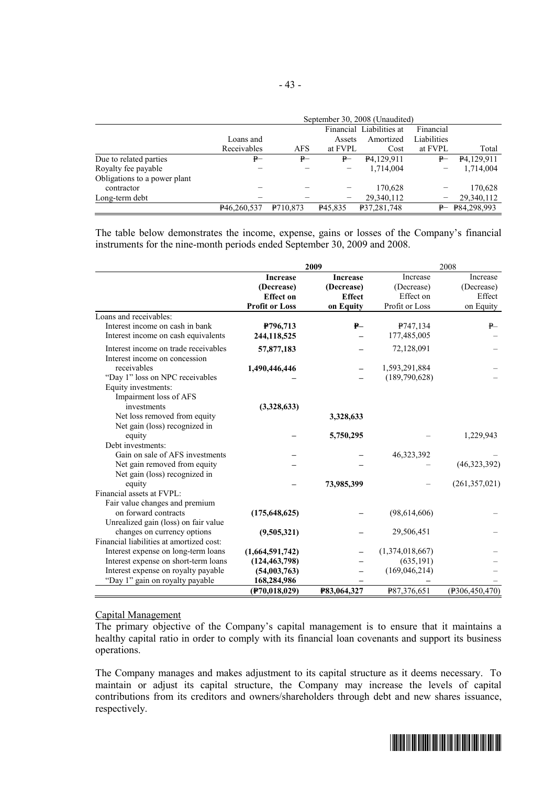|                              | September 30, 2008 (Unaudited) |                                       |                     |                        |             |                        |  |
|------------------------------|--------------------------------|---------------------------------------|---------------------|------------------------|-------------|------------------------|--|
|                              |                                | Financial Liabilities at<br>Financial |                     |                        |             |                        |  |
|                              | Loans and                      |                                       | Assets              | Amortized              | Liabilities |                        |  |
|                              | Receivables                    | <b>AFS</b>                            | at FVPL             | Cost                   | at FVPL     | Total                  |  |
| Due to related parties       | ₽–                             | $P-$                                  | ₽—                  | P <sub>4.129.911</sub> | ₽–          | P <sub>4.129.911</sub> |  |
| Royalty fee payable          |                                |                                       |                     | 1,714,004              |             | 1,714,004              |  |
| Obligations to a power plant |                                |                                       |                     |                        |             |                        |  |
| contractor                   |                                |                                       |                     | 170,628                |             | 170,628                |  |
| Long-term debt               |                                |                                       | -                   | 29,340,112             |             | 29,340,112             |  |
|                              | P <sub>46,260,537</sub>        | P <sub>710.873</sub>                  | P <sub>45.835</sub> | P37,281,748            |             | $P - P84,298,993$      |  |

The table below demonstrates the income, expense, gains or losses of the Company's financial instruments for the nine-month periods ended September 30, 2009 and 2008.

|                                          | 2009                  |                    |                 | 2008             |  |  |
|------------------------------------------|-----------------------|--------------------|-----------------|------------------|--|--|
|                                          | <b>Increase</b>       | <b>Increase</b>    | Increase        | Increase         |  |  |
|                                          | (Decrease)            | (Decrease)         | (Decrease)      | (Decrease)       |  |  |
|                                          | <b>Effect on</b>      | <b>Effect</b>      | Effect on       | Effect           |  |  |
|                                          | <b>Profit or Loss</b> | on Equity          | Profit or Loss  | on Equity        |  |  |
| Loans and receivables:                   |                       |                    |                 |                  |  |  |
| Interest income on cash in bank          | P796,713              | $P -$              | P747,134        | ₽                |  |  |
| Interest income on cash equivalents      | 244,118,525           |                    | 177,485,005     |                  |  |  |
| Interest income on trade receivables     | 57,877,183            |                    | 72,128,091      |                  |  |  |
| Interest income on concession            |                       |                    |                 |                  |  |  |
| receivables                              | 1,490,446,446         |                    | 1,593,291,884   |                  |  |  |
| "Day 1" loss on NPC receivables          |                       |                    | (189,790,628)   |                  |  |  |
| Equity investments:                      |                       |                    |                 |                  |  |  |
| Impairment loss of AFS                   |                       |                    |                 |                  |  |  |
| investments                              | (3,328,633)           |                    |                 |                  |  |  |
| Net loss removed from equity             |                       | 3,328,633          |                 |                  |  |  |
| Net gain (loss) recognized in            |                       |                    |                 |                  |  |  |
| equity                                   |                       | 5,750,295          |                 | 1,229,943        |  |  |
| Debt investments:                        |                       |                    |                 |                  |  |  |
| Gain on sale of AFS investments          |                       |                    | 46,323,392      |                  |  |  |
| Net gain removed from equity             |                       |                    |                 | (46,323,392)     |  |  |
| Net gain (loss) recognized in            |                       |                    |                 |                  |  |  |
| equity                                   |                       | 73,985,399         |                 | (261, 357, 021)  |  |  |
| Financial assets at FVPL:                |                       |                    |                 |                  |  |  |
| Fair value changes and premium           |                       |                    |                 |                  |  |  |
| on forward contracts                     | (175, 648, 625)       |                    | (98,614,606)    |                  |  |  |
| Unrealized gain (loss) on fair value     |                       |                    |                 |                  |  |  |
| changes on currency options              | (9,505,321)           |                    | 29,506,451      |                  |  |  |
| Financial liabilities at amortized cost: |                       |                    |                 |                  |  |  |
| Interest expense on long-term loans      | (1,664,591,742)       |                    | (1,374,018,667) |                  |  |  |
| Interest expense on short-term loans     | (124, 463, 798)       |                    | (635, 191)      |                  |  |  |
| Interest expense on royalty payable      | (54,003,763)          |                    | (169, 046, 214) |                  |  |  |
| "Day 1" gain on royalty payable          | 168,284,986           |                    |                 |                  |  |  |
|                                          | (F70, 018, 029)       | <b>P83,064,327</b> | P87,376,651     | (P306, 450, 470) |  |  |

#### Capital Management

The primary objective of the Company's capital management is to ensure that it maintains a healthy capital ratio in order to comply with its financial loan covenants and support its business operations.

The Company manages and makes adjustment to its capital structure as it deems necessary. To maintain or adjust its capital structure, the Company may increase the levels of capital contributions from its creditors and owners/shareholders through debt and new shares issuance, respectively.

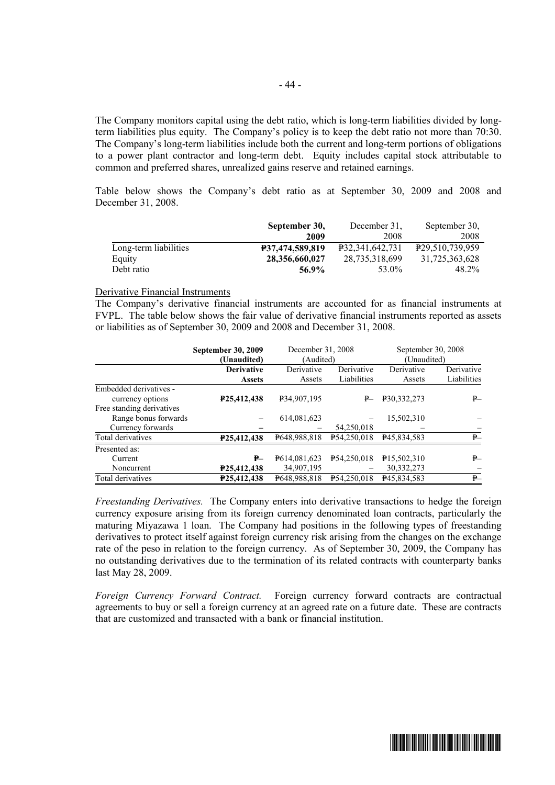The Company monitors capital using the debt ratio, which is long-term liabilities divided by longterm liabilities plus equity. The Company's policy is to keep the debt ratio not more than 70:30. The Company's long-term liabilities include both the current and long-term portions of obligations to a power plant contractor and long-term debt. Equity includes capital stock attributable to common and preferred shares, unrealized gains reserve and retained earnings.

Table below shows the Company's debt ratio as at September 30, 2009 and 2008 and December 31, 2008.

|                       | September 30,   | December 31.    | September 30.               |
|-----------------------|-----------------|-----------------|-----------------------------|
|                       | 2009            | 2008            | 2008                        |
| Long-term liabilities | P37,474,589,819 | P32.341.642.731 | P <sub>29,510,739,959</sub> |
| Equity                | 28,356,660,027  | 28,735,318,699  | 31,725,363,628              |
| Debt ratio            | 56.9%           | 53.0%           | 48.2%                       |

#### Derivative Financial Instruments

The Company's derivative financial instruments are accounted for as financial instruments at FVPL. The table below shows the fair value of derivative financial instruments reported as assets or liabilities as of September 30, 2009 and 2008 and December 31, 2008.

|                           | <b>September 30, 2009</b> | December 31, 2008 |             | September 30, 2008       |             |
|---------------------------|---------------------------|-------------------|-------------|--------------------------|-------------|
|                           | (Unaudited)               | (Audited)         |             | (Unaudited)              |             |
|                           | <b>Derivative</b>         | Derivative        | Derivative  | Derivative               | Derivative  |
|                           | <b>Assets</b>             | Assets            | Liabilities | Assets                   | Liabilities |
| Embedded derivatives -    |                           |                   |             |                          |             |
| currency options          | P25,412,438               | P34,907,195       | ₽—          | P30,332,273              | P           |
| Free standing derivatives |                           |                   |             |                          |             |
| Range bonus forwards      |                           | 614,081,623       |             | 15.502.310               |             |
| Currency forwards         |                           |                   | 54,250,018  |                          |             |
| Total derivatives         | P25,412,438               | P648,988,818      | P54,250,018 | P <sub>45</sub> ,834,583 | P           |
| Presented as:             |                           |                   |             |                          |             |
| Current                   | ₽—                        | P614,081,623      | P54.250.018 | P <sub>15,502,310</sub>  | ₽—          |
| Noncurrent                | P <sub>25</sub> ,412,438  | 34,907,195        |             | 30, 332, 273             |             |
| Total derivatives         | P25.412.438               | P648,988,818      | P54.250.018 | P45,834,583              | ₽—          |

*Freestanding Derivatives.* The Company enters into derivative transactions to hedge the foreign currency exposure arising from its foreign currency denominated loan contracts, particularly the maturing Miyazawa 1 loan. The Company had positions in the following types of freestanding derivatives to protect itself against foreign currency risk arising from the changes on the exchange rate of the peso in relation to the foreign currency. As of September 30, 2009, the Company has no outstanding derivatives due to the termination of its related contracts with counterparty banks last May 28, 2009.

*Foreign Currency Forward Contract.* Foreign currency forward contracts are contractual agreements to buy or sell a foreign currency at an agreed rate on a future date. These are contracts that are customized and transacted with a bank or financial institution.

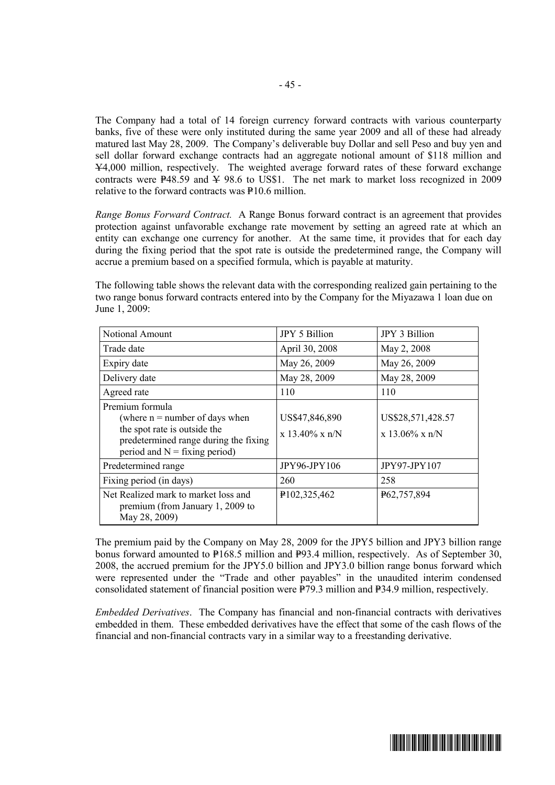The Company had a total of 14 foreign currency forward contracts with various counterparty banks, five of these were only instituted during the same year 2009 and all of these had already matured last May 28, 2009. The Company's deliverable buy Dollar and sell Peso and buy yen and sell dollar forward exchange contracts had an aggregate notional amount of \$118 million and Y4,000 million, respectively. The weighted average forward rates of these forward exchange contracts were  $\overline{P}48.59$  and  $\overline{Y}$  98.6 to US\$1. The net mark to market loss recognized in 2009 relative to the forward contracts was  $P10.6$  million.

*Range Bonus Forward Contract.* A Range Bonus forward contract is an agreement that provides protection against unfavorable exchange rate movement by setting an agreed rate at which an entity can exchange one currency for another. At the same time, it provides that for each day during the fixing period that the spot rate is outside the predetermined range, the Company will accrue a premium based on a specified formula, which is payable at maturity.

The following table shows the relevant data with the corresponding realized gain pertaining to the two range bonus forward contracts entered into by the Company for the Miyazawa 1 loan due on June 1, 2009:

| Notional Amount                                                                                                                                                 | JPY 5 Billion                       | JPY 3 Billion                          |
|-----------------------------------------------------------------------------------------------------------------------------------------------------------------|-------------------------------------|----------------------------------------|
| Trade date                                                                                                                                                      | April 30, 2008                      | May 2, 2008                            |
| Expiry date                                                                                                                                                     | May 26, 2009                        | May 26, 2009                           |
| Delivery date                                                                                                                                                   | May 28, 2009                        | May 28, 2009                           |
| Agreed rate                                                                                                                                                     | 110                                 | 110                                    |
| Premium formula<br>(where $n =$ number of days when<br>the spot rate is outside the<br>predetermined range during the fixing<br>period and $N =$ fixing period) | US\$47,846,890<br>$x 13.40\% x n/N$ | US\$28,571,428.57<br>$x 13.06\% x n/N$ |
| Predetermined range                                                                                                                                             | <b>JPY96-JPY106</b>                 | <b>JPY97-JPY107</b>                    |
| Fixing period (in days)                                                                                                                                         | 260                                 | 258                                    |
| Net Realized mark to market loss and<br>premium (from January 1, 2009 to<br>May 28, 2009)                                                                       | P102,325,462                        | P62,757,894                            |

The premium paid by the Company on May 28, 2009 for the JPY5 billion and JPY3 billion range bonus forward amounted to  $P168.5$  million and  $P93.4$  million, respectively. As of September 30, 2008, the accrued premium for the JPY5.0 billion and JPY3.0 billion range bonus forward which were represented under the "Trade and other payables" in the unaudited interim condensed consolidated statement of financial position were  $\overline{P79.3}$  million and P34.9 million, respectively.

*Embedded Derivatives*. The Company has financial and non-financial contracts with derivatives embedded in them. These embedded derivatives have the effect that some of the cash flows of the financial and non-financial contracts vary in a similar way to a freestanding derivative.

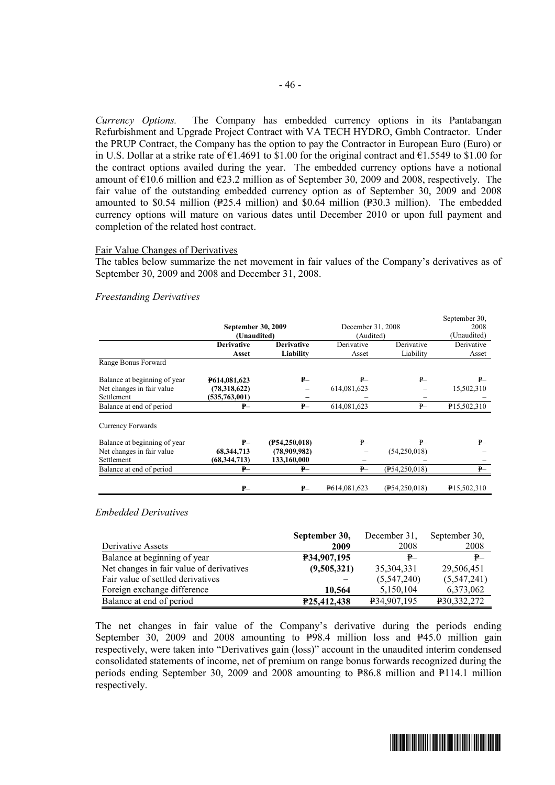*Currency Options.* The Company has embedded currency options in its Pantabangan Refurbishment and Upgrade Project Contract with VA TECH HYDRO, Gmbh Contractor. Under the PRUP Contract, the Company has the option to pay the Contractor in European Euro (Euro) or in U.S. Dollar at a strike rate of  $\epsilon$ 1.4691 to \$1.00 for the original contract and  $\epsilon$ 1.5549 to \$1.00 for the contract options availed during the year. The embedded currency options have a notional amount of  $\epsilon$ 10.6 million and  $\epsilon$ 23.2 million as of September 30, 2009 and 2008, respectively. The fair value of the outstanding embedded currency option as of September 30, 2009 and 2008 amounted to \$0.54 million ( $P25.4$  million) and \$0.64 million ( $P30.3$  million). The embedded currency options will mature on various dates until December 2010 or upon full payment and completion of the related host contract.

#### Fair Value Changes of Derivatives

The tables below summarize the net movement in fair values of the Company's derivatives as of September 30, 2009 and 2008 and December 31, 2008.

#### *Freestanding Derivatives*

|                              |                           |                   |                   |                 | September 30,           |
|------------------------------|---------------------------|-------------------|-------------------|-----------------|-------------------------|
|                              | <b>September 30, 2009</b> |                   | December 31, 2008 |                 | 2008                    |
|                              | (Unaudited)               |                   | (Audited)         |                 | (Unaudited)             |
|                              | <b>Derivative</b>         | <b>Derivative</b> | Derivative        | Derivative      | Derivative              |
|                              | Asset                     | Liability         | Asset             | Liability       | Asset                   |
| Range Bonus Forward          |                           |                   |                   |                 |                         |
| Balance at beginning of year | <b>P614,081,623</b>       | ₽–                | $P-$              | $P-$            | $P-$                    |
| Net changes in fair value    | (78,318,622)              |                   | 614,081,623       |                 | 15,502,310              |
| Settlement                   | (535,763,001)             |                   |                   |                 |                         |
| Balance at end of period     | $P-$                      | $P-$              | 614,081,623       | $P -$           | P15,502,310             |
| Currency Forwards            |                           |                   |                   |                 |                         |
| Balance at beginning of year | $P-$                      | (F54, 250, 018)   | ₽—                | $P-$            | ₽—                      |
| Net changes in fair value    | 68, 344, 713              | (78,909,982)      |                   | (54,250,018)    |                         |
| Settlement                   | (68, 344, 713)            | 133,160,000       | -                 |                 |                         |
| Balance at end of period     | $P-$                      | ₽–                | $P-$              | (F54, 250, 018) | $P-$                    |
|                              | ₽–                        | ₽–                | P614,081,623      | (F54, 250, 018) | P <sub>15,502,310</sub> |

#### *Embedded Derivatives*

|                                          | September 30, | December 31.            | September 30. |
|------------------------------------------|---------------|-------------------------|---------------|
| Derivative Assets                        | 2009          | 2008                    | 2008          |
| Balance at beginning of year             | P34,907,195   | ₽—                      | P             |
| Net changes in fair value of derivatives | (9,505,321)   | 35, 304, 331            | 29,506,451    |
| Fair value of settled derivatives        |               | (5,547,240)             | (5,547,241)   |
| Foreign exchange difference              | 10.564        | 5,150,104               | 6,373,062     |
| Balance at end of period                 | P25,412,438   | P <sub>34,907,195</sub> | P30,332,272   |

The net changes in fair value of the Company's derivative during the periods ending September 30, 2009 and 2008 amounting to  $P_{98.4}$  million loss and  $P_{45.0}$  million gain respectively, were taken into "Derivatives gain (loss)" account in the unaudited interim condensed consolidated statements of income, net of premium on range bonus forwards recognized during the periods ending September 30, 2009 and 2008 amounting to  $P_{6.8}$  million and  $P_{114.1}$  million respectively.